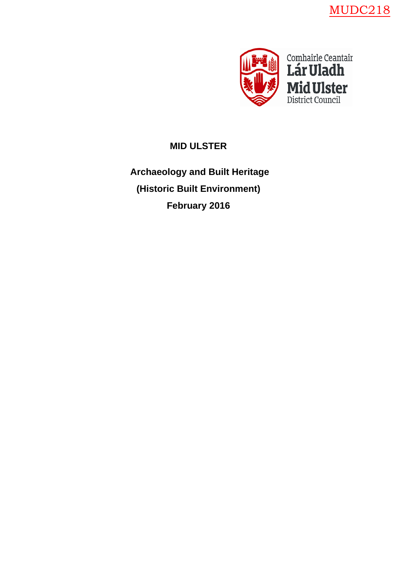MUDC218



# **MID ULSTER**

**Archaeology and Built Heritage (Historic Built Environment) February 2016**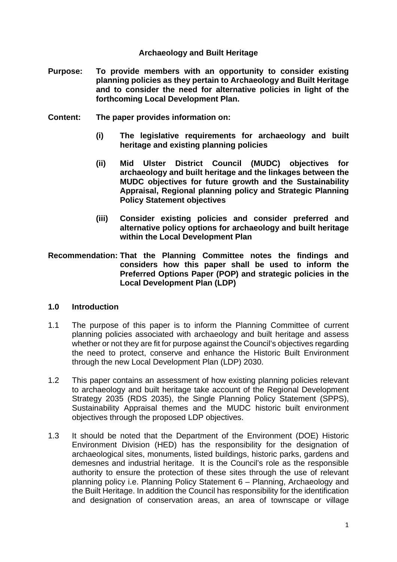#### **Archaeology and Built Heritage**

- **Purpose: To provide members with an opportunity to consider existing planning policies as they pertain to Archaeology and Built Heritage and to consider the need for alternative policies in light of the forthcoming Local Development Plan.**
- **Content: The paper provides information on:**
	- **(i) The legislative requirements for archaeology and built heritage and existing planning policies**
	- **(ii) Mid Ulster District Council (MUDC) objectives for archaeology and built heritage and the linkages between the MUDC objectives for future growth and the Sustainability Appraisal, Regional planning policy and Strategic Planning Policy Statement objectives**
	- **(iii) Consider existing policies and consider preferred and alternative policy options for archaeology and built heritage within the Local Development Plan**
- **Recommendation: That the Planning Committee notes the findings and considers how this paper shall be used to inform the Preferred Options Paper (POP) and strategic policies in the Local Development Plan (LDP)**

#### **1.0 Introduction**

- 1.1 The purpose of this paper is to inform the Planning Committee of current planning policies associated with archaeology and built heritage and assess whether or not they are fit for purpose against the Council's objectives regarding the need to protect, conserve and enhance the Historic Built Environment through the new Local Development Plan (LDP) 2030.
- 1.2 This paper contains an assessment of how existing planning policies relevant to archaeology and built heritage take account of the Regional Development Strategy 2035 (RDS 2035), the Single Planning Policy Statement (SPPS), Sustainability Appraisal themes and the MUDC historic built environment objectives through the proposed LDP objectives.
- 1.3 It should be noted that the Department of the Environment (DOE) Historic Environment Division (HED) has the responsibility for the designation of archaeological sites, monuments, listed buildings, historic parks, gardens and demesnes and industrial heritage. It is the Council's role as the responsible authority to ensure the protection of these sites through the use of relevant planning policy i.e. Planning Policy Statement 6 – Planning, Archaeology and the Built Heritage. In addition the Council has responsibility for the identification and designation of conservation areas, an area of townscape or village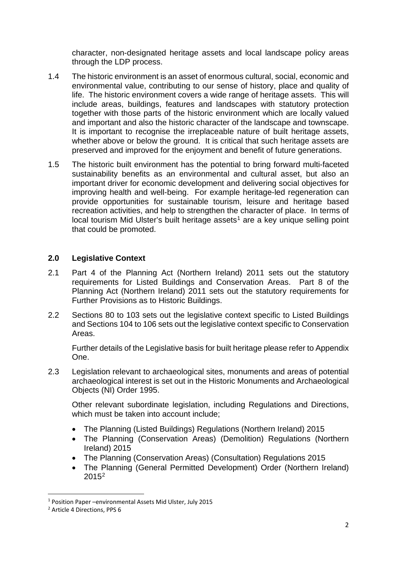character, non-designated heritage assets and local landscape policy areas through the LDP process.

- 1.4 The historic environment is an asset of enormous cultural, social, economic and environmental value, contributing to our sense of history, place and quality of life. The historic environment covers a wide range of heritage assets. This will include areas, buildings, features and landscapes with statutory protection together with those parts of the historic environment which are locally valued and important and also the historic character of the landscape and townscape. It is important to recognise the irreplaceable nature of built heritage assets, whether above or below the ground. It is critical that such heritage assets are preserved and improved for the enjoyment and benefit of future generations.
- 1.5 The historic built environment has the potential to bring forward multi-faceted sustainability benefits as an environmental and cultural asset, but also an important driver for economic development and delivering social objectives for improving health and well-being. For example heritage-led regeneration can provide opportunities for sustainable tourism, leisure and heritage based recreation activities, and help to strengthen the character of place. In terms of local tourism Mid Ulster's built heritage assets<sup>[1](#page-2-0)</sup> are a key unique selling point that could be promoted.

#### **2.0 Legislative Context**

- 2.1 Part 4 of the Planning Act (Northern Ireland) 2011 sets out the statutory requirements for Listed Buildings and Conservation Areas. Part 8 of the Planning Act (Northern Ireland) 2011 sets out the statutory requirements for Further Provisions as to Historic Buildings.
- 2.2 Sections 80 to 103 sets out the legislative context specific to Listed Buildings and Sections 104 to 106 sets out the legislative context specific to Conservation Areas.

Further details of the Legislative basis for built heritage please refer to Appendix One.

2.3 Legislation relevant to archaeological sites, monuments and areas of potential archaeological interest is set out in the Historic Monuments and Archaeological Objects (NI) Order 1995.

Other relevant subordinate legislation, including Regulations and Directions, which must be taken into account include:

- The Planning (Listed Buildings) Regulations (Northern Ireland) 2015
- The Planning (Conservation Areas) (Demolition) Regulations (Northern Ireland) 2015
- The Planning (Conservation Areas) (Consultation) Regulations 2015
- The Planning (General Permitted Development) Order (Northern Ireland)  $2015^2$  $2015^2$

<span id="page-2-0"></span> <sup>1</sup> Position Paper –environmental Assets Mid Ulster, July 2015

<span id="page-2-1"></span><sup>2</sup> Article 4 Directions, PPS 6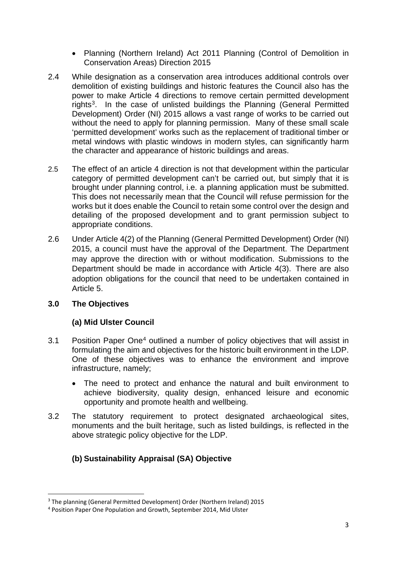- Planning (Northern Ireland) Act 2011 Planning (Control of Demolition in Conservation Areas) Direction 2015
- 2.4 While designation as a conservation area introduces additional controls over demolition of existing buildings and historic features the Council also has the power to make Article 4 directions to remove certain permitted development rights<sup>[3](#page-3-0)</sup>. In the case of unlisted buildings the Planning (General Permitted Development) Order (NI) 2015 allows a vast range of works to be carried out without the need to apply for planning permission. Many of these small scale 'permitted development' works such as the replacement of traditional timber or metal windows with plastic windows in modern styles, can significantly harm the character and appearance of historic buildings and areas.
- 2.5 The effect of an article 4 direction is not that development within the particular category of permitted development can't be carried out, but simply that it is brought under planning control, i.e. a planning application must be submitted. This does not necessarily mean that the Council will refuse permission for the works but it does enable the Council to retain some control over the design and detailing of the proposed development and to grant permission subject to appropriate conditions.
- 2.6 Under Article 4(2) of the Planning (General Permitted Development) Order (NI) 2015, a council must have the approval of the Department. The Department may approve the direction with or without modification. Submissions to the Department should be made in accordance with Article 4(3). There are also adoption obligations for the council that need to be undertaken contained in Article 5.

## **3.0 The Objectives**

## **(a) Mid Ulster Council**

- 3.1 Position Paper One<sup>[4](#page-3-1)</sup> outlined a number of policy objectives that will assist in formulating the aim and objectives for the historic built environment in the LDP. One of these objectives was to enhance the environment and improve infrastructure, namely;
	- The need to protect and enhance the natural and built environment to achieve biodiversity, quality design, enhanced leisure and economic opportunity and promote health and wellbeing.
- 3.2 The statutory requirement to protect designated archaeological sites, monuments and the built heritage, such as listed buildings, is reflected in the above strategic policy objective for the LDP.

## **(b) Sustainability Appraisal (SA) Objective**

<span id="page-3-0"></span> <sup>3</sup> The planning (General Permitted Development) Order (Northern Ireland) 2015

<span id="page-3-1"></span><sup>4</sup> Position Paper One Population and Growth, September 2014, Mid Ulster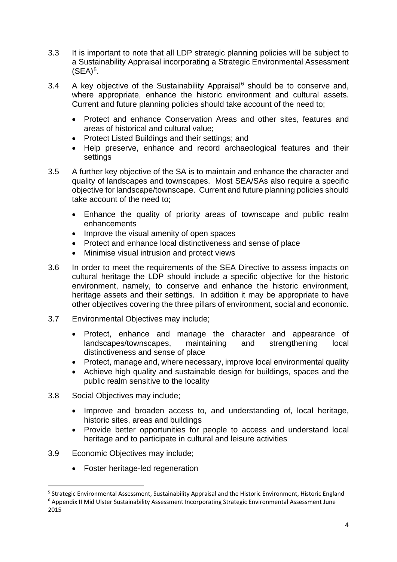- 3.3 It is important to note that all LDP strategic planning policies will be subject to a Sustainability Appraisal incorporating a Strategic Environmental Assessment  $(SEA)<sup>5</sup>$ .
- 3.4 A key objective of the Sustainability Appraisal $6$  should be to conserve and, where appropriate, enhance the historic environment and cultural assets. Current and future planning policies should take account of the need to;
	- Protect and enhance Conservation Areas and other sites, features and areas of historical and cultural value;
	- Protect Listed Buildings and their settings; and
	- Help preserve, enhance and record archaeological features and their settings
- 3.5 A further key objective of the SA is to maintain and enhance the character and quality of landscapes and townscapes. Most SEA/SAs also require a specific objective for landscape/townscape. Current and future planning policies should take account of the need to;
	- Enhance the quality of priority areas of townscape and public realm enhancements
	- Improve the visual amenity of open spaces
	- Protect and enhance local distinctiveness and sense of place
	- Minimise visual intrusion and protect views
- 3.6 In order to meet the requirements of the SEA Directive to assess impacts on cultural heritage the LDP should include a specific objective for the historic environment, namely, to conserve and enhance the historic environment, heritage assets and their settings. In addition it may be appropriate to have other objectives covering the three pillars of environment, social and economic.
- 3.7 Environmental Objectives may include;
	- Protect, enhance and manage the character and appearance of landscapes/townscapes, maintaining and strengthening local distinctiveness and sense of place
	- Protect, manage and, where necessary, improve local environmental quality
	- Achieve high quality and sustainable design for buildings, spaces and the public realm sensitive to the locality
- 3.8 Social Objectives may include;
	- Improve and broaden access to, and understanding of, local heritage, historic sites, areas and buildings
	- Provide better opportunities for people to access and understand local heritage and to participate in cultural and leisure activities
- 3.9 Economic Objectives may include;
	- Foster heritage-led regeneration

<span id="page-4-1"></span><span id="page-4-0"></span> <sup>5</sup> Strategic Environmental Assessment, Sustainability Appraisal and the Historic Environment, Historic England <sup>6</sup> Appendix II Mid Ulster Sustainability Assessment Incorporating Strategic Environmental Assessment June 2015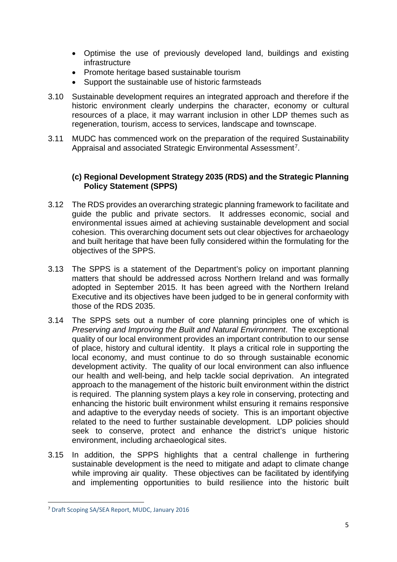- Optimise the use of previously developed land, buildings and existing infrastructure
- Promote heritage based sustainable tourism
- Support the sustainable use of historic farmsteads
- 3.10 Sustainable development requires an integrated approach and therefore if the historic environment clearly underpins the character, economy or cultural resources of a place, it may warrant inclusion in other LDP themes such as regeneration, tourism, access to services, landscape and townscape.
- 3.11 MUDC has commenced work on the preparation of the required Sustainability Appraisal and associated Strategic Environmental Assessment<sup>[7](#page-5-0)</sup>.

#### **(c) Regional Development Strategy 2035 (RDS) and the Strategic Planning Policy Statement (SPPS)**

- 3.12 The RDS provides an overarching strategic planning framework to facilitate and guide the public and private sectors. It addresses economic, social and environmental issues aimed at achieving sustainable development and social cohesion. This overarching document sets out clear objectives for archaeology and built heritage that have been fully considered within the formulating for the objectives of the SPPS.
- 3.13 The SPPS is a statement of the Department's policy on important planning matters that should be addressed across Northern Ireland and was formally adopted in September 2015. It has been agreed with the Northern Ireland Executive and its objectives have been judged to be in general conformity with those of the RDS 2035.
- 3.14 The SPPS sets out a number of core planning principles one of which is *Preserving and Improving the Built and Natural Environment*. The exceptional quality of our local environment provides an important contribution to our sense of place, history and cultural identity. It plays a critical role in supporting the local economy, and must continue to do so through sustainable economic development activity. The quality of our local environment can also influence our health and well-being, and help tackle social deprivation. An integrated approach to the management of the historic built environment within the district is required. The planning system plays a key role in conserving, protecting and enhancing the historic built environment whilst ensuring it remains responsive and adaptive to the everyday needs of society. This is an important objective related to the need to further sustainable development. LDP policies should seek to conserve, protect and enhance the district's unique historic environment, including archaeological sites.
- 3.15 In addition, the SPPS highlights that a central challenge in furthering sustainable development is the need to mitigate and adapt to climate change while improving air quality. These objectives can be facilitated by identifying and implementing opportunities to build resilience into the historic built

<span id="page-5-0"></span> <sup>7</sup> Draft Scoping SA/SEA Report, MUDC, January 2016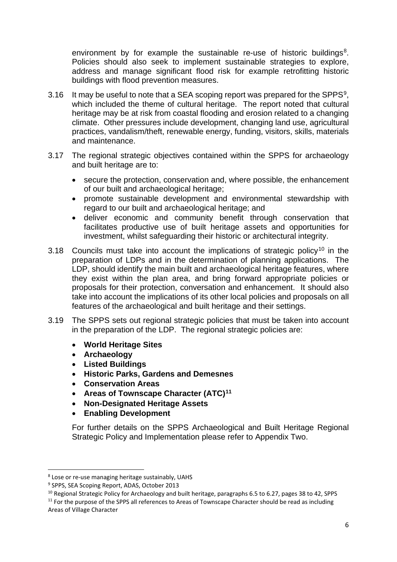environment by for example the sustainable re-use of historic buildings<sup>[8](#page-6-0)</sup>. Policies should also seek to implement sustainable strategies to explore, address and manage significant flood risk for example retrofitting historic buildings with flood prevention measures.

- 3.16 It may be useful to note that a SEA scoping report was prepared for the SPPS[9,](#page-6-1) which included the theme of cultural heritage. The report noted that cultural heritage may be at risk from coastal flooding and erosion related to a changing climate. Other pressures include development, changing land use, agricultural practices, vandalism/theft, renewable energy, funding, visitors, skills, materials and maintenance.
- 3.17 The regional strategic objectives contained within the SPPS for archaeology and built heritage are to:
	- secure the protection, conservation and, where possible, the enhancement of our built and archaeological heritage;
	- promote sustainable development and environmental stewardship with regard to our built and archaeological heritage; and
	- deliver economic and community benefit through conservation that facilitates productive use of built heritage assets and opportunities for investment, whilst safeguarding their historic or architectural integrity.
- 3.18 Councils must take into account the implications of strategic policy<sup>[10](#page-6-2)</sup> in the preparation of LDPs and in the determination of planning applications. The LDP, should identify the main built and archaeological heritage features, where they exist within the plan area, and bring forward appropriate policies or proposals for their protection, conversation and enhancement. It should also take into account the implications of its other local policies and proposals on all features of the archaeological and built heritage and their settings.
- 3.19 The SPPS sets out regional strategic policies that must be taken into account in the preparation of the LDP. The regional strategic policies are:
	- **World Heritage Sites**
	- **Archaeology**
	- **Listed Buildings**
	- **Historic Parks, Gardens and Demesnes**
	- **Conservation Areas**
	- **Areas of Townscape Character (ATC)[11](#page-6-3)**
	- **Non-Designated Heritage Assets**
	- **Enabling Development**

For further details on the SPPS Archaeological and Built Heritage Regional Strategic Policy and Implementation please refer to Appendix Two.

<span id="page-6-0"></span> <sup>8</sup> Lose or re-use managing heritage sustainably, UAHS

<span id="page-6-1"></span><sup>9</sup> SPPS, SEA Scoping Report, ADAS, October 2013

<span id="page-6-2"></span><sup>&</sup>lt;sup>10</sup> Regional Strategic Policy for Archaeology and built heritage, paragraphs 6.5 to 6.27, pages 38 to 42, SPPS

<span id="page-6-3"></span> $11$  For the purpose of the SPPS all references to Areas of Townscape Character should be read as including Areas of Village Character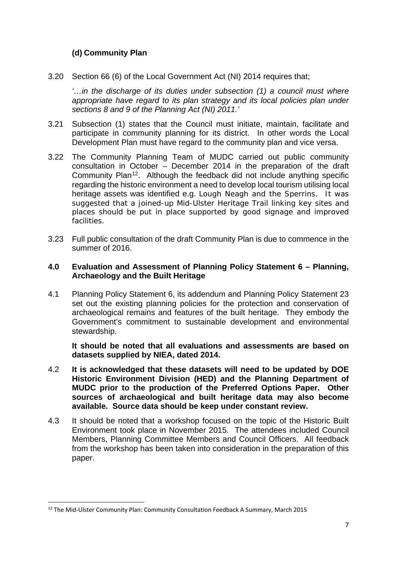## **(d) Community Plan**

3.20 Section 66 (6) of the Local Government Act (NI) 2014 requires that;

*'…in the discharge of its duties under subsection (1) a council must where appropriate have regard to its plan strategy and its local policies plan under sections 8 and 9 of the Planning Act (NI) 2011.'*

- 3.21 Subsection (1) states that the Council must initiate, maintain, facilitate and participate in community planning for its district. In other words the Local Development Plan must have regard to the community plan and vice versa.
- 3.22 The Community Planning Team of MUDC carried out public community consultation in October – December 2014 in the preparation of the draft Community Plan<sup>12</sup>. Although the feedback did not include anything specific regarding the historic environment a need to develop local tourism utilising local heritage assets was identified e.g. Lough Neagh and the Sperrins. It was suggested that a joined-up Mid-Ulster Heritage Trail linking key sites and places should be put in place supported by good signage and improved facilities.
- 3.23 Full public consultation of the draft Community Plan is due to commence in the summer of 2016.

#### **4.0 Evaluation and Assessment of Planning Policy Statement 6 – Planning, Archaeology and the Built Heritage**

4.1 Planning Policy Statement 6, its addendum and Planning Policy Statement 23 set out the existing planning policies for the protection and conservation of archaeological remains and features of the built heritage. They embody the Government's commitment to sustainable development and environmental stewardship.

**It should be noted that all evaluations and assessments are based on datasets supplied by NIEA, dated 2014.** 

- 4.2 **It is acknowledged that these datasets will need to be updated by DOE Historic Environment Division (HED) and the Planning Department of MUDC prior to the production of the Preferred Options Paper. Other sources of archaeological and built heritage data may also become available. Source data should be keep under constant review.**
- 4.3 It should be noted that a workshop focused on the topic of the Historic Built Environment took place in November 2015*.* The attendees included Council Members, Planning Committee Members and Council Officers. All feedback from the workshop has been taken into consideration in the preparation of this paper.

<span id="page-7-0"></span><sup>&</sup>lt;sup>12</sup> The Mid-Ulster Community Plan: Community Consultation Feedback A Summary, March 2015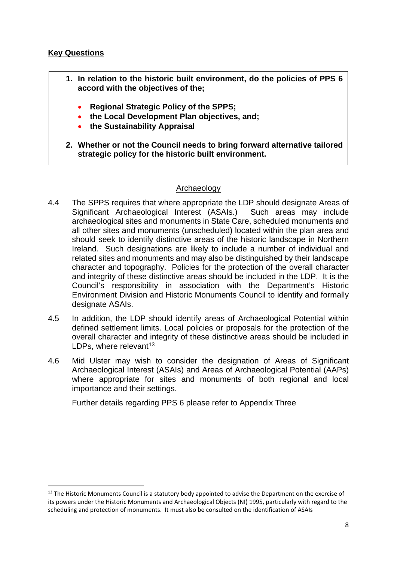#### **Key Questions**

- **1. In relation to the historic built environment, do the policies of PPS 6 accord with the objectives of the;**
	- **Regional Strategic Policy of the SPPS;**
	- **the Local Development Plan objectives, and;**
	- **the Sustainability Appraisal**
- **2. Whether or not the Council needs to bring forward alternative tailored strategic policy for the historic built environment.**

#### Archaeology

- 4.4 The SPPS requires that where appropriate the LDP should designate Areas of Significant Archaeological Interest (ASAIs.) Such areas may include archaeological sites and monuments in State Care, scheduled monuments and all other sites and monuments (unscheduled) located within the plan area and should seek to identify distinctive areas of the historic landscape in Northern Ireland. Such designations are likely to include a number of individual and related sites and monuments and may also be distinguished by their landscape character and topography. Policies for the protection of the overall character and integrity of these distinctive areas should be included in the LDP. It is the Council's responsibility in association with the Department's Historic Environment Division and Historic Monuments Council to identify and formally designate ASAIs.
- 4.5 In addition, the LDP should identify areas of Archaeological Potential within defined settlement limits. Local policies or proposals for the protection of the overall character and integrity of these distinctive areas should be included in LDPs, where relevant  $13$
- 4.6 Mid Ulster may wish to consider the designation of Areas of Significant Archaeological Interest (ASAIs) and Areas of Archaeological Potential (AAPs) where appropriate for sites and monuments of both regional and local importance and their settings.

Further details regarding PPS 6 please refer to Appendix Three

<span id="page-8-0"></span><sup>&</sup>lt;sup>13</sup> The Historic Monuments Council is a statutory body appointed to advise the Department on the exercise of its powers under the Historic Monuments and Archaeological Objects (NI) 1995, particularly with regard to the scheduling and protection of monuments. It must also be consulted on the identification of ASAIs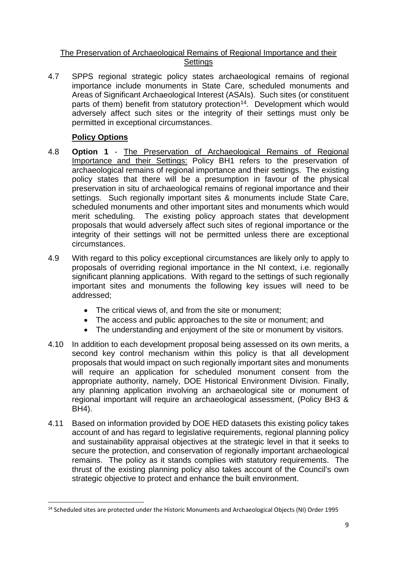#### The Preservation of Archaeological Remains of Regional Importance and their **Settings**

4.7 SPPS regional strategic policy states archaeological remains of regional importance include monuments in State Care, scheduled monuments and Areas of Significant Archaeological Interest (ASAIs). Such sites (or constituent parts of them) benefit from statutory protection<sup>14</sup>. Development which would adversely affect such sites or the integrity of their settings must only be permitted in exceptional circumstances.

- 4.8 **Option 1** The Preservation of Archaeological Remains of Regional Importance and their Settings: Policy BH1 refers to the preservation of archaeological remains of regional importance and their settings. The existing policy states that there will be a presumption in favour of the physical preservation in situ of archaeological remains of regional importance and their settings. Such regionally important sites & monuments include State Care, scheduled monuments and other important sites and monuments which would merit scheduling. The existing policy approach states that development proposals that would adversely affect such sites of regional importance or the integrity of their settings will not be permitted unless there are exceptional circumstances.
- 4.9 With regard to this policy exceptional circumstances are likely only to apply to proposals of overriding regional importance in the NI context, i.e. regionally significant planning applications. With regard to the settings of such regionally important sites and monuments the following key issues will need to be addressed;
	- The critical views of, and from the site or monument;
	- The access and public approaches to the site or monument; and
	- The understanding and enjoyment of the site or monument by visitors.
- 4.10 In addition to each development proposal being assessed on its own merits, a second key control mechanism within this policy is that all development proposals that would impact on such regionally important sites and monuments will require an application for scheduled monument consent from the appropriate authority, namely, DOE Historical Environment Division. Finally, any planning application involving an archaeological site or monument of regional important will require an archaeological assessment, (Policy BH3 & BH4).
- 4.11 Based on information provided by DOE HED datasets this existing policy takes account of and has regard to legislative requirements, regional planning policy and sustainability appraisal objectives at the strategic level in that it seeks to secure the protection, and conservation of regionally important archaeological remains. The policy as it stands complies with statutory requirements. The thrust of the existing planning policy also takes account of the Council's own strategic objective to protect and enhance the built environment.

<span id="page-9-0"></span> <sup>14</sup> Scheduled sites are protected under the Historic Monuments and Archaeological Objects (NI) Order 1995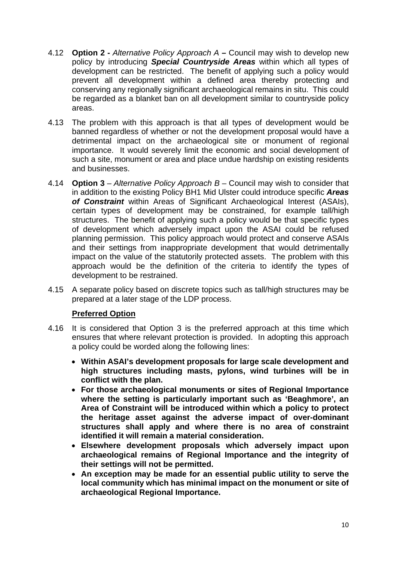- 4.12 **Option 2 -** *Alternative Policy Approach A –* Council may wish to develop new policy by introducing *Special Countryside Areas* within which all types of development can be restricted. The benefit of applying such a policy would prevent all development within a defined area thereby protecting and conserving any regionally significant archaeological remains in situ. This could be regarded as a blanket ban on all development similar to countryside policy areas.
- 4.13 The problem with this approach is that all types of development would be banned regardless of whether or not the development proposal would have a detrimental impact on the archaeological site or monument of regional importance. It would severely limit the economic and social development of such a site, monument or area and place undue hardship on existing residents and businesses.
- 4.14 **Option 3** *Alternative Policy Approach B* Council may wish to consider that in addition to the existing Policy BH1 Mid Ulster could introduce specific *Areas of Constraint* within Areas of Significant Archaeological Interest (ASAIs), certain types of development may be constrained, for example tall/high structures. The benefit of applying such a policy would be that specific types of development which adversely impact upon the ASAI could be refused planning permission. This policy approach would protect and conserve ASAIs and their settings from inappropriate development that would detrimentally impact on the value of the statutorily protected assets. The problem with this approach would be the definition of the criteria to identify the types of development to be restrained.
- 4.15 A separate policy based on discrete topics such as tall/high structures may be prepared at a later stage of the LDP process.

## **Preferred Option**

- 4.16 It is considered that Option 3 is the preferred approach at this time which ensures that where relevant protection is provided. In adopting this approach a policy could be worded along the following lines:
	- **Within ASAI's development proposals for large scale development and high structures including masts, pylons, wind turbines will be in conflict with the plan.**
	- **For those archaeological monuments or sites of Regional Importance where the setting is particularly important such as 'Beaghmore', an Area of Constraint will be introduced within which a policy to protect the heritage asset against the adverse impact of over-dominant structures shall apply and where there is no area of constraint identified it will remain a material consideration.**
	- **Elsewhere development proposals which adversely impact upon archaeological remains of Regional Importance and the integrity of their settings will not be permitted.**
	- **An exception may be made for an essential public utility to serve the local community which has minimal impact on the monument or site of archaeological Regional Importance.**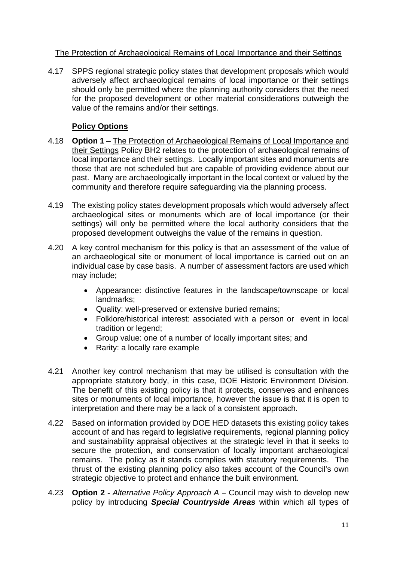#### The Protection of Archaeological Remains of Local Importance and their Settings

4.17 SPPS regional strategic policy states that development proposals which would adversely affect archaeological remains of local importance or their settings should only be permitted where the planning authority considers that the need for the proposed development or other material considerations outweigh the value of the remains and/or their settings.

- 4.18 **Option 1** The Protection of Archaeological Remains of Local Importance and their Settings Policy BH2 relates to the protection of archaeological remains of local importance and their settings. Locally important sites and monuments are those that are not scheduled but are capable of providing evidence about our past. Many are archaeologically important in the local context or valued by the community and therefore require safeguarding via the planning process.
- 4.19 The existing policy states development proposals which would adversely affect archaeological sites or monuments which are of local importance (or their settings) will only be permitted where the local authority considers that the proposed development outweighs the value of the remains in question.
- 4.20 A key control mechanism for this policy is that an assessment of the value of an archaeological site or monument of local importance is carried out on an individual case by case basis. A number of assessment factors are used which may include;
	- Appearance: distinctive features in the landscape/townscape or local landmarks;
	- Quality: well-preserved or extensive buried remains;
	- Folklore/historical interest: associated with a person or event in local tradition or legend;
	- Group value: one of a number of locally important sites; and
	- Rarity: a locally rare example
- 4.21 Another key control mechanism that may be utilised is consultation with the appropriate statutory body, in this case, DOE Historic Environment Division. The benefit of this existing policy is that it protects, conserves and enhances sites or monuments of local importance, however the issue is that it is open to interpretation and there may be a lack of a consistent approach.
- 4.22 Based on information provided by DOE HED datasets this existing policy takes account of and has regard to legislative requirements, regional planning policy and sustainability appraisal objectives at the strategic level in that it seeks to secure the protection, and conservation of locally important archaeological remains. The policy as it stands complies with statutory requirements. The thrust of the existing planning policy also takes account of the Council's own strategic objective to protect and enhance the built environment.
- 4.23 **Option 2 -** *Alternative Policy Approach A –* Council may wish to develop new policy by introducing *Special Countryside Areas* within which all types of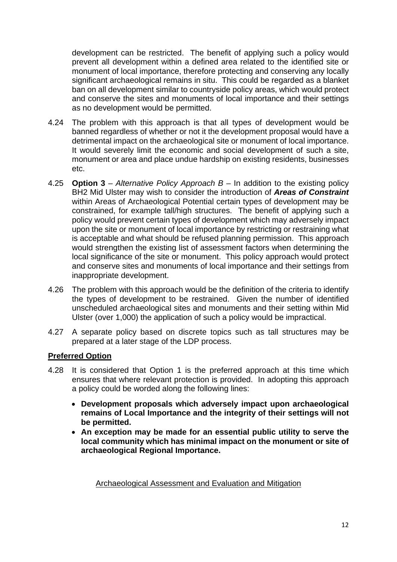development can be restricted. The benefit of applying such a policy would prevent all development within a defined area related to the identified site or monument of local importance, therefore protecting and conserving any locally significant archaeological remains in situ. This could be regarded as a blanket ban on all development similar to countryside policy areas, which would protect and conserve the sites and monuments of local importance and their settings as no development would be permitted.

- 4.24 The problem with this approach is that all types of development would be banned regardless of whether or not it the development proposal would have a detrimental impact on the archaeological site or monument of local importance. It would severely limit the economic and social development of such a site, monument or area and place undue hardship on existing residents, businesses etc.
- 4.25 **Option 3** *Alternative Policy Approach B* In addition to the existing policy BH2 Mid Ulster may wish to consider the introduction of *Areas of Constraint*  within Areas of Archaeological Potential certain types of development may be constrained, for example tall/high structures. The benefit of applying such a policy would prevent certain types of development which may adversely impact upon the site or monument of local importance by restricting or restraining what is acceptable and what should be refused planning permission. This approach would strengthen the existing list of assessment factors when determining the local significance of the site or monument. This policy approach would protect and conserve sites and monuments of local importance and their settings from inappropriate development.
- 4.26 The problem with this approach would be the definition of the criteria to identify the types of development to be restrained. Given the number of identified unscheduled archaeological sites and monuments and their setting within Mid Ulster (over 1,000) the application of such a policy would be impractical.
- 4.27 A separate policy based on discrete topics such as tall structures may be prepared at a later stage of the LDP process.

## **Preferred Option**

- 4.28 It is considered that Option 1 is the preferred approach at this time which ensures that where relevant protection is provided. In adopting this approach a policy could be worded along the following lines:
	- **Development proposals which adversely impact upon archaeological remains of Local Importance and the integrity of their settings will not be permitted.**
	- **An exception may be made for an essential public utility to serve the local community which has minimal impact on the monument or site of archaeological Regional Importance.**

Archaeological Assessment and Evaluation and Mitigation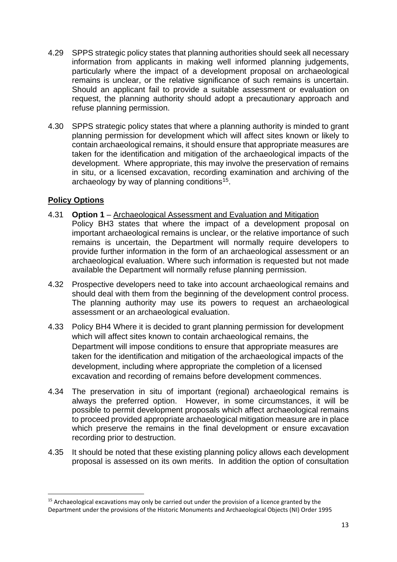- 4.29 SPPS strategic policy states that planning authorities should seek all necessary information from applicants in making well informed planning judgements, particularly where the impact of a development proposal on archaeological remains is unclear, or the relative significance of such remains is uncertain. Should an applicant fail to provide a suitable assessment or evaluation on request, the planning authority should adopt a precautionary approach and refuse planning permission.
- 4.30 SPPS strategic policy states that where a planning authority is minded to grant planning permission for development which will affect sites known or likely to contain archaeological remains, it should ensure that appropriate measures are taken for the identification and mitigation of the archaeological impacts of the development. Where appropriate, this may involve the preservation of remains in situ, or a licensed excavation, recording examination and archiving of the archaeology by way of planning conditions<sup>15</sup>.

- 4.31 **Option 1** Archaeological Assessment and Evaluation and Mitigation Policy BH3 states that where the impact of a development proposal on important archaeological remains is unclear, or the relative importance of such remains is uncertain, the Department will normally require developers to provide further information in the form of an archaeological assessment or an archaeological evaluation. Where such information is requested but not made available the Department will normally refuse planning permission.
- 4.32 Prospective developers need to take into account archaeological remains and should deal with them from the beginning of the development control process. The planning authority may use its powers to request an archaeological assessment or an archaeological evaluation.
- 4.33 Policy BH4 Where it is decided to grant planning permission for development which will affect sites known to contain archaeological remains, the Department will impose conditions to ensure that appropriate measures are taken for the identification and mitigation of the archaeological impacts of the development, including where appropriate the completion of a licensed excavation and recording of remains before development commences.
- 4.34 The preservation in situ of important (regional) archaeological remains is always the preferred option. However, in some circumstances, it will be possible to permit development proposals which affect archaeological remains to proceed provided appropriate archaeological mitigation measure are in place which preserve the remains in the final development or ensure excavation recording prior to destruction.
- 4.35 It should be noted that these existing planning policy allows each development proposal is assessed on its own merits. In addition the option of consultation

<span id="page-13-0"></span><sup>&</sup>lt;sup>15</sup> Archaeological excavations may only be carried out under the provision of a licence granted by the Department under the provisions of the Historic Monuments and Archaeological Objects (NI) Order 1995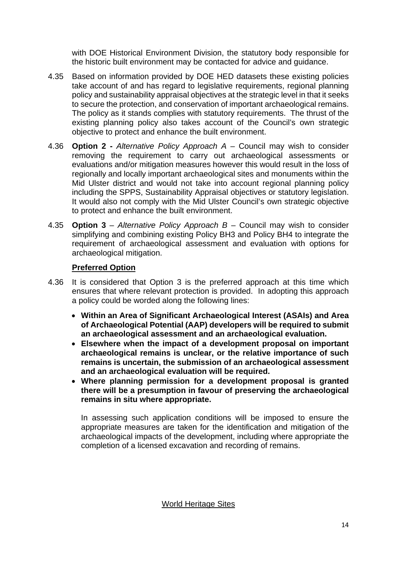with DOE Historical Environment Division, the statutory body responsible for the historic built environment may be contacted for advice and guidance.

- 4.35 Based on information provided by DOE HED datasets these existing policies take account of and has regard to legislative requirements, regional planning policy and sustainability appraisal objectives at the strategic level in that it seeks to secure the protection, and conservation of important archaeological remains. The policy as it stands complies with statutory requirements. The thrust of the existing planning policy also takes account of the Council's own strategic objective to protect and enhance the built environment.
- 4.36 **Option 2 -** *Alternative Policy Approach A –* Council may wish to consider removing the requirement to carry out archaeological assessments or evaluations and/or mitigation measures however this would result in the loss of regionally and locally important archaeological sites and monuments within the Mid Ulster district and would not take into account regional planning policy including the SPPS, Sustainability Appraisal objectives or statutory legislation. It would also not comply with the Mid Ulster Council's own strategic objective to protect and enhance the built environment.
- 4.35 **Option 3** *Alternative Policy Approach B* Council may wish to consider simplifying and combining existing Policy BH3 and Policy BH4 to integrate the requirement of archaeological assessment and evaluation with options for archaeological mitigation.

## **Preferred Option**

- 4.36 It is considered that Option 3 is the preferred approach at this time which ensures that where relevant protection is provided. In adopting this approach a policy could be worded along the following lines:
	- **Within an Area of Significant Archaeological Interest (ASAIs) and Area of Archaeological Potential (AAP) developers will be required to submit an archaeological assessment and an archaeological evaluation.**
	- **Elsewhere when the impact of a development proposal on important archaeological remains is unclear, or the relative importance of such remains is uncertain, the submission of an archaeological assessment and an archaeological evaluation will be required.**
	- **Where planning permission for a development proposal is granted there will be a presumption in favour of preserving the archaeological remains in situ where appropriate.**

In assessing such application conditions will be imposed to ensure the appropriate measures are taken for the identification and mitigation of the archaeological impacts of the development, including where appropriate the completion of a licensed excavation and recording of remains.

World Heritage Sites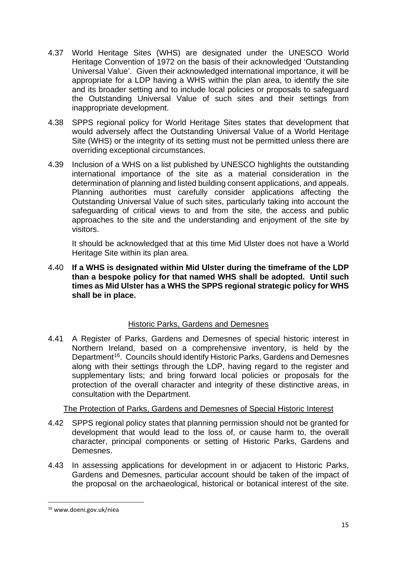- 4.37 World Heritage Sites (WHS) are designated under the UNESCO World Heritage Convention of 1972 on the basis of their acknowledged 'Outstanding Universal Value'. Given their acknowledged international importance, it will be appropriate for a LDP having a WHS within the plan area, to identify the site and its broader setting and to include local policies or proposals to safeguard the Outstanding Universal Value of such sites and their settings from inappropriate development.
- 4.38 SPPS regional policy for World Heritage Sites states that development that would adversely affect the Outstanding Universal Value of a World Heritage Site (WHS) or the integrity of its setting must not be permitted unless there are overriding exceptional circumstances.
- 4.39 Inclusion of a WHS on a list published by UNESCO highlights the outstanding international importance of the site as a material consideration in the determination of planning and listed building consent applications, and appeals. Planning authorities must carefully consider applications affecting the Outstanding Universal Value of such sites, particularly taking into account the safeguarding of critical views to and from the site, the access and public approaches to the site and the understanding and enjoyment of the site by visitors.

It should be acknowledged that at this time Mid Ulster does not have a World Heritage Site within its plan area.

4.40 **If a WHS is designated within Mid Ulster during the timeframe of the LDP than a bespoke policy for that named WHS shall be adopted. Until such times as Mid Ulster has a WHS the SPPS regional strategic policy for WHS shall be in place.**

## Historic Parks, Gardens and Demesnes

4.41 A Register of Parks, Gardens and Demesnes of special historic interest in Northern Ireland, based on a comprehensive inventory, is held by the Department<sup>[16](#page-15-0)</sup>. Councils should identify Historic Parks, Gardens and Demesnes along with their settings through the LDP, having regard to the register and supplementary lists; and bring forward local policies or proposals for the protection of the overall character and integrity of these distinctive areas, in consultation with the Department.

## The Protection of Parks, Gardens and Demesnes of Special Historic Interest

- 4.42 SPPS regional policy states that planning permission should not be granted for development that would lead to the loss of, or cause harm to, the overall character, principal components or setting of Historic Parks, Gardens and Demesnes.
- 4.43 In assessing applications for development in or adjacent to Historic Parks, Gardens and Demesnes, particular account should be taken of the impact of the proposal on the archaeological, historical or botanical interest of the site.

<span id="page-15-0"></span> <sup>16</sup> www.doeni.gov.uk/niea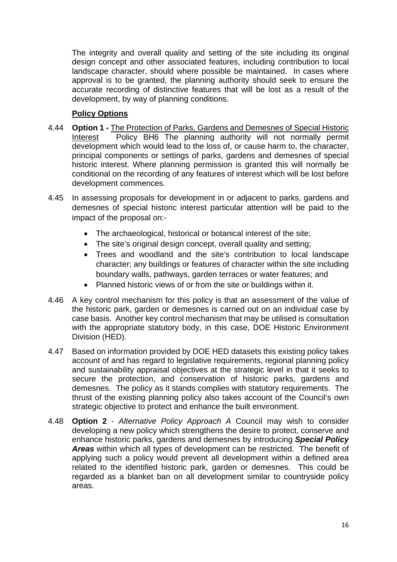The integrity and overall quality and setting of the site including its original design concept and other associated features, including contribution to local landscape character, should where possible be maintained. In cases where approval is to be granted, the planning authority should seek to ensure the accurate recording of distinctive features that will be lost as a result of the development, by way of planning conditions.

- 4.44 **Option 1 -** The Protection of Parks, Gardens and Demesnes of Special Historic Interest Policy BH6 The planning authority will not normally permit development which would lead to the loss of, or cause harm to, the character, principal components or settings of parks, gardens and demesnes of special historic interest. Where planning permission is granted this will normally be conditional on the recording of any features of interest which will be lost before development commences.
- 4.45 In assessing proposals for development in or adjacent to parks, gardens and demesnes of special historic interest particular attention will be paid to the impact of the proposal on:-
	- The archaeological, historical or botanical interest of the site;
	- The site's original design concept, overall quality and setting;
	- Trees and woodland and the site's contribution to local landscape character; any buildings or features of character within the site including boundary walls, pathways, garden terraces or water features; and
	- Planned historic views of or from the site or buildings within it.
- 4.46 A key control mechanism for this policy is that an assessment of the value of the historic park, garden or demesnes is carried out on an individual case by case basis. Another key control mechanism that may be utilised is consultation with the appropriate statutory body, in this case, DOE Historic Environment Division (HED).
- 4.47 Based on information provided by DOE HED datasets this existing policy takes account of and has regard to legislative requirements, regional planning policy and sustainability appraisal objectives at the strategic level in that it seeks to secure the protection, and conservation of historic parks, gardens and demesnes. The policy as it stands complies with statutory requirements. The thrust of the existing planning policy also takes account of the Council's own strategic objective to protect and enhance the built environment.
- 4.48 **Option 2** *Alternative Policy Approach A* Council may wish to consider developing a new policy which strengthens the desire to protect, conserve and enhance historic parks, gardens and demesnes by introducing *Special Policy Areas* within which all types of development can be restricted. The benefit of applying such a policy would prevent all development within a defined area related to the identified historic park, garden or demesnes. This could be regarded as a blanket ban on all development similar to countryside policy areas.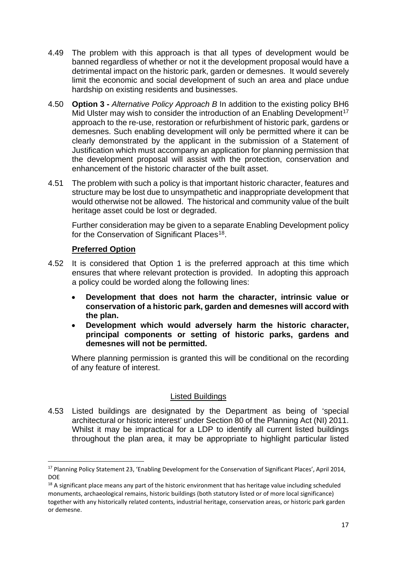- 4.49 The problem with this approach is that all types of development would be banned regardless of whether or not it the development proposal would have a detrimental impact on the historic park, garden or demesnes. It would severely limit the economic and social development of such an area and place undue hardship on existing residents and businesses.
- 4.50 **Option 3 -** *Alternative Policy Approach B* In addition to the existing policy BH6 Mid Ulster may wish to consider the introduction of an Enabling Development<sup>[17](#page-17-0)</sup> approach to the re-use, restoration or refurbishment of historic park, gardens or demesnes. Such enabling development will only be permitted where it can be clearly demonstrated by the applicant in the submission of a Statement of Justification which must accompany an application for planning permission that the development proposal will assist with the protection, conservation and enhancement of the historic character of the built asset.
- 4.51 The problem with such a policy is that important historic character, features and structure may be lost due to unsympathetic and inappropriate development that would otherwise not be allowed. The historical and community value of the built heritage asset could be lost or degraded.

Further consideration may be given to a separate Enabling Development policy for the Conservation of Significant Places<sup>18</sup>.

## **Preferred Option**

- 4.52 It is considered that Option 1 is the preferred approach at this time which ensures that where relevant protection is provided. In adopting this approach a policy could be worded along the following lines:
	- **Development that does not harm the character, intrinsic value or conservation of a historic park, garden and demesnes will accord with the plan.**
	- **Development which would adversely harm the historic character, principal components or setting of historic parks, gardens and demesnes will not be permitted.**

Where planning permission is granted this will be conditional on the recording of any feature of interest.

## Listed Buildings

4.53 Listed buildings are designated by the Department as being of 'special architectural or historic interest' under Section 80 of the Planning Act (NI) 2011. Whilst it may be impractical for a LDP to identify all current listed buildings throughout the plan area, it may be appropriate to highlight particular listed

<span id="page-17-0"></span><sup>&</sup>lt;sup>17</sup> Planning Policy Statement 23, 'Enabling Development for the Conservation of Significant Places', April 2014, DOE

<span id="page-17-1"></span><sup>&</sup>lt;sup>18</sup> A significant place means any part of the historic environment that has heritage value including scheduled monuments, archaeological remains, historic buildings (both statutory listed or of more local significance) together with any historically related contents, industrial heritage, conservation areas, or historic park garden or demesne.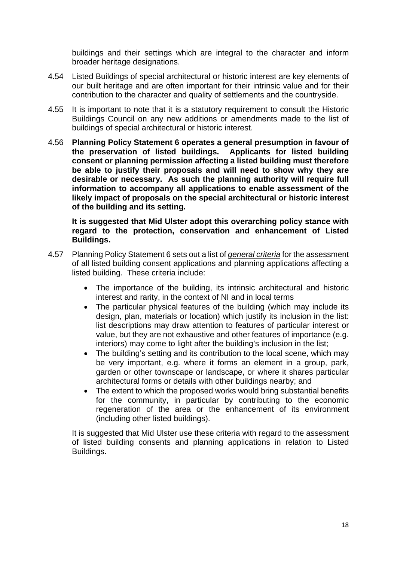buildings and their settings which are integral to the character and inform broader heritage designations.

- 4.54 Listed Buildings of special architectural or historic interest are key elements of our built heritage and are often important for their intrinsic value and for their contribution to the character and quality of settlements and the countryside.
- 4.55 It is important to note that it is a statutory requirement to consult the Historic Buildings Council on any new additions or amendments made to the list of buildings of special architectural or historic interest.
- 4.56 **Planning Policy Statement 6 operates a general presumption in favour of the preservation of listed buildings. Applicants for listed building consent or planning permission affecting a listed building must therefore be able to justify their proposals and will need to show why they are desirable or necessary. As such the planning authority will require full information to accompany all applications to enable assessment of the likely impact of proposals on the special architectural or historic interest of the building and its setting.**

**It is suggested that Mid Ulster adopt this overarching policy stance with regard to the protection, conservation and enhancement of Listed Buildings.**

- 4.57 Planning Policy Statement 6 sets out a list of *general criteria* for the assessment of all listed building consent applications and planning applications affecting a listed building. These criteria include:
	- The importance of the building, its intrinsic architectural and historic interest and rarity, in the context of NI and in local terms
	- The particular physical features of the building (which may include its design, plan, materials or location) which justify its inclusion in the list: list descriptions may draw attention to features of particular interest or value, but they are not exhaustive and other features of importance (e.g. interiors) may come to light after the building's inclusion in the list;
	- The building's setting and its contribution to the local scene, which may be very important, e.g. where it forms an element in a group, park, garden or other townscape or landscape, or where it shares particular architectural forms or details with other buildings nearby; and
	- The extent to which the proposed works would bring substantial benefits for the community, in particular by contributing to the economic regeneration of the area or the enhancement of its environment (including other listed buildings).

It is suggested that Mid Ulster use these criteria with regard to the assessment of listed building consents and planning applications in relation to Listed Buildings.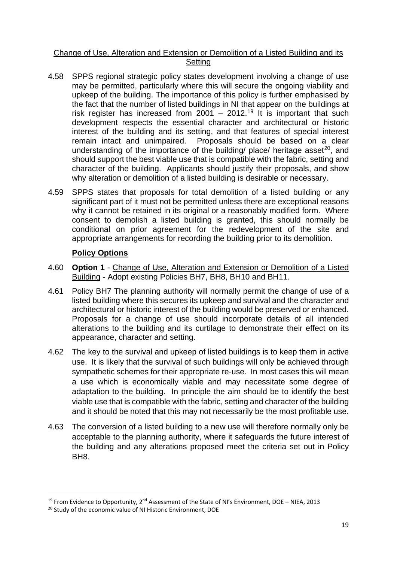#### Change of Use, Alteration and Extension or Demolition of a Listed Building and its **Setting**

- 4.58 SPPS regional strategic policy states development involving a change of use may be permitted, particularly where this will secure the ongoing viability and upkeep of the building. The importance of this policy is further emphasised by the fact that the number of listed buildings in NI that appear on the buildings at risk register has increased from  $2001 - 2012$ .<sup>[19](#page-19-0)</sup> It is important that such development respects the essential character and architectural or historic interest of the building and its setting, and that features of special interest remain intact and unimpaired. Proposals should be based on a clear understanding of the importance of the building/ place/ heritage asset<sup>[20](#page-19-1)</sup>, and should support the best viable use that is compatible with the fabric, setting and character of the building. Applicants should justify their proposals, and show why alteration or demolition of a listed building is desirable or necessary.
- 4.59 SPPS states that proposals for total demolition of a listed building or any significant part of it must not be permitted unless there are exceptional reasons why it cannot be retained in its original or a reasonably modified form. Where consent to demolish a listed building is granted, this should normally be conditional on prior agreement for the redevelopment of the site and appropriate arrangements for recording the building prior to its demolition.

- 4.60 **Option 1** Change of Use, Alteration and Extension or Demolition of a Listed Building - Adopt existing Policies BH7, BH8, BH10 and BH11.
- 4.61 Policy BH7 The planning authority will normally permit the change of use of a listed building where this secures its upkeep and survival and the character and architectural or historic interest of the building would be preserved or enhanced. Proposals for a change of use should incorporate details of all intended alterations to the building and its curtilage to demonstrate their effect on its appearance, character and setting.
- 4.62 The key to the survival and upkeep of listed buildings is to keep them in active use. It is likely that the survival of such buildings will only be achieved through sympathetic schemes for their appropriate re-use. In most cases this will mean a use which is economically viable and may necessitate some degree of adaptation to the building. In principle the aim should be to identify the best viable use that is compatible with the fabric, setting and character of the building and it should be noted that this may not necessarily be the most profitable use.
- 4.63 The conversion of a listed building to a new use will therefore normally only be acceptable to the planning authority, where it safeguards the future interest of the building and any alterations proposed meet the criteria set out in Policy BH<sub>8</sub>.

<span id="page-19-0"></span><sup>&</sup>lt;sup>19</sup> From Evidence to Opportunity, 2<sup>nd</sup> Assessment of the State of NI's Environment, DOE – NIEA, 2013

<span id="page-19-1"></span><sup>&</sup>lt;sup>20</sup> Study of the economic value of NI Historic Environment, DOE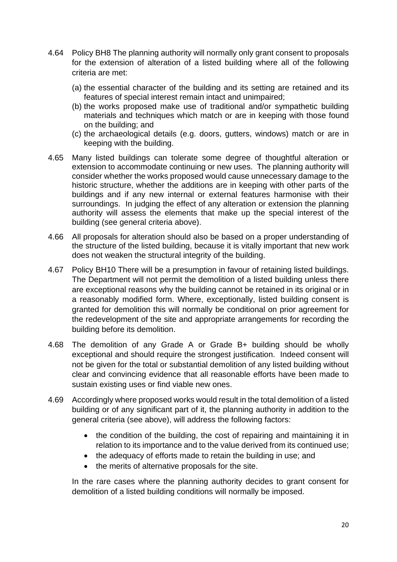- 4.64 Policy BH8 The planning authority will normally only grant consent to proposals for the extension of alteration of a listed building where all of the following criteria are met:
	- (a) the essential character of the building and its setting are retained and its features of special interest remain intact and unimpaired;
	- (b) the works proposed make use of traditional and/or sympathetic building materials and techniques which match or are in keeping with those found on the building; and
	- (c) the archaeological details (e.g. doors, gutters, windows) match or are in keeping with the building.
- 4.65 Many listed buildings can tolerate some degree of thoughtful alteration or extension to accommodate continuing or new uses. The planning authority will consider whether the works proposed would cause unnecessary damage to the historic structure, whether the additions are in keeping with other parts of the buildings and if any new internal or external features harmonise with their surroundings. In judging the effect of any alteration or extension the planning authority will assess the elements that make up the special interest of the building (see general criteria above).
- 4.66 All proposals for alteration should also be based on a proper understanding of the structure of the listed building, because it is vitally important that new work does not weaken the structural integrity of the building.
- 4.67 Policy BH10 There will be a presumption in favour of retaining listed buildings. The Department will not permit the demolition of a listed building unless there are exceptional reasons why the building cannot be retained in its original or in a reasonably modified form. Where, exceptionally, listed building consent is granted for demolition this will normally be conditional on prior agreement for the redevelopment of the site and appropriate arrangements for recording the building before its demolition.
- 4.68 The demolition of any Grade A or Grade B+ building should be wholly exceptional and should require the strongest justification. Indeed consent will not be given for the total or substantial demolition of any listed building without clear and convincing evidence that all reasonable efforts have been made to sustain existing uses or find viable new ones.
- 4.69 Accordingly where proposed works would result in the total demolition of a listed building or of any significant part of it, the planning authority in addition to the general criteria (see above), will address the following factors:
	- the condition of the building, the cost of repairing and maintaining it in relation to its importance and to the value derived from its continued use;
	- the adequacy of efforts made to retain the building in use; and
	- the merits of alternative proposals for the site.

In the rare cases where the planning authority decides to grant consent for demolition of a listed building conditions will normally be imposed.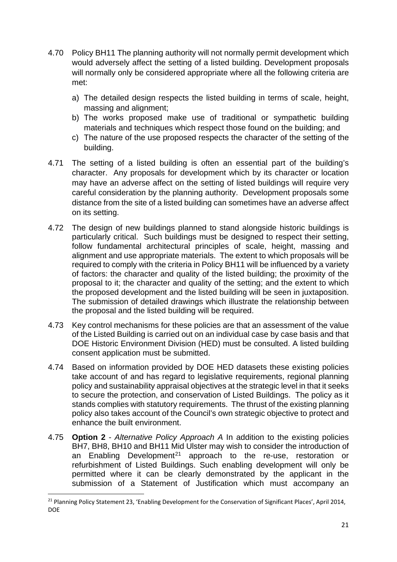- 4.70 Policy BH11 The planning authority will not normally permit development which would adversely affect the setting of a listed building. Development proposals will normally only be considered appropriate where all the following criteria are met:
	- a) The detailed design respects the listed building in terms of scale, height, massing and alignment;
	- b) The works proposed make use of traditional or sympathetic building materials and techniques which respect those found on the building; and
	- c) The nature of the use proposed respects the character of the setting of the building.
- 4.71 The setting of a listed building is often an essential part of the building's character. Any proposals for development which by its character or location may have an adverse affect on the setting of listed buildings will require very careful consideration by the planning authority. Development proposals some distance from the site of a listed building can sometimes have an adverse affect on its setting.
- 4.72 The design of new buildings planned to stand alongside historic buildings is particularly critical. Such buildings must be designed to respect their setting, follow fundamental architectural principles of scale, height, massing and alignment and use appropriate materials. The extent to which proposals will be required to comply with the criteria in Policy BH11 will be influenced by a variety of factors: the character and quality of the listed building; the proximity of the proposal to it; the character and quality of the setting; and the extent to which the proposed development and the listed building will be seen in juxtaposition. The submission of detailed drawings which illustrate the relationship between the proposal and the listed building will be required.
- 4.73 Key control mechanisms for these policies are that an assessment of the value of the Listed Building is carried out on an individual case by case basis and that DOE Historic Environment Division (HED) must be consulted. A listed building consent application must be submitted.
- 4.74 Based on information provided by DOE HED datasets these existing policies take account of and has regard to legislative requirements, regional planning policy and sustainability appraisal objectives at the strategic level in that it seeks to secure the protection, and conservation of Listed Buildings. The policy as it stands complies with statutory requirements. The thrust of the existing planning policy also takes account of the Council's own strategic objective to protect and enhance the built environment.
- 4.75 **Option 2** *Alternative Policy Approach A* In addition to the existing policies BH7, BH8, BH10 and BH11 Mid Ulster may wish to consider the introduction of an Enabling Development<sup>[21](#page-21-0)</sup> approach to the re-use, restoration or refurbishment of Listed Buildings. Such enabling development will only be permitted where it can be clearly demonstrated by the applicant in the submission of a Statement of Justification which must accompany an

<span id="page-21-0"></span><sup>&</sup>lt;sup>21</sup> Planning Policy Statement 23, 'Enabling Development for the Conservation of Significant Places', April 2014, DOE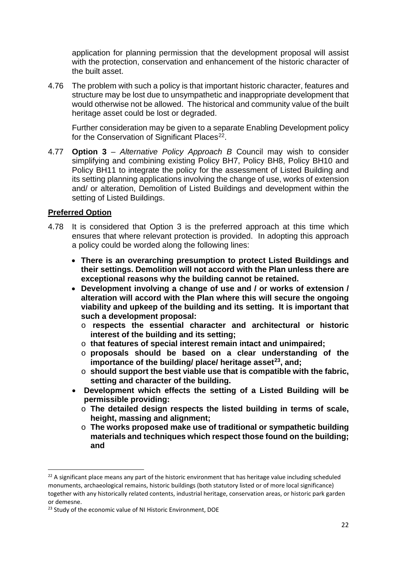application for planning permission that the development proposal will assist with the protection, conservation and enhancement of the historic character of the built asset.

4.76 The problem with such a policy is that important historic character, features and structure may be lost due to unsympathetic and inappropriate development that would otherwise not be allowed. The historical and community value of the built heritage asset could be lost or degraded.

Further consideration may be given to a separate Enabling Development policy for the Conservation of Significant Places<sup>22</sup>.

4.77 **Option 3** – *Alternative Policy Approach B* Council may wish to consider simplifying and combining existing Policy BH7, Policy BH8, Policy BH10 and Policy BH11 to integrate the policy for the assessment of Listed Building and its setting planning applications involving the change of use, works of extension and/ or alteration, Demolition of Listed Buildings and development within the setting of Listed Buildings.

#### **Preferred Option**

- 4.78 It is considered that Option 3 is the preferred approach at this time which ensures that where relevant protection is provided. In adopting this approach a policy could be worded along the following lines:
	- **There is an overarching presumption to protect Listed Buildings and their settings. Demolition will not accord with the Plan unless there are exceptional reasons why the building cannot be retained.**
	- **Development involving a change of use and / or works of extension / alteration will accord with the Plan where this will secure the ongoing viability and upkeep of the building and its setting. It is important that such a development proposal:**
		- o **respects the essential character and architectural or historic interest of the building and its setting;**
		- o **that features of special interest remain intact and unimpaired;**
		- o **proposals should be based on a clear understanding of the importance of the building/ place/ heritage asset[23,](#page-22-1) and;**
		- o **should support the best viable use that is compatible with the fabric, setting and character of the building.**
	- **Development which effects the setting of a Listed Building will be permissible providing:**
		- o **The detailed design respects the listed building in terms of scale, height, massing and alignment;**
		- o **The works proposed make use of traditional or sympathetic building materials and techniques which respect those found on the building; and**

<span id="page-22-0"></span><sup>&</sup>lt;sup>22</sup> A significant place means any part of the historic environment that has heritage value including scheduled monuments, archaeological remains, historic buildings (both statutory listed or of more local significance) together with any historically related contents, industrial heritage, conservation areas, or historic park garden or demesne.

<span id="page-22-1"></span><sup>&</sup>lt;sup>23</sup> Study of the economic value of NI Historic Environment, DOE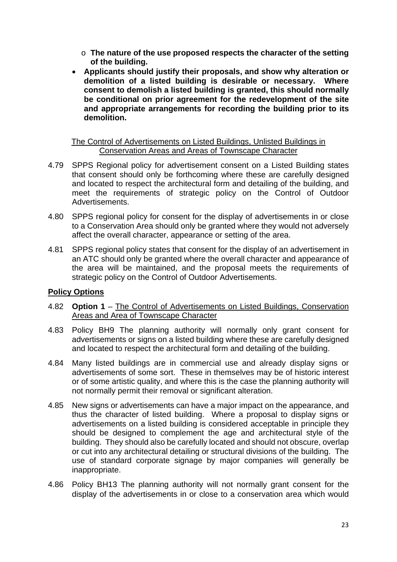- o **The nature of the use proposed respects the character of the setting of the building.**
- **Applicants should justify their proposals, and show why alteration or demolition of a listed building is desirable or necessary. Where consent to demolish a listed building is granted, this should normally be conditional on prior agreement for the redevelopment of the site and appropriate arrangements for recording the building prior to its demolition.**

#### The Control of Advertisements on Listed Buildings, Unlisted Buildings in Conservation Areas and Areas of Townscape Character

- 4.79 SPPS Regional policy for advertisement consent on a Listed Building states that consent should only be forthcoming where these are carefully designed and located to respect the architectural form and detailing of the building, and meet the requirements of strategic policy on the Control of Outdoor Advertisements.
- 4.80 SPPS regional policy for consent for the display of advertisements in or close to a Conservation Area should only be granted where they would not adversely affect the overall character, appearance or setting of the area.
- 4.81 SPPS regional policy states that consent for the display of an advertisement in an ATC should only be granted where the overall character and appearance of the area will be maintained, and the proposal meets the requirements of strategic policy on the Control of Outdoor Advertisements.

- 4.82 **Option 1** The Control of Advertisements on Listed Buildings, Conservation Areas and Area of Townscape Character
- 4.83 Policy BH9 The planning authority will normally only grant consent for advertisements or signs on a listed building where these are carefully designed and located to respect the architectural form and detailing of the building.
- 4.84 Many listed buildings are in commercial use and already display signs or advertisements of some sort. These in themselves may be of historic interest or of some artistic quality, and where this is the case the planning authority will not normally permit their removal or significant alteration.
- 4.85 New signs or advertisements can have a major impact on the appearance, and thus the character of listed building. Where a proposal to display signs or advertisements on a listed building is considered acceptable in principle they should be designed to complement the age and architectural style of the building. They should also be carefully located and should not obscure, overlap or cut into any architectural detailing or structural divisions of the building. The use of standard corporate signage by major companies will generally be inappropriate.
- 4.86 Policy BH13 The planning authority will not normally grant consent for the display of the advertisements in or close to a conservation area which would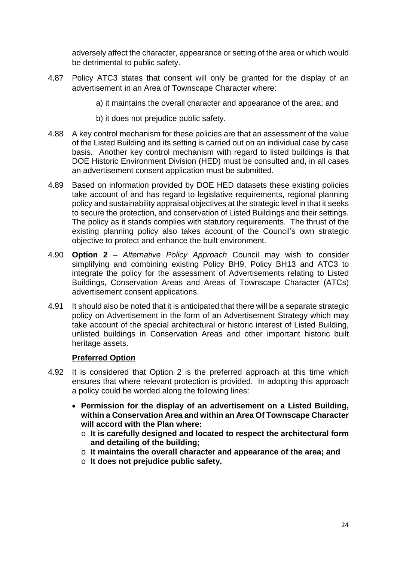adversely affect the character, appearance or setting of the area or which would be detrimental to public safety.

- 4.87 Policy ATC3 states that consent will only be granted for the display of an advertisement in an Area of Townscape Character where:
	- a) it maintains the overall character and appearance of the area; and
	- b) it does not prejudice public safety.
- 4.88 A key control mechanism for these policies are that an assessment of the value of the Listed Building and its setting is carried out on an individual case by case basis. Another key control mechanism with regard to listed buildings is that DOE Historic Environment Division (HED) must be consulted and, in all cases an advertisement consent application must be submitted.
- 4.89 Based on information provided by DOE HED datasets these existing policies take account of and has regard to legislative requirements, regional planning policy and sustainability appraisal objectives at the strategic level in that it seeks to secure the protection, and conservation of Listed Buildings and their settings. The policy as it stands complies with statutory requirements. The thrust of the existing planning policy also takes account of the Council's own strategic objective to protect and enhance the built environment.
- 4.90 **Option 2** *Alternative Policy Approach* Council may wish to consider simplifying and combining existing Policy BH9, Policy BH13 and ATC3 to integrate the policy for the assessment of Advertisements relating to Listed Buildings, Conservation Areas and Areas of Townscape Character (ATCs) advertisement consent applications.
- 4.91 It should also be noted that it is anticipated that there will be a separate strategic policy on Advertisement in the form of an Advertisement Strategy which may take account of the special architectural or historic interest of Listed Building, unlisted buildings in Conservation Areas and other important historic built heritage assets.

## **Preferred Option**

- 4.92 It is considered that Option 2 is the preferred approach at this time which ensures that where relevant protection is provided. In adopting this approach a policy could be worded along the following lines:
	- **Permission for the display of an advertisement on a Listed Building, within a Conservation Area and within an Area Of Townscape Character will accord with the Plan where:**
		- o **It is carefully designed and located to respect the architectural form and detailing of the building;**
		- o **It maintains the overall character and appearance of the area; and**
		- o **It does not prejudice public safety.**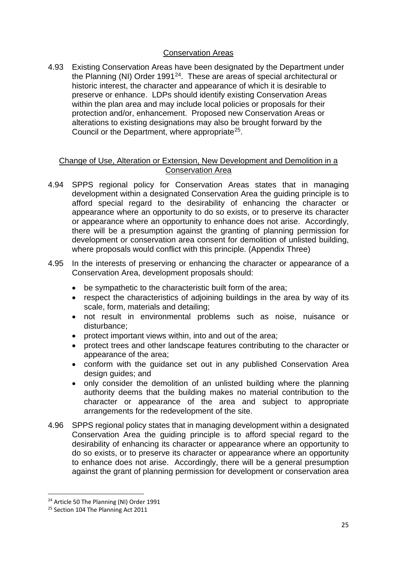## Conservation Areas

4.93 Existing Conservation Areas have been designated by the Department under the Planning (NI) Order 1991[24](#page-25-0). These are areas of special architectural or historic interest, the character and appearance of which it is desirable to preserve or enhance. LDPs should identify existing Conservation Areas within the plan area and may include local policies or proposals for their protection and/or, enhancement. Proposed new Conservation Areas or alterations to existing designations may also be brought forward by the Council or the Department, where appropriate<sup>25</sup>.

#### Change of Use, Alteration or Extension, New Development and Demolition in a Conservation Area

- 4.94 SPPS regional policy for Conservation Areas states that in managing development within a designated Conservation Area the guiding principle is to afford special regard to the desirability of enhancing the character or appearance where an opportunity to do so exists, or to preserve its character or appearance where an opportunity to enhance does not arise. Accordingly, there will be a presumption against the granting of planning permission for development or conservation area consent for demolition of unlisted building, where proposals would conflict with this principle. (Appendix Three)
- 4.95 In the interests of preserving or enhancing the character or appearance of a Conservation Area, development proposals should:
	- be sympathetic to the characteristic built form of the area;
	- respect the characteristics of adjoining buildings in the area by way of its scale, form, materials and detailing;
	- not result in environmental problems such as noise, nuisance or disturbance;
	- protect important views within, into and out of the area;
	- protect trees and other landscape features contributing to the character or appearance of the area;
	- conform with the guidance set out in any published Conservation Area design guides; and
	- only consider the demolition of an unlisted building where the planning authority deems that the building makes no material contribution to the character or appearance of the area and subject to appropriate arrangements for the redevelopment of the site.
- 4.96 SPPS regional policy states that in managing development within a designated Conservation Area the guiding principle is to afford special regard to the desirability of enhancing its character or appearance where an opportunity to do so exists, or to preserve its character or appearance where an opportunity to enhance does not arise. Accordingly, there will be a general presumption against the grant of planning permission for development or conservation area

<span id="page-25-0"></span><sup>&</sup>lt;sup>24</sup> Article 50 The Planning (NI) Order 1991

<span id="page-25-1"></span><sup>&</sup>lt;sup>25</sup> Section 104 The Planning Act 2011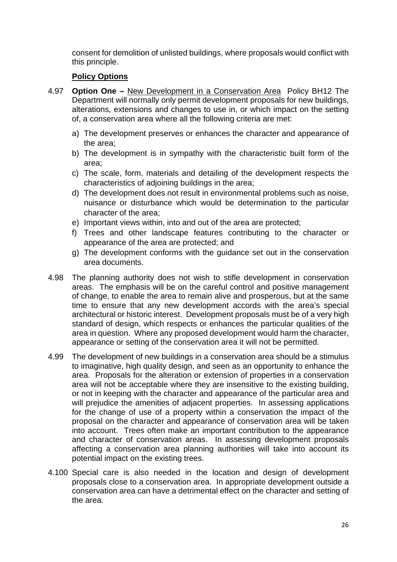consent for demolition of unlisted buildings, where proposals would conflict with this principle.

- 4.97 **Option One –** New Development in a Conservation Area Policy BH12 The Department will normally only permit development proposals for new buildings, alterations, extensions and changes to use in, or which impact on the setting of, a conservation area where all the following criteria are met:
	- a) The development preserves or enhances the character and appearance of the area;
	- b) The development is in sympathy with the characteristic built form of the area;
	- c) The scale, form, materials and detailing of the development respects the characteristics of adjoining buildings in the area;
	- d) The development does not result in environmental problems such as noise, nuisance or disturbance which would be determination to the particular character of the area;
	- e) Important views within, into and out of the area are protected;
	- f) Trees and other landscape features contributing to the character or appearance of the area are protected; and
	- g) The development conforms with the guidance set out in the conservation area documents.
- 4.98 The planning authority does not wish to stifle development in conservation areas. The emphasis will be on the careful control and positive management of change, to enable the area to remain alive and prosperous, but at the same time to ensure that any new development accords with the area's special architectural or historic interest. Development proposals must be of a very high standard of design, which respects or enhances the particular qualities of the area in question. Where any proposed development would harm the character, appearance or setting of the conservation area it will not be permitted.
- 4.99 The development of new buildings in a conservation area should be a stimulus to imaginative, high quality design, and seen as an opportunity to enhance the area. Proposals for the alteration or extension of properties in a conservation area will not be acceptable where they are insensitive to the existing building, or not in keeping with the character and appearance of the particular area and will prejudice the amenities of adjacent properties. In assessing applications for the change of use of a property within a conservation the impact of the proposal on the character and appearance of conservation area will be taken into account. Trees often make an important contribution to the appearance and character of conservation areas. In assessing development proposals affecting a conservation area planning authorities will take into account its potential impact on the existing trees.
- 4.100 Special care is also needed in the location and design of development proposals close to a conservation area. In appropriate development outside a conservation area can have a detrimental effect on the character and setting of the area.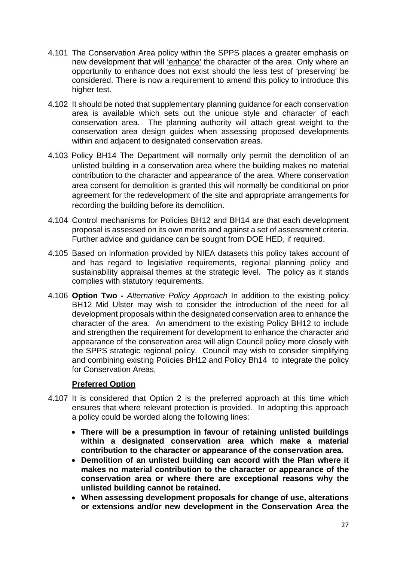- 4.101 The Conservation Area policy within the SPPS places a greater emphasis on new development that will 'enhance' the character of the area. Only where an opportunity to enhance does not exist should the less test of 'preserving' be considered. There is now a requirement to amend this policy to introduce this higher test.
- 4.102 It should be noted that supplementary planning guidance for each conservation area is available which sets out the unique style and character of each conservation area. The planning authority will attach great weight to the conservation area design guides when assessing proposed developments within and adjacent to designated conservation areas.
- 4.103 Policy BH14 The Department will normally only permit the demolition of an unlisted building in a conservation area where the building makes no material contribution to the character and appearance of the area. Where conservation area consent for demolition is granted this will normally be conditional on prior agreement for the redevelopment of the site and appropriate arrangements for recording the building before its demolition.
- 4.104 Control mechanisms for Policies BH12 and BH14 are that each development proposal is assessed on its own merits and against a set of assessment criteria. Further advice and guidance can be sought from DOE HED, if required.
- 4.105 Based on information provided by NIEA datasets this policy takes account of and has regard to legislative requirements, regional planning policy and sustainability appraisal themes at the strategic level. The policy as it stands complies with statutory requirements.
- 4.106 **Option Two -** *Alternative Policy Approach* In addition to the existing policy BH12 Mid Ulster may wish to consider the introduction of the need for all development proposals within the designated conservation area to enhance the character of the area. An amendment to the existing Policy BH12 to include and strengthen the requirement for development to enhance the character and appearance of the conservation area will align Council policy more closely with the SPPS strategic regional policy. Council may wish to consider simplifying and combining existing Policies BH12 and Policy Bh14 to integrate the policy for Conservation Areas,

## **Preferred Option**

- 4.107 It is considered that Option 2 is the preferred approach at this time which ensures that where relevant protection is provided. In adopting this approach a policy could be worded along the following lines:
	- **There will be a presumption in favour of retaining unlisted buildings within a designated conservation area which make a material contribution to the character or appearance of the conservation area.**
	- **Demolition of an unlisted building can accord with the Plan where it makes no material contribution to the character or appearance of the conservation area or where there are exceptional reasons why the unlisted building cannot be retained.**
	- **When assessing development proposals for change of use, alterations or extensions and/or new development in the Conservation Area the**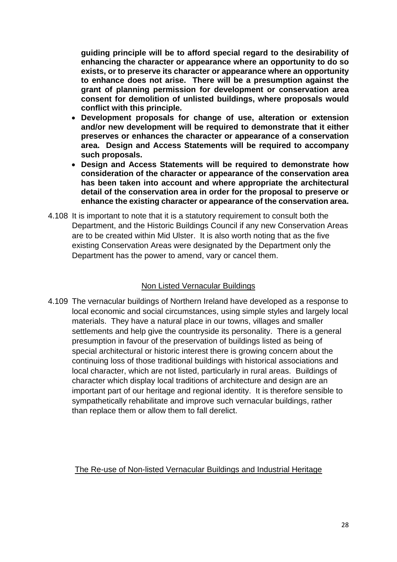**guiding principle will be to afford special regard to the desirability of enhancing the character or appearance where an opportunity to do so exists, or to preserve its character or appearance where an opportunity to enhance does not arise. There will be a presumption against the grant of planning permission for development or conservation area consent for demolition of unlisted buildings, where proposals would conflict with this principle.**

- **Development proposals for change of use, alteration or extension and/or new development will be required to demonstrate that it either preserves or enhances the character or appearance of a conservation area. Design and Access Statements will be required to accompany such proposals.**
- **Design and Access Statements will be required to demonstrate how consideration of the character or appearance of the conservation area has been taken into account and where appropriate the architectural detail of the conservation area in order for the proposal to preserve or enhance the existing character or appearance of the conservation area.**
- 4.108 It is important to note that it is a statutory requirement to consult both the Department, and the Historic Buildings Council if any new Conservation Areas are to be created within Mid Ulster. It is also worth noting that as the five existing Conservation Areas were designated by the Department only the Department has the power to amend, vary or cancel them.

#### Non Listed Vernacular Buildings

4.109 The vernacular buildings of Northern Ireland have developed as a response to local economic and social circumstances, using simple styles and largely local materials. They have a natural place in our towns, villages and smaller settlements and help give the countryside its personality. There is a general presumption in favour of the preservation of buildings listed as being of special architectural or historic interest there is growing concern about the continuing loss of those traditional buildings with historical associations and local character, which are not listed, particularly in rural areas. Buildings of character which display local traditions of architecture and design are an important part of our heritage and regional identity. It is therefore sensible to sympathetically rehabilitate and improve such vernacular buildings, rather than replace them or allow them to fall derelict.

#### The Re-use of Non-listed Vernacular Buildings and Industrial Heritage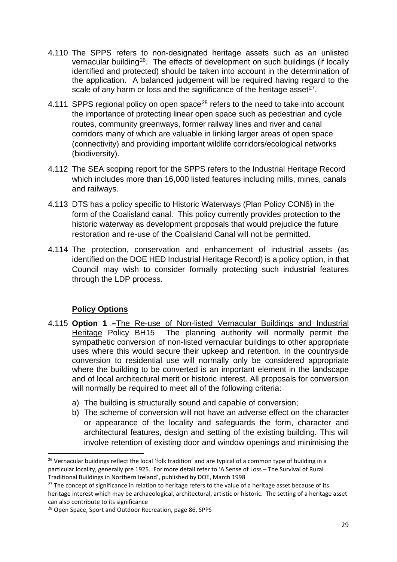- 4.110 The SPPS refers to non-designated heritage assets such as an unlisted vernacular building<sup>26</sup>. The effects of development on such buildings (if locally identified and protected) should be taken into account in the determination of the application. A balanced judgement will be required having regard to the scale of any harm or loss and the significance of the heritage asset  $27$ .
- 4.111 SPPS regional policy on open space<sup>[28](#page-29-2)</sup> refers to the need to take into account the importance of protecting linear open space such as pedestrian and cycle routes, community greenways, former railway lines and river and canal corridors many of which are valuable in linking larger areas of open space (connectivity) and providing important wildlife corridors/ecological networks (biodiversity).
- 4.112 The SEA scoping report for the SPPS refers to the Industrial Heritage Record which includes more than 16,000 listed features including mills, mines, canals and railways.
- 4.113 DTS has a policy specific to Historic Waterways (Plan Policy CON6) in the form of the Coalisland canal. This policy currently provides protection to the historic waterway as development proposals that would prejudice the future restoration and re-use of the Coalisland Canal will not be permitted.
- 4.114 The protection, conservation and enhancement of industrial assets (as identified on the DOE HED Industrial Heritage Record) is a policy option, in that Council may wish to consider formally protecting such industrial features through the LDP process.

- 4.115 **Option 1 –**The Re-use of Non-listed Vernacular Buildings and Industrial Heritage Policy BH15 The planning authority will normally permit the sympathetic conversion of non-listed vernacular buildings to other appropriate uses where this would secure their upkeep and retention. In the countryside conversion to residential use will normally only be considered appropriate where the building to be converted is an important element in the landscape and of local architectural merit or historic interest. All proposals for conversion will normally be required to meet all of the following criteria:
	- a) The building is structurally sound and capable of conversion;
	- b) The scheme of conversion will not have an adverse effect on the character or appearance of the locality and safeguards the form, character and architectural features, design and setting of the existing building. This will involve retention of existing door and window openings and minimising the

<span id="page-29-0"></span><sup>&</sup>lt;sup>26</sup> Vernacular buildings reflect the local 'folk tradition' and are typical of a common type of building in a particular locality, generally pre 1925. For more detail refer to 'A Sense of Loss – The Survival of Rural Traditional Buildings in Northern Ireland', published by DOE, March 1998

<span id="page-29-1"></span><sup>&</sup>lt;sup>27</sup> The concept of significance in relation to heritage refers to the value of a heritage asset because of its heritage interest which may be archaeological, architectural, artistic or historic. The setting of a heritage asset can also contribute to its significance

<span id="page-29-2"></span><sup>28</sup> Open Space, Sport and Outdoor Recreation, page 86, SPPS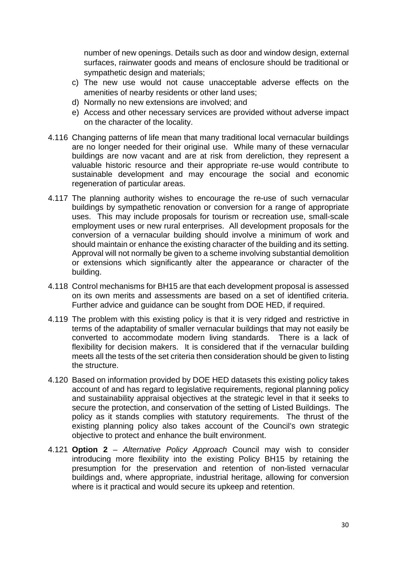number of new openings. Details such as door and window design, external surfaces, rainwater goods and means of enclosure should be traditional or sympathetic design and materials;

- c) The new use would not cause unacceptable adverse effects on the amenities of nearby residents or other land uses;
- d) Normally no new extensions are involved; and
- e) Access and other necessary services are provided without adverse impact on the character of the locality.
- 4.116 Changing patterns of life mean that many traditional local vernacular buildings are no longer needed for their original use. While many of these vernacular buildings are now vacant and are at risk from dereliction, they represent a valuable historic resource and their appropriate re-use would contribute to sustainable development and may encourage the social and economic regeneration of particular areas.
- 4.117 The planning authority wishes to encourage the re-use of such vernacular buildings by sympathetic renovation or conversion for a range of appropriate uses. This may include proposals for tourism or recreation use, small-scale employment uses or new rural enterprises. All development proposals for the conversion of a vernacular building should involve a minimum of work and should maintain or enhance the existing character of the building and its setting. Approval will not normally be given to a scheme involving substantial demolition or extensions which significantly alter the appearance or character of the building.
- 4.118 Control mechanisms for BH15 are that each development proposal is assessed on its own merits and assessments are based on a set of identified criteria. Further advice and guidance can be sought from DOE HED, if required.
- 4.119 The problem with this existing policy is that it is very ridged and restrictive in terms of the adaptability of smaller vernacular buildings that may not easily be converted to accommodate modern living standards. There is a lack of flexibility for decision makers. It is considered that if the vernacular building meets all the tests of the set criteria then consideration should be given to listing the structure.
- 4.120 Based on information provided by DOE HED datasets this existing policy takes account of and has regard to legislative requirements, regional planning policy and sustainability appraisal objectives at the strategic level in that it seeks to secure the protection, and conservation of the setting of Listed Buildings. The policy as it stands complies with statutory requirements. The thrust of the existing planning policy also takes account of the Council's own strategic objective to protect and enhance the built environment.
- 4.121 **Option 2** *Alternative Policy Approach* Council may wish to consider introducing more flexibility into the existing Policy BH15 by retaining the presumption for the preservation and retention of non-listed vernacular buildings and, where appropriate, industrial heritage, allowing for conversion where is it practical and would secure its upkeep and retention.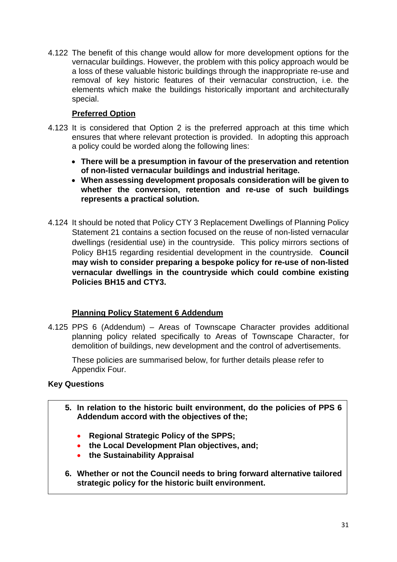4.122 The benefit of this change would allow for more development options for the vernacular buildings. However, the problem with this policy approach would be a loss of these valuable historic buildings through the inappropriate re-use and removal of key historic features of their vernacular construction, i.e. the elements which make the buildings historically important and architecturally special.

## **Preferred Option**

- 4.123 It is considered that Option 2 is the preferred approach at this time which ensures that where relevant protection is provided. In adopting this approach a policy could be worded along the following lines:
	- **There will be a presumption in favour of the preservation and retention of non-listed vernacular buildings and industrial heritage.**
	- **When assessing development proposals consideration will be given to whether the conversion, retention and re-use of such buildings represents a practical solution.**
- 4.124 It should be noted that Policy CTY 3 Replacement Dwellings of Planning Policy Statement 21 contains a section focused on the reuse of non-listed vernacular dwellings (residential use) in the countryside. This policy mirrors sections of Policy BH15 regarding residential development in the countryside. **Council may wish to consider preparing a bespoke policy for re-use of non-listed vernacular dwellings in the countryside which could combine existing Policies BH15 and CTY3.**

## **Planning Policy Statement 6 Addendum**

4.125 PPS 6 (Addendum) – Areas of Townscape Character provides additional planning policy related specifically to Areas of Townscape Character, for demolition of buildings, new development and the control of advertisements.

These policies are summarised below, for further details please refer to Appendix Four.

## **Key Questions**

- **5. In relation to the historic built environment, do the policies of PPS 6 Addendum accord with the objectives of the;**
	- **Regional Strategic Policy of the SPPS;**
	- **the Local Development Plan objectives, and;**
	- **the Sustainability Appraisal**
- **6. Whether or not the Council needs to bring forward alternative tailored strategic policy for the historic built environment.**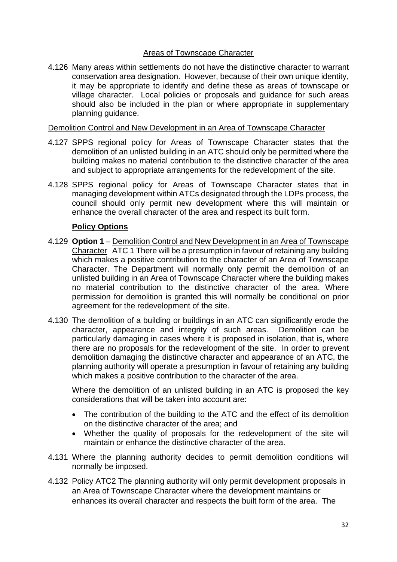#### Areas of Townscape Character

4.126 Many areas within settlements do not have the distinctive character to warrant conservation area designation. However, because of their own unique identity, it may be appropriate to identify and define these as areas of townscape or village character. Local policies or proposals and guidance for such areas should also be included in the plan or where appropriate in supplementary planning guidance.

#### Demolition Control and New Development in an Area of Townscape Character

- 4.127 SPPS regional policy for Areas of Townscape Character states that the demolition of an unlisted building in an ATC should only be permitted where the building makes no material contribution to the distinctive character of the area and subject to appropriate arrangements for the redevelopment of the site.
- 4.128 SPPS regional policy for Areas of Townscape Character states that in managing development within ATCs designated through the LDPs process, the council should only permit new development where this will maintain or enhance the overall character of the area and respect its built form.

#### **Policy Options**

- 4.129 **Option 1** Demolition Control and New Development in an Area of Townscape Character ATC 1 There will be a presumption in favour of retaining any building which makes a positive contribution to the character of an Area of Townscape Character. The Department will normally only permit the demolition of an unlisted building in an Area of Townscape Character where the building makes no material contribution to the distinctive character of the area. Where permission for demolition is granted this will normally be conditional on prior agreement for the redevelopment of the site.
- 4.130 The demolition of a building or buildings in an ATC can significantly erode the character, appearance and integrity of such areas. Demolition can be particularly damaging in cases where it is proposed in isolation, that is, where there are no proposals for the redevelopment of the site. In order to prevent demolition damaging the distinctive character and appearance of an ATC, the planning authority will operate a presumption in favour of retaining any building which makes a positive contribution to the character of the area.

Where the demolition of an unlisted building in an ATC is proposed the key considerations that will be taken into account are:

- The contribution of the building to the ATC and the effect of its demolition on the distinctive character of the area; and
- Whether the quality of proposals for the redevelopment of the site will maintain or enhance the distinctive character of the area.
- 4.131 Where the planning authority decides to permit demolition conditions will normally be imposed.
- 4.132 Policy ATC2 The planning authority will only permit development proposals in an Area of Townscape Character where the development maintains or enhances its overall character and respects the built form of the area. The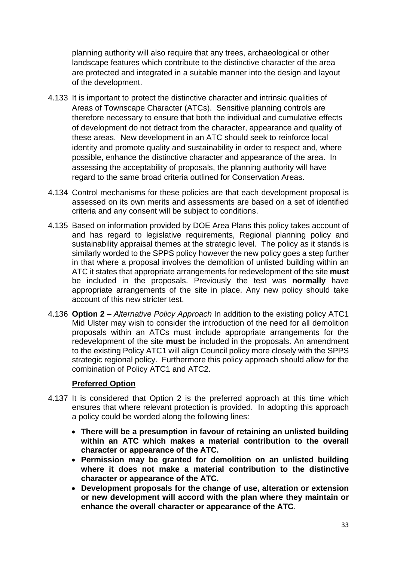planning authority will also require that any trees, archaeological or other landscape features which contribute to the distinctive character of the area are protected and integrated in a suitable manner into the design and layout of the development.

- 4.133 It is important to protect the distinctive character and intrinsic qualities of Areas of Townscape Character (ATCs). Sensitive planning controls are therefore necessary to ensure that both the individual and cumulative effects of development do not detract from the character, appearance and quality of these areas. New development in an ATC should seek to reinforce local identity and promote quality and sustainability in order to respect and, where possible, enhance the distinctive character and appearance of the area. In assessing the acceptability of proposals, the planning authority will have regard to the same broad criteria outlined for Conservation Areas.
- 4.134 Control mechanisms for these policies are that each development proposal is assessed on its own merits and assessments are based on a set of identified criteria and any consent will be subject to conditions.
- 4.135 Based on information provided by DOE Area Plans this policy takes account of and has regard to legislative requirements, Regional planning policy and sustainability appraisal themes at the strategic level. The policy as it stands is similarly worded to the SPPS policy however the new policy goes a step further in that where a proposal involves the demolition of unlisted building within an ATC it states that appropriate arrangements for redevelopment of the site **must**  be included in the proposals. Previously the test was **normally** have appropriate arrangements of the site in place. Any new policy should take account of this new stricter test.
- 4.136 **Option 2** *Alternative Policy Approach* In addition to the existing policy ATC1 Mid Ulster may wish to consider the introduction of the need for all demolition proposals within an ATCs must include appropriate arrangements for the redevelopment of the site **must** be included in the proposals. An amendment to the existing Policy ATC1 will align Council policy more closely with the SPPS strategic regional policy. Furthermore this policy approach should allow for the combination of Policy ATC1 and ATC2.

## **Preferred Option**

- 4.137 It is considered that Option 2 is the preferred approach at this time which ensures that where relevant protection is provided. In adopting this approach a policy could be worded along the following lines:
	- **There will be a presumption in favour of retaining an unlisted building within an ATC which makes a material contribution to the overall character or appearance of the ATC.**
	- **Permission may be granted for demolition on an unlisted building where it does not make a material contribution to the distinctive character or appearance of the ATC.**
	- **Development proposals for the change of use, alteration or extension or new development will accord with the plan where they maintain or enhance the overall character or appearance of the ATC**.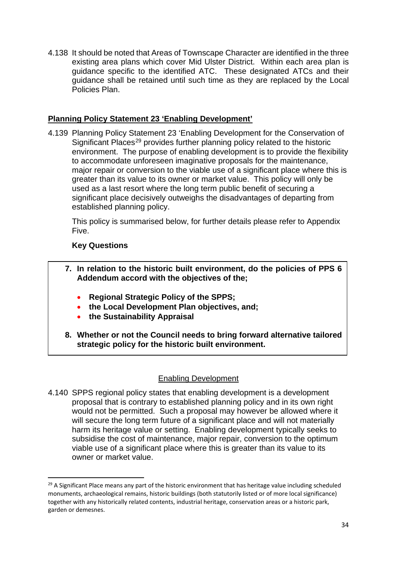4.138 It should be noted that Areas of Townscape Character are identified in the three existing area plans which cover Mid Ulster District. Within each area plan is guidance specific to the identified ATC. These designated ATCs and their guidance shall be retained until such time as they are replaced by the Local Policies Plan.

#### **Planning Policy Statement 23 'Enabling Development'**

4.139 Planning Policy Statement 23 'Enabling Development for the Conservation of Significant Places<sup>[29](#page-34-0)</sup> provides further planning policy related to the historic environment. The purpose of enabling development is to provide the flexibility to accommodate unforeseen imaginative proposals for the maintenance, major repair or conversion to the viable use of a significant place where this is greater than its value to its owner or market value. This policy will only be used as a last resort where the long term public benefit of securing a significant place decisively outweighs the disadvantages of departing from established planning policy.

This policy is summarised below, for further details please refer to Appendix Five.

#### **Key Questions**

- **7. In relation to the historic built environment, do the policies of PPS 6 Addendum accord with the objectives of the;**
	- **Regional Strategic Policy of the SPPS;**
	- **the Local Development Plan objectives, and;**
	- **the Sustainability Appraisal**
- **8. Whether or not the Council needs to bring forward alternative tailored strategic policy for the historic built environment.**

#### Enabling Development

4.140 SPPS regional policy states that enabling development is a development proposal that is contrary to established planning policy and in its own right would not be permitted. Such a proposal may however be allowed where it will secure the long term future of a significant place and will not materially harm its heritage value or setting. Enabling development typically seeks to subsidise the cost of maintenance, major repair, conversion to the optimum viable use of a significant place where this is greater than its value to its owner or market value.

<span id="page-34-0"></span><sup>&</sup>lt;sup>29</sup> A Significant Place means any part of the historic environment that has heritage value including scheduled monuments, archaeological remains, historic buildings (both statutorily listed or of more local significance) together with any historically related contents, industrial heritage, conservation areas or a historic park, garden or demesnes.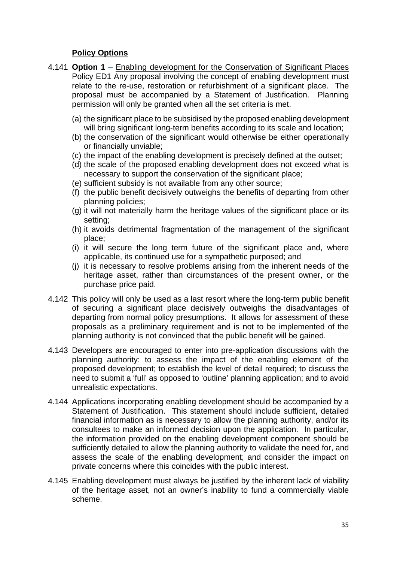- 4.141 **Option 1** Enabling development for the Conservation of Significant Places Policy ED1 Any proposal involving the concept of enabling development must relate to the re-use, restoration or refurbishment of a significant place. The proposal must be accompanied by a Statement of Justification. Planning permission will only be granted when all the set criteria is met.
	- (a) the significant place to be subsidised by the proposed enabling development will bring significant long-term benefits according to its scale and location;
	- (b) the conservation of the significant would otherwise be either operationally or financially unviable;
	- (c) the impact of the enabling development is precisely defined at the outset;
	- (d) the scale of the proposed enabling development does not exceed what is necessary to support the conservation of the significant place;
	- (e) sufficient subsidy is not available from any other source;
	- (f) the public benefit decisively outweighs the benefits of departing from other planning policies;
	- (g) it will not materially harm the heritage values of the significant place or its setting;
	- (h) it avoids detrimental fragmentation of the management of the significant place;
	- (i) it will secure the long term future of the significant place and, where applicable, its continued use for a sympathetic purposed; and
	- (j) it is necessary to resolve problems arising from the inherent needs of the heritage asset, rather than circumstances of the present owner, or the purchase price paid.
- 4.142 This policy will only be used as a last resort where the long-term public benefit of securing a significant place decisively outweighs the disadvantages of departing from normal policy presumptions. It allows for assessment of these proposals as a preliminary requirement and is not to be implemented of the planning authority is not convinced that the public benefit will be gained.
- 4.143 Developers are encouraged to enter into pre-application discussions with the planning authority: to assess the impact of the enabling element of the proposed development; to establish the level of detail required; to discuss the need to submit a 'full' as opposed to 'outline' planning application; and to avoid unrealistic expectations.
- 4.144 Applications incorporating enabling development should be accompanied by a Statement of Justification. This statement should include sufficient, detailed financial information as is necessary to allow the planning authority, and/or its consultees to make an informed decision upon the application. In particular, the information provided on the enabling development component should be sufficiently detailed to allow the planning authority to validate the need for, and assess the scale of the enabling development; and consider the impact on private concerns where this coincides with the public interest.
- 4.145 Enabling development must always be justified by the inherent lack of viability of the heritage asset, not an owner's inability to fund a commercially viable scheme.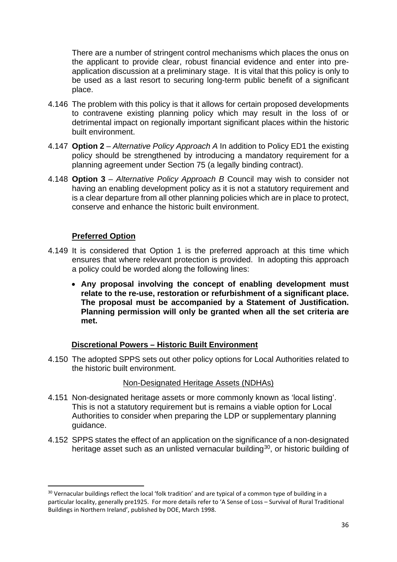There are a number of stringent control mechanisms which places the onus on the applicant to provide clear, robust financial evidence and enter into preapplication discussion at a preliminary stage. It is vital that this policy is only to be used as a last resort to securing long-term public benefit of a significant place.

- 4.146 The problem with this policy is that it allows for certain proposed developments to contravene existing planning policy which may result in the loss of or detrimental impact on regionally important significant places within the historic built environment.
- 4.147 **Option 2** *Alternative Policy Approach A* In addition to Policy ED1 the existing policy should be strengthened by introducing a mandatory requirement for a planning agreement under Section 75 (a legally binding contract).
- 4.148 **Option 3** *Alternative Policy Approach B* Council may wish to consider not having an enabling development policy as it is not a statutory requirement and is a clear departure from all other planning policies which are in place to protect, conserve and enhance the historic built environment.

#### **Preferred Option**

- 4.149 It is considered that Option 1 is the preferred approach at this time which ensures that where relevant protection is provided. In adopting this approach a policy could be worded along the following lines:
	- **Any proposal involving the concept of enabling development must relate to the re-use, restoration or refurbishment of a significant place. The proposal must be accompanied by a Statement of Justification. Planning permission will only be granted when all the set criteria are met.**

#### **Discretional Powers – Historic Built Environment**

4.150 The adopted SPPS sets out other policy options for Local Authorities related to the historic built environment.

#### Non-Designated Heritage Assets (NDHAs)

- 4.151 Non-designated heritage assets or more commonly known as 'local listing'. This is not a statutory requirement but is remains a viable option for Local Authorities to consider when preparing the LDP or supplementary planning guidance.
- 4.152 SPPS states the effect of an application on the significance of a non-designated heritage asset such as an unlisted vernacular building<sup>[30](#page-36-0)</sup>, or historic building of

<span id="page-36-0"></span><sup>&</sup>lt;sup>30</sup> Vernacular buildings reflect the local 'folk tradition' and are typical of a common type of building in a particular locality, generally pre1925. For more details refer to 'A Sense of Loss – Survival of Rural Traditional Buildings in Northern Ireland', published by DOE, March 1998.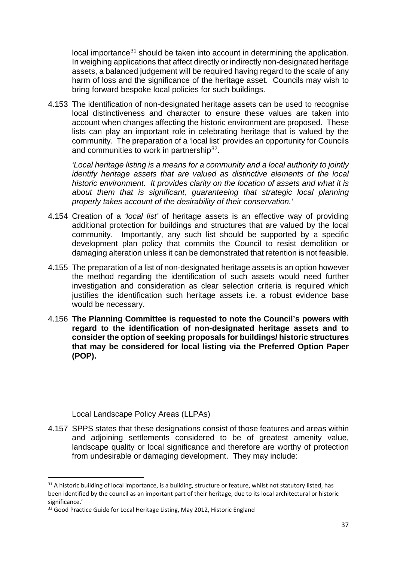local importance<sup>[31](#page-37-0)</sup> should be taken into account in determining the application. In weighing applications that affect directly or indirectly non-designated heritage assets, a balanced judgement will be required having regard to the scale of any harm of loss and the significance of the heritage asset. Councils may wish to bring forward bespoke local policies for such buildings.

4.153 The identification of non-designated heritage assets can be used to recognise local distinctiveness and character to ensure these values are taken into account when changes affecting the historic environment are proposed. These lists can play an important role in celebrating heritage that is valued by the community. The preparation of a 'local list' provides an opportunity for Councils and communities to work in partnership<sup>[32](#page-37-1)</sup>.

*'Local heritage listing is a means for a community and a local authority to jointly identify heritage assets that are valued as distinctive elements of the local historic environment. It provides clarity on the location of assets and what it is about them that is significant, guaranteeing that strategic local planning properly takes account of the desirability of their conservation.'*

- 4.154 Creation of a *'local list'* of heritage assets is an effective way of providing additional protection for buildings and structures that are valued by the local community. Importantly, any such list should be supported by a specific development plan policy that commits the Council to resist demolition or damaging alteration unless it can be demonstrated that retention is not feasible.
- 4.155 The preparation of a list of non-designated heritage assets is an option however the method regarding the identification of such assets would need further investigation and consideration as clear selection criteria is required which justifies the identification such heritage assets i.e. a robust evidence base would be necessary.
- 4.156 **The Planning Committee is requested to note the Council's powers with regard to the identification of non-designated heritage assets and to consider the option of seeking proposals for buildings/ historic structures that may be considered for local listing via the Preferred Option Paper (POP).**

#### Local Landscape Policy Areas (LLPAs)

4.157 SPPS states that these designations consist of those features and areas within and adjoining settlements considered to be of greatest amenity value, landscape quality or local significance and therefore are worthy of protection from undesirable or damaging development. They may include:

<span id="page-37-0"></span><sup>&</sup>lt;sup>31</sup> A historic building of local importance, is a building, structure or feature, whilst not statutory listed, has been identified by the council as an important part of their heritage, due to its local architectural or historic significance.'

<span id="page-37-1"></span><sup>&</sup>lt;sup>32</sup> Good Practice Guide for Local Heritage Listing, May 2012, Historic England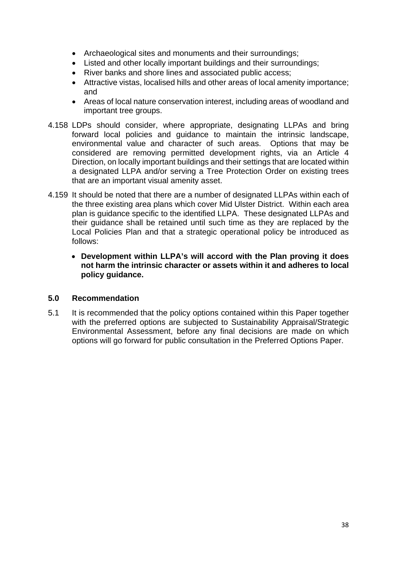- Archaeological sites and monuments and their surroundings;
- Listed and other locally important buildings and their surroundings;
- River banks and shore lines and associated public access;
- Attractive vistas, localised hills and other areas of local amenity importance; and
- Areas of local nature conservation interest, including areas of woodland and important tree groups.
- 4.158 LDPs should consider, where appropriate, designating LLPAs and bring forward local policies and guidance to maintain the intrinsic landscape, environmental value and character of such areas. Options that may be considered are removing permitted development rights, via an Article 4 Direction, on locally important buildings and their settings that are located within a designated LLPA and/or serving a Tree Protection Order on existing trees that are an important visual amenity asset.
- 4.159 It should be noted that there are a number of designated LLPAs within each of the three existing area plans which cover Mid Ulster District. Within each area plan is guidance specific to the identified LLPA. These designated LLPAs and their guidance shall be retained until such time as they are replaced by the Local Policies Plan and that a strategic operational policy be introduced as follows:
	- **Development within LLPA's will accord with the Plan proving it does not harm the intrinsic character or assets within it and adheres to local policy guidance.**

#### **5.0 Recommendation**

5.1 It is recommended that the policy options contained within this Paper together with the preferred options are subjected to Sustainability Appraisal/Strategic Environmental Assessment, before any final decisions are made on which options will go forward for public consultation in the Preferred Options Paper.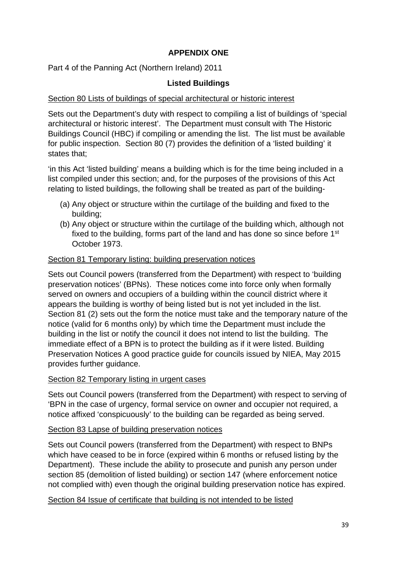# **APPENDIX ONE**

Part 4 of the Panning Act (Northern Ireland) 2011

#### **Listed Buildings**

#### Section 80 Lists of buildings of special architectural or historic interest

Sets out the Department's duty with respect to compiling a list of buildings of 'special architectural or historic interest'. The Department must consult with The Historic Buildings Council (HBC) if compiling or amending the list. The list must be available for public inspection. Section 80 (7) provides the definition of a 'listed building' it states that;

'in this Act 'listed building' means a building which is for the time being included in a list compiled under this section; and, for the purposes of the provisions of this Act relating to listed buildings, the following shall be treated as part of the building-

- (a) Any object or structure within the curtilage of the building and fixed to the building;
- (b) Any object or structure within the curtilage of the building which, although not fixed to the building, forms part of the land and has done so since before 1<sup>st</sup> October 1973.

#### Section 81 Temporary listing: building preservation notices

Sets out Council powers (transferred from the Department) with respect to 'building preservation notices' (BPNs). These notices come into force only when formally served on owners and occupiers of a building within the council district where it appears the building is worthy of being listed but is not yet included in the list. Section 81 (2) sets out the form the notice must take and the temporary nature of the notice (valid for 6 months only) by which time the Department must include the building in the list or notify the council it does not intend to list the building. The immediate effect of a BPN is to protect the building as if it were listed. Building Preservation Notices A good practice guide for councils issued by NIEA, May 2015 provides further guidance.

#### Section 82 Temporary listing in urgent cases

Sets out Council powers (transferred from the Department) with respect to serving of 'BPN in the case of urgency, formal service on owner and occupier not required, a notice affixed 'conspicuously' to the building can be regarded as being served.

#### Section 83 Lapse of building preservation notices

Sets out Council powers (transferred from the Department) with respect to BNPs which have ceased to be in force (expired within 6 months or refused listing by the Department). These include the ability to prosecute and punish any person under section 85 (demolition of listed building) or section 147 (where enforcement notice not complied with) even though the original building preservation notice has expired.

Section 84 Issue of certificate that building is not intended to be listed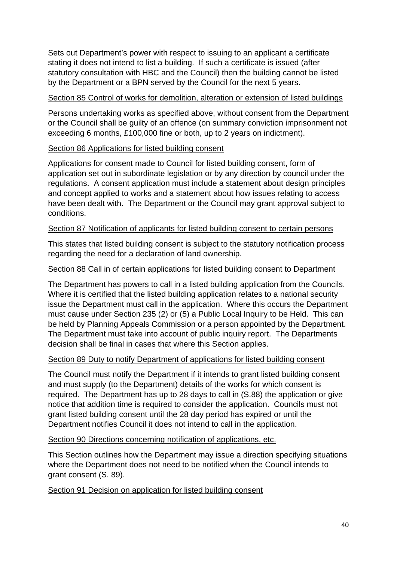Sets out Department's power with respect to issuing to an applicant a certificate stating it does not intend to list a building. If such a certificate is issued (after statutory consultation with HBC and the Council) then the building cannot be listed by the Department or a BPN served by the Council for the next 5 years.

#### Section 85 Control of works for demolition, alteration or extension of listed buildings

Persons undertaking works as specified above, without consent from the Department or the Council shall be guilty of an offence (on summary conviction imprisonment not exceeding 6 months, £100,000 fine or both, up to 2 years on indictment).

#### Section 86 Applications for listed building consent

Applications for consent made to Council for listed building consent, form of application set out in subordinate legislation or by any direction by council under the regulations. A consent application must include a statement about design principles and concept applied to works and a statement about how issues relating to access have been dealt with. The Department or the Council may grant approval subject to conditions.

#### Section 87 Notification of applicants for listed building consent to certain persons

This states that listed building consent is subject to the statutory notification process regarding the need for a declaration of land ownership.

#### Section 88 Call in of certain applications for listed building consent to Department

The Department has powers to call in a listed building application from the Councils. Where it is certified that the listed building application relates to a national security issue the Department must call in the application. Where this occurs the Department must cause under Section 235 (2) or (5) a Public Local Inquiry to be Held. This can be held by Planning Appeals Commission or a person appointed by the Department. The Department must take into account of public inquiry report. The Departments decision shall be final in cases that where this Section applies.

### Section 89 Duty to notify Department of applications for listed building consent

The Council must notify the Department if it intends to grant listed building consent and must supply (to the Department) details of the works for which consent is required. The Department has up to 28 days to call in (S.88) the application or give notice that addition time is required to consider the application. Councils must not grant listed building consent until the 28 day period has expired or until the Department notifies Council it does not intend to call in the application.

#### Section 90 Directions concerning notification of applications, etc.

This Section outlines how the Department may issue a direction specifying situations where the Department does not need to be notified when the Council intends to grant consent (S. 89).

Section 91 Decision on application for listed building consent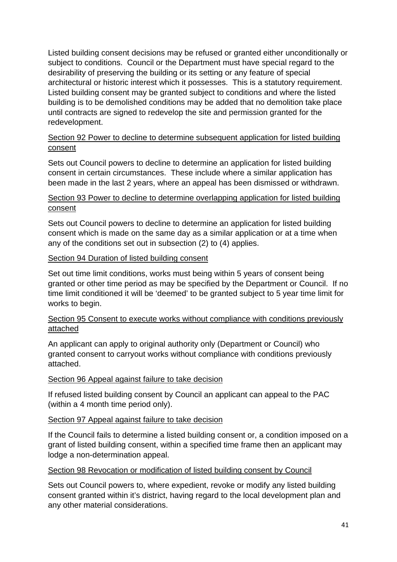Listed building consent decisions may be refused or granted either unconditionally or subject to conditions. Council or the Department must have special regard to the desirability of preserving the building or its setting or any feature of special architectural or historic interest which it possesses. This is a statutory requirement. Listed building consent may be granted subject to conditions and where the listed building is to be demolished conditions may be added that no demolition take place until contracts are signed to redevelop the site and permission granted for the redevelopment.

### Section 92 Power to decline to determine subsequent application for listed building consent

Sets out Council powers to decline to determine an application for listed building consent in certain circumstances. These include where a similar application has been made in the last 2 years, where an appeal has been dismissed or withdrawn.

### Section 93 Power to decline to determine overlapping application for listed building consent

Sets out Council powers to decline to determine an application for listed building consent which is made on the same day as a similar application or at a time when any of the conditions set out in subsection (2) to (4) applies.

#### Section 94 Duration of listed building consent

Set out time limit conditions, works must being within 5 years of consent being granted or other time period as may be specified by the Department or Council. If no time limit conditioned it will be 'deemed' to be granted subject to 5 year time limit for works to begin.

### Section 95 Consent to execute works without compliance with conditions previously attached

An applicant can apply to original authority only (Department or Council) who granted consent to carryout works without compliance with conditions previously attached.

#### Section 96 Appeal against failure to take decision

If refused listed building consent by Council an applicant can appeal to the PAC (within a 4 month time period only).

### Section 97 Appeal against failure to take decision

If the Council fails to determine a listed building consent or, a condition imposed on a grant of listed building consent, within a specified time frame then an applicant may lodge a non-determination appeal.

#### Section 98 Revocation or modification of listed building consent by Council

Sets out Council powers to, where expedient, revoke or modify any listed building consent granted within it's district, having regard to the local development plan and any other material considerations.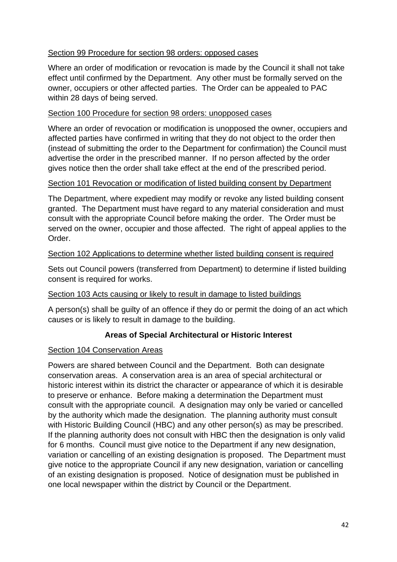## Section 99 Procedure for section 98 orders: opposed cases

Where an order of modification or revocation is made by the Council it shall not take effect until confirmed by the Department. Any other must be formally served on the owner, occupiers or other affected parties. The Order can be appealed to PAC within 28 days of being served.

### Section 100 Procedure for section 98 orders: unopposed cases

Where an order of revocation or modification is unopposed the owner, occupiers and affected parties have confirmed in writing that they do not object to the order then (instead of submitting the order to the Department for confirmation) the Council must advertise the order in the prescribed manner. If no person affected by the order gives notice then the order shall take effect at the end of the prescribed period.

### Section 101 Revocation or modification of listed building consent by Department

The Department, where expedient may modify or revoke any listed building consent granted. The Department must have regard to any material consideration and must consult with the appropriate Council before making the order. The Order must be served on the owner, occupier and those affected. The right of appeal applies to the Order.

# Section 102 Applications to determine whether listed building consent is required

Sets out Council powers (transferred from Department) to determine if listed building consent is required for works.

### Section 103 Acts causing or likely to result in damage to listed buildings

A person(s) shall be guilty of an offence if they do or permit the doing of an act which causes or is likely to result in damage to the building.

# **Areas of Special Architectural or Historic Interest**

### Section 104 Conservation Areas

Powers are shared between Council and the Department. Both can designate conservation areas. A conservation area is an area of special architectural or historic interest within its district the character or appearance of which it is desirable to preserve or enhance. Before making a determination the Department must consult with the appropriate council. A designation may only be varied or cancelled by the authority which made the designation. The planning authority must consult with Historic Building Council (HBC) and any other person(s) as may be prescribed. If the planning authority does not consult with HBC then the designation is only valid for 6 months. Council must give notice to the Department if any new designation, variation or cancelling of an existing designation is proposed. The Department must give notice to the appropriate Council if any new designation, variation or cancelling of an existing designation is proposed. Notice of designation must be published in one local newspaper within the district by Council or the Department.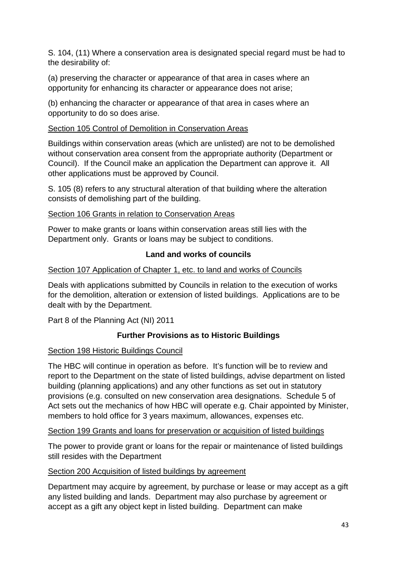S. 104, (11) Where a conservation area is designated special regard must be had to the desirability of:

(a) preserving the character or appearance of that area in cases where an opportunity for enhancing its character or appearance does not arise;

(b) enhancing the character or appearance of that area in cases where an opportunity to do so does arise.

### Section 105 Control of Demolition in Conservation Areas

Buildings within conservation areas (which are unlisted) are not to be demolished without conservation area consent from the appropriate authority (Department or Council). If the Council make an application the Department can approve it. All other applications must be approved by Council.

S. 105 (8) refers to any structural alteration of that building where the alteration consists of demolishing part of the building.

### Section 106 Grants in relation to Conservation Areas

Power to make grants or loans within conservation areas still lies with the Department only. Grants or loans may be subject to conditions.

# **Land and works of councils**

# Section 107 Application of Chapter 1, etc. to land and works of Councils

Deals with applications submitted by Councils in relation to the execution of works for the demolition, alteration or extension of listed buildings. Applications are to be dealt with by the Department.

Part 8 of the Planning Act (NI) 2011

# **Further Provisions as to Historic Buildings**

### Section 198 Historic Buildings Council

The HBC will continue in operation as before. It's function will be to review and report to the Department on the state of listed buildings, advise department on listed building (planning applications) and any other functions as set out in statutory provisions (e.g. consulted on new conservation area designations. Schedule 5 of Act sets out the mechanics of how HBC will operate e.g. Chair appointed by Minister, members to hold office for 3 years maximum, allowances, expenses etc.

### Section 199 Grants and loans for preservation or acquisition of listed buildings

The power to provide grant or loans for the repair or maintenance of listed buildings still resides with the Department

### Section 200 Acquisition of listed buildings by agreement

Department may acquire by agreement, by purchase or lease or may accept as a gift any listed building and lands. Department may also purchase by agreement or accept as a gift any object kept in listed building. Department can make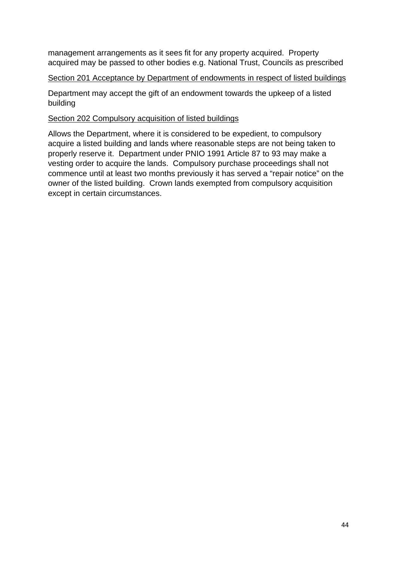management arrangements as it sees fit for any property acquired. Property acquired may be passed to other bodies e.g. National Trust, Councils as prescribed

#### Section 201 Acceptance by Department of endowments in respect of listed buildings

Department may accept the gift of an endowment towards the upkeep of a listed building

#### Section 202 Compulsory acquisition of listed buildings

Allows the Department, where it is considered to be expedient, to compulsory acquire a listed building and lands where reasonable steps are not being taken to properly reserve it. Department under PNIO 1991 Article 87 to 93 may make a vesting order to acquire the lands. Compulsory purchase proceedings shall not commence until at least two months previously it has served a "repair notice" on the owner of the listed building. Crown lands exempted from compulsory acquisition except in certain circumstances.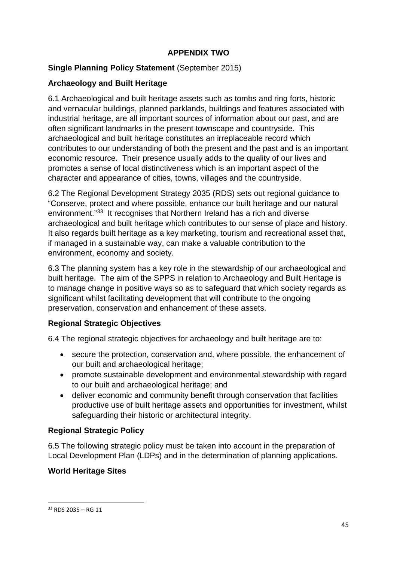# **APPENDIX TWO**

## **Single Planning Policy Statement** (September 2015)

## **Archaeology and Built Heritage**

6.1 Archaeological and built heritage assets such as tombs and ring forts, historic and vernacular buildings, planned parklands, buildings and features associated with industrial heritage, are all important sources of information about our past, and are often significant landmarks in the present townscape and countryside. This archaeological and built heritage constitutes an irreplaceable record which contributes to our understanding of both the present and the past and is an important economic resource. Their presence usually adds to the quality of our lives and promotes a sense of local distinctiveness which is an important aspect of the character and appearance of cities, towns, villages and the countryside.

6.2 The Regional Development Strategy 2035 (RDS) sets out regional guidance to "Conserve, protect and where possible, enhance our built heritage and our natural environment."[33](#page-45-0) It recognises that Northern Ireland has a rich and diverse archaeological and built heritage which contributes to our sense of place and history. It also regards built heritage as a key marketing, tourism and recreational asset that, if managed in a sustainable way, can make a valuable contribution to the environment, economy and society.

6.3 The planning system has a key role in the stewardship of our archaeological and built heritage. The aim of the SPPS in relation to Archaeology and Built Heritage is to manage change in positive ways so as to safeguard that which society regards as significant whilst facilitating development that will contribute to the ongoing preservation, conservation and enhancement of these assets.

# **Regional Strategic Objectives**

6.4 The regional strategic objectives for archaeology and built heritage are to:

- secure the protection, conservation and, where possible, the enhancement of our built and archaeological heritage;
- promote sustainable development and environmental stewardship with regard to our built and archaeological heritage; and
- deliver economic and community benefit through conservation that facilities productive use of built heritage assets and opportunities for investment, whilst safeguarding their historic or architectural integrity.

### **Regional Strategic Policy**

6.5 The following strategic policy must be taken into account in the preparation of Local Development Plan (LDPs) and in the determination of planning applications.

### **World Heritage Sites**

<span id="page-45-0"></span> $33$  RDS 2035 – RG 11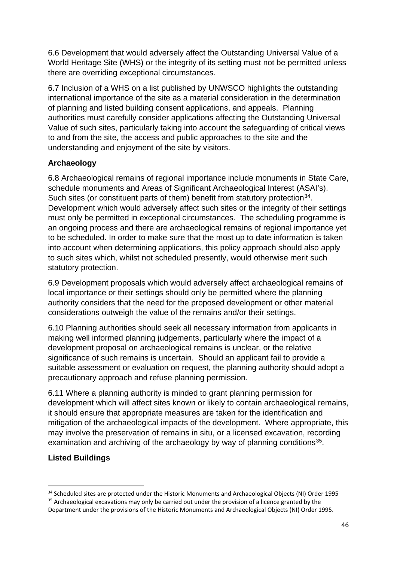6.6 Development that would adversely affect the Outstanding Universal Value of a World Heritage Site (WHS) or the integrity of its setting must not be permitted unless there are overriding exceptional circumstances.

6.7 Inclusion of a WHS on a list published by UNWSCO highlights the outstanding international importance of the site as a material consideration in the determination of planning and listed building consent applications, and appeals. Planning authorities must carefully consider applications affecting the Outstanding Universal Value of such sites, particularly taking into account the safeguarding of critical views to and from the site, the access and public approaches to the site and the understanding and enjoyment of the site by visitors.

# **Archaeology**

6.8 Archaeological remains of regional importance include monuments in State Care, schedule monuments and Areas of Significant Archaeological Interest (ASAI's). Such sites (or constituent parts of them) benefit from statutory protection<sup>34</sup>. Development which would adversely affect such sites or the integrity of their settings must only be permitted in exceptional circumstances. The scheduling programme is an ongoing process and there are archaeological remains of regional importance yet to be scheduled. In order to make sure that the most up to date information is taken into account when determining applications, this policy approach should also apply to such sites which, whilst not scheduled presently, would otherwise merit such statutory protection.

6.9 Development proposals which would adversely affect archaeological remains of local importance or their settings should only be permitted where the planning authority considers that the need for the proposed development or other material considerations outweigh the value of the remains and/or their settings.

6.10 Planning authorities should seek all necessary information from applicants in making well informed planning judgements, particularly where the impact of a development proposal on archaeological remains is unclear, or the relative significance of such remains is uncertain. Should an applicant fail to provide a suitable assessment or evaluation on request, the planning authority should adopt a precautionary approach and refuse planning permission.

6.11 Where a planning authority is minded to grant planning permission for development which will affect sites known or likely to contain archaeological remains, it should ensure that appropriate measures are taken for the identification and mitigation of the archaeological impacts of the development. Where appropriate, this may involve the preservation of remains in situ, or a licensed excavation, recording examination and archiving of the archaeology by way of planning conditions<sup>35</sup>.

# **Listed Buildings**

<span id="page-46-1"></span><span id="page-46-0"></span><sup>&</sup>lt;sup>34</sup> Scheduled sites are protected under the Historic Monuments and Archaeological Objects (NI) Order 1995 <sup>35</sup> Archaeological excavations may only be carried out under the provision of a licence granted by the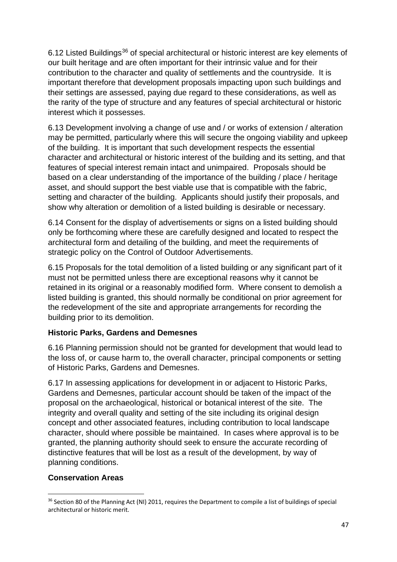6.12 Listed Buildings<sup>[36](#page-47-0)</sup> of special architectural or historic interest are key elements of our built heritage and are often important for their intrinsic value and for their contribution to the character and quality of settlements and the countryside. It is important therefore that development proposals impacting upon such buildings and their settings are assessed, paying due regard to these considerations, as well as the rarity of the type of structure and any features of special architectural or historic interest which it possesses.

6.13 Development involving a change of use and / or works of extension / alteration may be permitted, particularly where this will secure the ongoing viability and upkeep of the building. It is important that such development respects the essential character and architectural or historic interest of the building and its setting, and that features of special interest remain intact and unimpaired. Proposals should be based on a clear understanding of the importance of the building / place / heritage asset, and should support the best viable use that is compatible with the fabric, setting and character of the building. Applicants should justify their proposals, and show why alteration or demolition of a listed building is desirable or necessary.

6.14 Consent for the display of advertisements or signs on a listed building should only be forthcoming where these are carefully designed and located to respect the architectural form and detailing of the building, and meet the requirements of strategic policy on the Control of Outdoor Advertisements.

6.15 Proposals for the total demolition of a listed building or any significant part of it must not be permitted unless there are exceptional reasons why it cannot be retained in its original or a reasonably modified form. Where consent to demolish a listed building is granted, this should normally be conditional on prior agreement for the redevelopment of the site and appropriate arrangements for recording the building prior to its demolition.

### **Historic Parks, Gardens and Demesnes**

6.16 Planning permission should not be granted for development that would lead to the loss of, or cause harm to, the overall character, principal components or setting of Historic Parks, Gardens and Demesnes.

6.17 In assessing applications for development in or adjacent to Historic Parks, Gardens and Demesnes, particular account should be taken of the impact of the proposal on the archaeological, historical or botanical interest of the site. The integrity and overall quality and setting of the site including its original design concept and other associated features, including contribution to local landscape character, should where possible be maintained. In cases where approval is to be granted, the planning authority should seek to ensure the accurate recording of distinctive features that will be lost as a result of the development, by way of planning conditions.

# **Conservation Areas**

<span id="page-47-0"></span><sup>&</sup>lt;sup>36</sup> Section 80 of the Planning Act (NI) 2011, requires the Department to compile a list of buildings of special architectural or historic merit.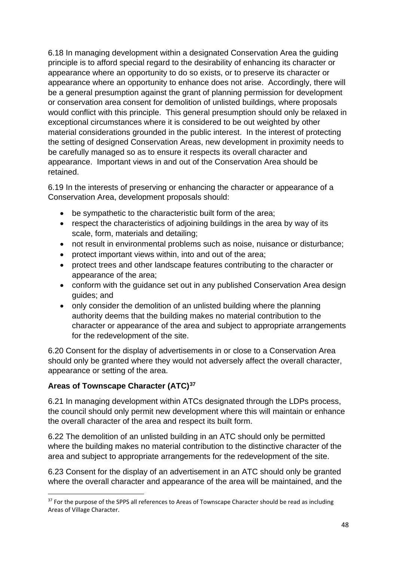6.18 In managing development within a designated Conservation Area the guiding principle is to afford special regard to the desirability of enhancing its character or appearance where an opportunity to do so exists, or to preserve its character or appearance where an opportunity to enhance does not arise. Accordingly, there will be a general presumption against the grant of planning permission for development or conservation area consent for demolition of unlisted buildings, where proposals would conflict with this principle. This general presumption should only be relaxed in exceptional circumstances where it is considered to be out weighted by other material considerations grounded in the public interest. In the interest of protecting the setting of designed Conservation Areas, new development in proximity needs to be carefully managed so as to ensure it respects its overall character and appearance. Important views in and out of the Conservation Area should be retained.

6.19 In the interests of preserving or enhancing the character or appearance of a Conservation Area, development proposals should:

- be sympathetic to the characteristic built form of the area:
- respect the characteristics of adjoining buildings in the area by way of its scale, form, materials and detailing;
- not result in environmental problems such as noise, nuisance or disturbance;
- protect important views within, into and out of the area;
- protect trees and other landscape features contributing to the character or appearance of the area;
- conform with the guidance set out in any published Conservation Area design guides; and
- only consider the demolition of an unlisted building where the planning authority deems that the building makes no material contribution to the character or appearance of the area and subject to appropriate arrangements for the redevelopment of the site.

6.20 Consent for the display of advertisements in or close to a Conservation Area should only be granted where they would not adversely affect the overall character, appearance or setting of the area.

# **Areas of Townscape Character (ATC)[37](#page-48-0)**

6.21 In managing development within ATCs designated through the LDPs process, the council should only permit new development where this will maintain or enhance the overall character of the area and respect its built form.

6.22 The demolition of an unlisted building in an ATC should only be permitted where the building makes no material contribution to the distinctive character of the area and subject to appropriate arrangements for the redevelopment of the site.

6.23 Consent for the display of an advertisement in an ATC should only be granted where the overall character and appearance of the area will be maintained, and the

<span id="page-48-0"></span><sup>&</sup>lt;sup>37</sup> For the purpose of the SPPS all references to Areas of Townscape Character should be read as including Areas of Village Character.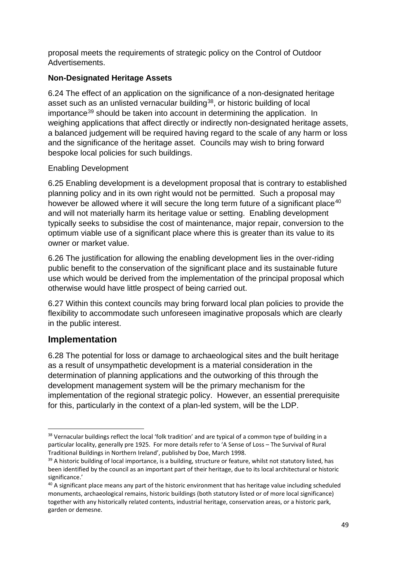proposal meets the requirements of strategic policy on the Control of Outdoor Advertisements.

# **Non-Designated Heritage Assets**

6.24 The effect of an application on the significance of a non-designated heritage asset such as an unlisted vernacular building<sup>[38](#page-49-0)</sup>, or historic building of local importance<sup>[39](#page-49-1)</sup> should be taken into account in determining the application. In weighing applications that affect directly or indirectly non-designated heritage assets, a balanced judgement will be required having regard to the scale of any harm or loss and the significance of the heritage asset. Councils may wish to bring forward bespoke local policies for such buildings.

# Enabling Development

6.25 Enabling development is a development proposal that is contrary to established planning policy and in its own right would not be permitted. Such a proposal may however be allowed where it will secure the long term future of a significant place<sup>[40](#page-49-2)</sup> and will not materially harm its heritage value or setting. Enabling development typically seeks to subsidise the cost of maintenance, major repair, conversion to the optimum viable use of a significant place where this is greater than its value to its owner or market value.

6.26 The justification for allowing the enabling development lies in the over-riding public benefit to the conservation of the significant place and its sustainable future use which would be derived from the implementation of the principal proposal which otherwise would have little prospect of being carried out.

6.27 Within this context councils may bring forward local plan policies to provide the flexibility to accommodate such unforeseen imaginative proposals which are clearly in the public interest.

# **Implementation**

6.28 The potential for loss or damage to archaeological sites and the built heritage as a result of unsympathetic development is a material consideration in the determination of planning applications and the outworking of this through the development management system will be the primary mechanism for the implementation of the regional strategic policy. However, an essential prerequisite for this, particularly in the context of a plan-led system, will be the LDP.

<span id="page-49-0"></span><sup>&</sup>lt;sup>38</sup> Vernacular buildings reflect the local 'folk tradition' and are typical of a common type of building in a particular locality, generally pre 1925. For more details refer to 'A Sense of Loss – The Survival of Rural Traditional Buildings in Northern Ireland', published by Doe, March 1998.

<span id="page-49-1"></span><sup>&</sup>lt;sup>39</sup> A historic building of local importance, is a building, structure or feature, whilst not statutory listed, has been identified by the council as an important part of their heritage, due to its local architectural or historic significance.'

<span id="page-49-2"></span><sup>&</sup>lt;sup>40</sup> A significant place means any part of the historic environment that has heritage value including scheduled monuments, archaeological remains, historic buildings (both statutory listed or of more local significance) together with any historically related contents, industrial heritage, conservation areas, or a historic park, garden or demesne.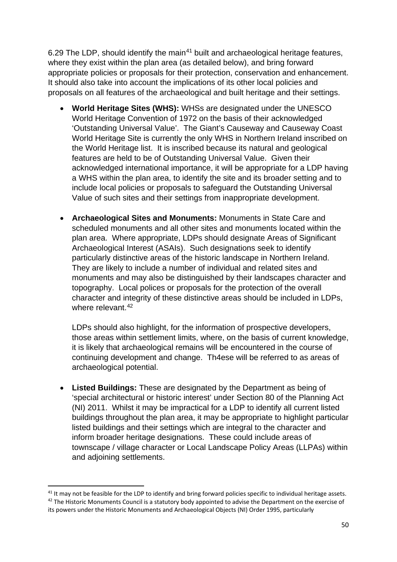6.29 The LDP, should identify the main<sup>[41](#page-50-0)</sup> built and archaeological heritage features, where they exist within the plan area (as detailed below), and bring forward appropriate policies or proposals for their protection, conservation and enhancement. It should also take into account the implications of its other local policies and proposals on all features of the archaeological and built heritage and their settings.

- **World Heritage Sites (WHS):** WHSs are designated under the UNESCO World Heritage Convention of 1972 on the basis of their acknowledged 'Outstanding Universal Value'. The Giant's Causeway and Causeway Coast World Heritage Site is currently the only WHS in Northern Ireland inscribed on the World Heritage list. It is inscribed because its natural and geological features are held to be of Outstanding Universal Value. Given their acknowledged international importance, it will be appropriate for a LDP having a WHS within the plan area, to identify the site and its broader setting and to include local policies or proposals to safeguard the Outstanding Universal Value of such sites and their settings from inappropriate development.
- **Archaeological Sites and Monuments:** Monuments in State Care and scheduled monuments and all other sites and monuments located within the plan area. Where appropriate, LDPs should designate Areas of Significant Archaeological Interest (ASAIs). Such designations seek to identify particularly distinctive areas of the historic landscape in Northern Ireland. They are likely to include a number of individual and related sites and monuments and may also be distinguished by their landscapes character and topography. Local polices or proposals for the protection of the overall character and integrity of these distinctive areas should be included in LDPs, where relevant  $42$

LDPs should also highlight, for the information of prospective developers, those areas within settlement limits, where, on the basis of current knowledge, it is likely that archaeological remains will be encountered in the course of continuing development and change. Th4ese will be referred to as areas of archaeological potential.

• **Listed Buildings:** These are designated by the Department as being of 'special architectural or historic interest' under Section 80 of the Planning Act (NI) 2011. Whilst it may be impractical for a LDP to identify all current listed buildings throughout the plan area, it may be appropriate to highlight particular listed buildings and their settings which are integral to the character and inform broader heritage designations. These could include areas of townscape / village character or Local Landscape Policy Areas (LLPAs) within and adjoining settlements.

<span id="page-50-1"></span><span id="page-50-0"></span> $41$  It may not be feasible for the LDP to identify and bring forward policies specific to individual heritage assets. <sup>42</sup> The Historic Monuments Council is a statutory body appointed to advise the Department on the exercise of its powers under the Historic Monuments and Archaeological Objects (NI) Order 1995, particularly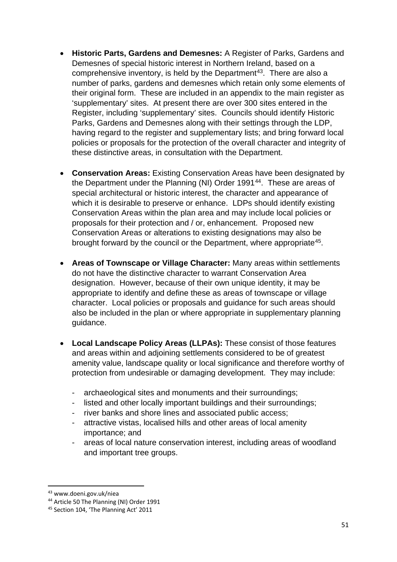- **Historic Parts, Gardens and Demesnes:** A Register of Parks, Gardens and Demesnes of special historic interest in Northern Ireland, based on a comprehensive inventory, is held by the Department<sup>[43](#page-51-0)</sup>. There are also a number of parks, gardens and demesnes which retain only some elements of their original form. These are included in an appendix to the main register as 'supplementary' sites. At present there are over 300 sites entered in the Register, including 'supplementary' sites. Councils should identify Historic Parks, Gardens and Demesnes along with their settings through the LDP, having regard to the register and supplementary lists; and bring forward local policies or proposals for the protection of the overall character and integrity of these distinctive areas, in consultation with the Department.
- **Conservation Areas:** Existing Conservation Areas have been designated by the Department under the Planning (NI) Order 1991<sup>44</sup>. These are areas of special architectural or historic interest, the character and appearance of which it is desirable to preserve or enhance. LDPs should identify existing Conservation Areas within the plan area and may include local policies or proposals for their protection and / or, enhancement. Proposed new Conservation Areas or alterations to existing designations may also be brought forward by the council or the Department, where appropriate<sup>45</sup>.
- **Areas of Townscape or Village Character:** Many areas within settlements do not have the distinctive character to warrant Conservation Area designation. However, because of their own unique identity, it may be appropriate to identify and define these as areas of townscape or village character. Local policies or proposals and guidance for such areas should also be included in the plan or where appropriate in supplementary planning guidance.
- **Local Landscape Policy Areas (LLPAs):** These consist of those features and areas within and adjoining settlements considered to be of greatest amenity value, landscape quality or local significance and therefore worthy of protection from undesirable or damaging development. They may include:
	- archaeological sites and monuments and their surroundings;
	- listed and other locally important buildings and their surroundings;
	- river banks and shore lines and associated public access:
	- attractive vistas, localised hills and other areas of local amenity importance; and
	- areas of local nature conservation interest, including areas of woodland and important tree groups.

<span id="page-51-0"></span> <sup>43</sup> www.doeni.gov.uk/niea

<span id="page-51-1"></span><sup>44</sup> Article 50 The Planning (NI) Order 1991

<span id="page-51-2"></span><sup>45</sup> Section 104, 'The Planning Act' 2011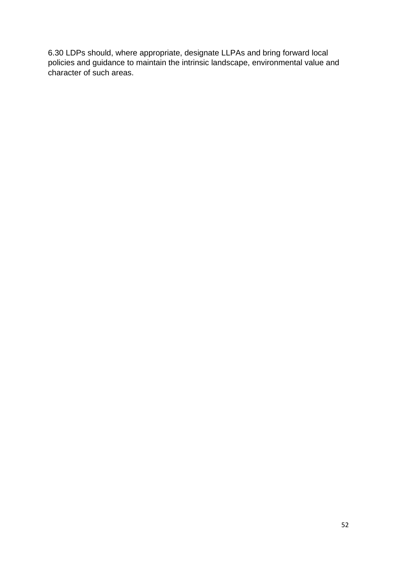6.30 LDPs should, where appropriate, designate LLPAs and bring forward local policies and guidance to maintain the intrinsic landscape, environmental value and character of such areas.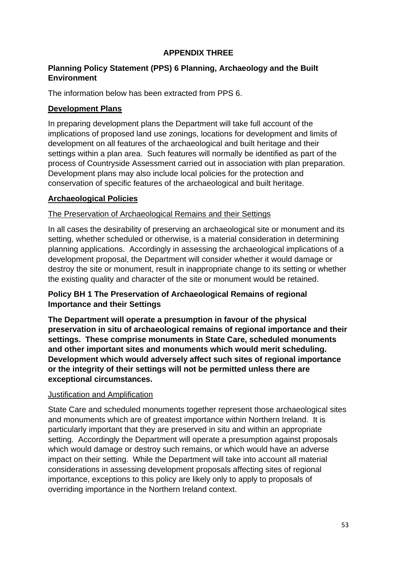## **APPENDIX THREE**

#### **Planning Policy Statement (PPS) 6 Planning, Archaeology and the Built Environment**

The information below has been extracted from PPS 6.

## **Development Plans**

In preparing development plans the Department will take full account of the implications of proposed land use zonings, locations for development and limits of development on all features of the archaeological and built heritage and their settings within a plan area. Such features will normally be identified as part of the process of Countryside Assessment carried out in association with plan preparation. Development plans may also include local policies for the protection and conservation of specific features of the archaeological and built heritage.

### **Archaeological Policies**

### The Preservation of Archaeological Remains and their Settings

In all cases the desirability of preserving an archaeological site or monument and its setting, whether scheduled or otherwise, is a material consideration in determining planning applications. Accordingly in assessing the archaeological implications of a development proposal, the Department will consider whether it would damage or destroy the site or monument, result in inappropriate change to its setting or whether the existing quality and character of the site or monument would be retained.

# **Policy BH 1 The Preservation of Archaeological Remains of regional Importance and their Settings**

**The Department will operate a presumption in favour of the physical preservation in situ of archaeological remains of regional importance and their settings. These comprise monuments in State Care, scheduled monuments and other important sites and monuments which would merit scheduling. Development which would adversely affect such sites of regional importance or the integrity of their settings will not be permitted unless there are exceptional circumstances.**

### Justification and Amplification

State Care and scheduled monuments together represent those archaeological sites and monuments which are of greatest importance within Northern Ireland. It is particularly important that they are preserved in situ and within an appropriate setting. Accordingly the Department will operate a presumption against proposals which would damage or destroy such remains, or which would have an adverse impact on their setting. While the Department will take into account all material considerations in assessing development proposals affecting sites of regional importance, exceptions to this policy are likely only to apply to proposals of overriding importance in the Northern Ireland context.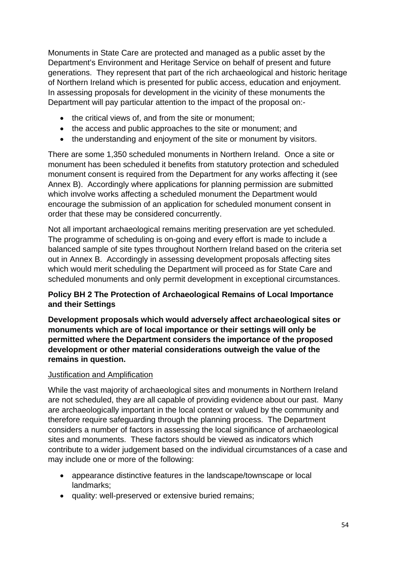Monuments in State Care are protected and managed as a public asset by the Department's Environment and Heritage Service on behalf of present and future generations. They represent that part of the rich archaeological and historic heritage of Northern Ireland which is presented for public access, education and enjoyment. In assessing proposals for development in the vicinity of these monuments the Department will pay particular attention to the impact of the proposal on:-

- the critical views of, and from the site or monument;
- the access and public approaches to the site or monument; and
- the understanding and enjoyment of the site or monument by visitors.

There are some 1,350 scheduled monuments in Northern Ireland. Once a site or monument has been scheduled it benefits from statutory protection and scheduled monument consent is required from the Department for any works affecting it (see Annex B). Accordingly where applications for planning permission are submitted which involve works affecting a scheduled monument the Department would encourage the submission of an application for scheduled monument consent in order that these may be considered concurrently.

Not all important archaeological remains meriting preservation are yet scheduled. The programme of scheduling is on-going and every effort is made to include a balanced sample of site types throughout Northern Ireland based on the criteria set out in Annex B. Accordingly in assessing development proposals affecting sites which would merit scheduling the Department will proceed as for State Care and scheduled monuments and only permit development in exceptional circumstances.

# **Policy BH 2 The Protection of Archaeological Remains of Local Importance and their Settings**

**Development proposals which would adversely affect archaeological sites or monuments which are of local importance or their settings will only be permitted where the Department considers the importance of the proposed development or other material considerations outweigh the value of the remains in question.**

### Justification and Amplification

While the vast majority of archaeological sites and monuments in Northern Ireland are not scheduled, they are all capable of providing evidence about our past. Many are archaeologically important in the local context or valued by the community and therefore require safeguarding through the planning process. The Department considers a number of factors in assessing the local significance of archaeological sites and monuments. These factors should be viewed as indicators which contribute to a wider judgement based on the individual circumstances of a case and may include one or more of the following:

- appearance distinctive features in the landscape/townscape or local landmarks;
- quality: well-preserved or extensive buried remains;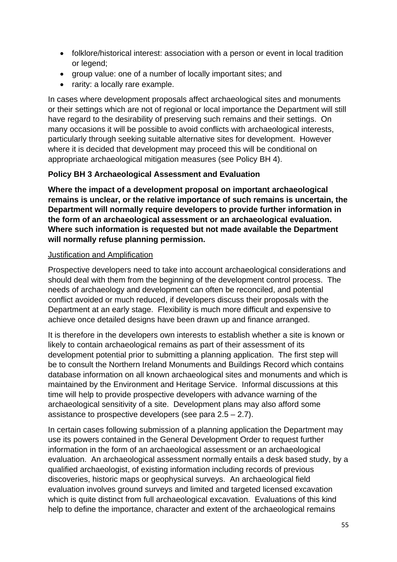- folklore/historical interest: association with a person or event in local tradition or legend;
- group value: one of a number of locally important sites; and
- rarity: a locally rare example.

In cases where development proposals affect archaeological sites and monuments or their settings which are not of regional or local importance the Department will still have regard to the desirability of preserving such remains and their settings. On many occasions it will be possible to avoid conflicts with archaeological interests, particularly through seeking suitable alternative sites for development. However where it is decided that development may proceed this will be conditional on appropriate archaeological mitigation measures (see Policy BH 4).

### **Policy BH 3 Archaeological Assessment and Evaluation**

**Where the impact of a development proposal on important archaeological remains is unclear, or the relative importance of such remains is uncertain, the Department will normally require developers to provide further information in the form of an archaeological assessment or an archaeological evaluation. Where such information is requested but not made available the Department will normally refuse planning permission.**

### Justification and Amplification

Prospective developers need to take into account archaeological considerations and should deal with them from the beginning of the development control process. The needs of archaeology and development can often be reconciled, and potential conflict avoided or much reduced, if developers discuss their proposals with the Department at an early stage. Flexibility is much more difficult and expensive to achieve once detailed designs have been drawn up and finance arranged.

It is therefore in the developers own interests to establish whether a site is known or likely to contain archaeological remains as part of their assessment of its development potential prior to submitting a planning application. The first step will be to consult the Northern Ireland Monuments and Buildings Record which contains database information on all known archaeological sites and monuments and which is maintained by the Environment and Heritage Service. Informal discussions at this time will help to provide prospective developers with advance warning of the archaeological sensitivity of a site. Development plans may also afford some assistance to prospective developers (see para  $2.5 - 2.7$ ).

In certain cases following submission of a planning application the Department may use its powers contained in the General Development Order to request further information in the form of an archaeological assessment or an archaeological evaluation. An archaeological assessment normally entails a desk based study, by a qualified archaeologist, of existing information including records of previous discoveries, historic maps or geophysical surveys. An archaeological field evaluation involves ground surveys and limited and targeted licensed excavation which is quite distinct from full archaeological excavation. Evaluations of this kind help to define the importance, character and extent of the archaeological remains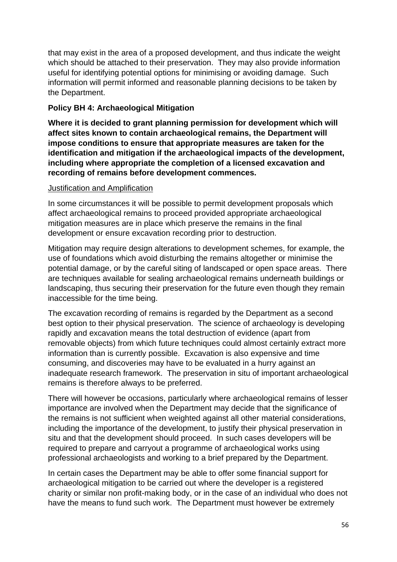that may exist in the area of a proposed development, and thus indicate the weight which should be attached to their preservation. They may also provide information useful for identifying potential options for minimising or avoiding damage. Such information will permit informed and reasonable planning decisions to be taken by the Department.

## **Policy BH 4: Archaeological Mitigation**

**Where it is decided to grant planning permission for development which will affect sites known to contain archaeological remains, the Department will impose conditions to ensure that appropriate measures are taken for the identification and mitigation if the archaeological impacts of the development, including where appropriate the completion of a licensed excavation and recording of remains before development commences.**

#### Justification and Amplification

In some circumstances it will be possible to permit development proposals which affect archaeological remains to proceed provided appropriate archaeological mitigation measures are in place which preserve the remains in the final development or ensure excavation recording prior to destruction.

Mitigation may require design alterations to development schemes, for example, the use of foundations which avoid disturbing the remains altogether or minimise the potential damage, or by the careful siting of landscaped or open space areas. There are techniques available for sealing archaeological remains underneath buildings or landscaping, thus securing their preservation for the future even though they remain inaccessible for the time being.

The excavation recording of remains is regarded by the Department as a second best option to their physical preservation. The science of archaeology is developing rapidly and excavation means the total destruction of evidence (apart from removable objects) from which future techniques could almost certainly extract more information than is currently possible. Excavation is also expensive and time consuming, and discoveries may have to be evaluated in a hurry against an inadequate research framework. The preservation in situ of important archaeological remains is therefore always to be preferred.

There will however be occasions, particularly where archaeological remains of lesser importance are involved when the Department may decide that the significance of the remains is not sufficient when weighted against all other material considerations, including the importance of the development, to justify their physical preservation in situ and that the development should proceed. In such cases developers will be required to prepare and carryout a programme of archaeological works using professional archaeologists and working to a brief prepared by the Department.

In certain cases the Department may be able to offer some financial support for archaeological mitigation to be carried out where the developer is a registered charity or similar non profit-making body, or in the case of an individual who does not have the means to fund such work. The Department must however be extremely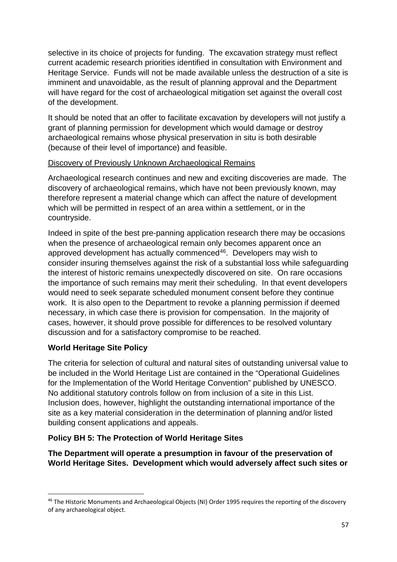selective in its choice of projects for funding. The excavation strategy must reflect current academic research priorities identified in consultation with Environment and Heritage Service. Funds will not be made available unless the destruction of a site is imminent and unavoidable, as the result of planning approval and the Department will have regard for the cost of archaeological mitigation set against the overall cost of the development.

It should be noted that an offer to facilitate excavation by developers will not justify a grant of planning permission for development which would damage or destroy archaeological remains whose physical preservation in situ is both desirable (because of their level of importance) and feasible.

#### Discovery of Previously Unknown Archaeological Remains

Archaeological research continues and new and exciting discoveries are made. The discovery of archaeological remains, which have not been previously known, may therefore represent a material change which can affect the nature of development which will be permitted in respect of an area within a settlement, or in the countryside.

Indeed in spite of the best pre-panning application research there may be occasions when the presence of archaeological remain only becomes apparent once an approved development has actually commenced<sup>46</sup>. Developers may wish to consider insuring themselves against the risk of a substantial loss while safeguarding the interest of historic remains unexpectedly discovered on site. On rare occasions the importance of such remains may merit their scheduling. In that event developers would need to seek separate scheduled monument consent before they continue work. It is also open to the Department to revoke a planning permission if deemed necessary, in which case there is provision for compensation. In the majority of cases, however, it should prove possible for differences to be resolved voluntary discussion and for a satisfactory compromise to be reached.

### **World Heritage Site Policy**

The criteria for selection of cultural and natural sites of outstanding universal value to be included in the World Heritage List are contained in the "Operational Guidelines for the Implementation of the World Heritage Convention" published by UNESCO. No additional statutory controls follow on from inclusion of a site in this List. Inclusion does, however, highlight the outstanding international importance of the site as a key material consideration in the determination of planning and/or listed building consent applications and appeals.

# **Policy BH 5: The Protection of World Heritage Sites**

**The Department will operate a presumption in favour of the preservation of World Heritage Sites. Development which would adversely affect such sites or** 

<span id="page-57-0"></span><sup>&</sup>lt;sup>46</sup> The Historic Monuments and Archaeological Objects (NI) Order 1995 requires the reporting of the discovery of any archaeological object.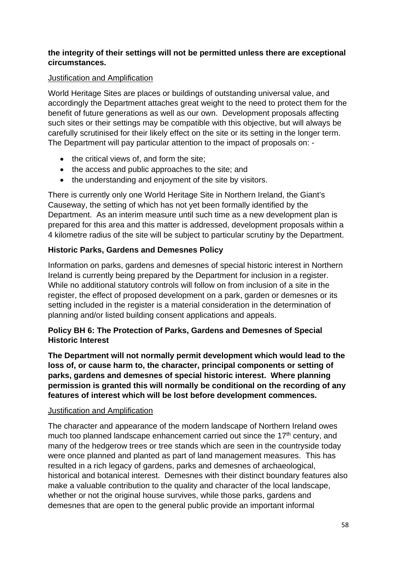## **the integrity of their settings will not be permitted unless there are exceptional circumstances.**

#### Justification and Amplification

World Heritage Sites are places or buildings of outstanding universal value, and accordingly the Department attaches great weight to the need to protect them for the benefit of future generations as well as our own. Development proposals affecting such sites or their settings may be compatible with this objective, but will always be carefully scrutinised for their likely effect on the site or its setting in the longer term. The Department will pay particular attention to the impact of proposals on: -

- the critical views of, and form the site;
- the access and public approaches to the site; and
- the understanding and enjoyment of the site by visitors.

There is currently only one World Heritage Site in Northern Ireland, the Giant's Causeway, the setting of which has not yet been formally identified by the Department. As an interim measure until such time as a new development plan is prepared for this area and this matter is addressed, development proposals within a 4 kilometre radius of the site will be subject to particular scrutiny by the Department.

# **Historic Parks, Gardens and Demesnes Policy**

Information on parks, gardens and demesnes of special historic interest in Northern Ireland is currently being prepared by the Department for inclusion in a register. While no additional statutory controls will follow on from inclusion of a site in the register, the effect of proposed development on a park, garden or demesnes or its setting included in the register is a material consideration in the determination of planning and/or listed building consent applications and appeals.

### **Policy BH 6: The Protection of Parks, Gardens and Demesnes of Special Historic Interest**

**The Department will not normally permit development which would lead to the loss of, or cause harm to, the character, principal components or setting of parks, gardens and demesnes of special historic interest. Where planning permission is granted this will normally be conditional on the recording of any features of interest which will be lost before development commences.**

#### Justification and Amplification

The character and appearance of the modern landscape of Northern Ireland owes much too planned landscape enhancement carried out since the  $17<sup>th</sup>$  century, and many of the hedgerow trees or tree stands which are seen in the countryside today were once planned and planted as part of land management measures. This has resulted in a rich legacy of gardens, parks and demesnes of archaeological, historical and botanical interest. Demesnes with their distinct boundary features also make a valuable contribution to the quality and character of the local landscape, whether or not the original house survives, while those parks, gardens and demesnes that are open to the general public provide an important informal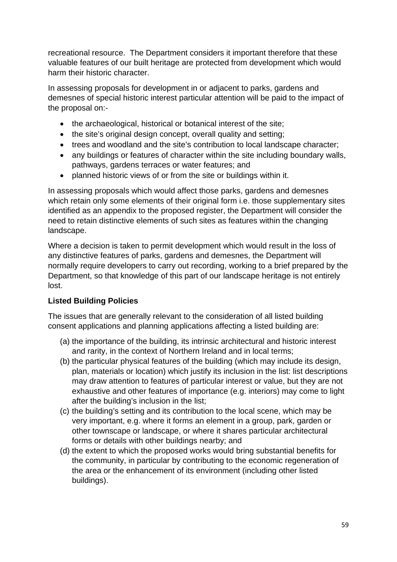recreational resource. The Department considers it important therefore that these valuable features of our built heritage are protected from development which would harm their historic character.

In assessing proposals for development in or adjacent to parks, gardens and demesnes of special historic interest particular attention will be paid to the impact of the proposal on:-

- the archaeological, historical or botanical interest of the site:
- the site's original design concept, overall quality and setting;
- trees and woodland and the site's contribution to local landscape character;
- any buildings or features of character within the site including boundary walls, pathways, gardens terraces or water features; and
- planned historic views of or from the site or buildings within it.

In assessing proposals which would affect those parks, gardens and demesnes which retain only some elements of their original form i.e. those supplementary sites identified as an appendix to the proposed register, the Department will consider the need to retain distinctive elements of such sites as features within the changing landscape.

Where a decision is taken to permit development which would result in the loss of any distinctive features of parks, gardens and demesnes, the Department will normally require developers to carry out recording, working to a brief prepared by the Department, so that knowledge of this part of our landscape heritage is not entirely lost.

# **Listed Building Policies**

The issues that are generally relevant to the consideration of all listed building consent applications and planning applications affecting a listed building are:

- (a) the importance of the building, its intrinsic architectural and historic interest and rarity, in the context of Northern Ireland and in local terms;
- (b) the particular physical features of the building (which may include its design, plan, materials or location) which justify its inclusion in the list: list descriptions may draw attention to features of particular interest or value, but they are not exhaustive and other features of importance (e.g. interiors) may come to light after the building's inclusion in the list;
- (c) the building's setting and its contribution to the local scene, which may be very important, e.g. where it forms an element in a group, park, garden or other townscape or landscape, or where it shares particular architectural forms or details with other buildings nearby; and
- (d) the extent to which the proposed works would bring substantial benefits for the community, in particular by contributing to the economic regeneration of the area or the enhancement of its environment (including other listed buildings).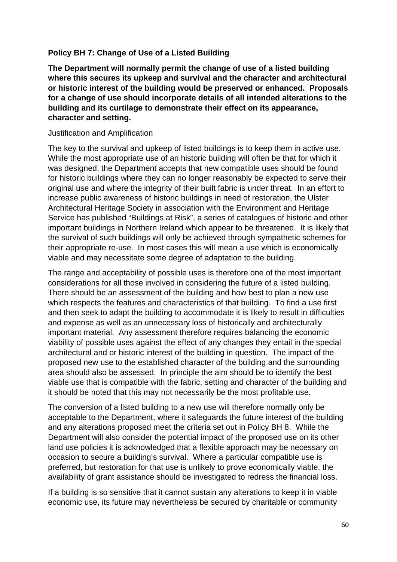### **Policy BH 7: Change of Use of a Listed Building**

**The Department will normally permit the change of use of a listed building where this secures its upkeep and survival and the character and architectural or historic interest of the building would be preserved or enhanced. Proposals for a change of use should incorporate details of all intended alterations to the building and its curtilage to demonstrate their effect on its appearance, character and setting.**

#### Justification and Amplification

The key to the survival and upkeep of listed buildings is to keep them in active use. While the most appropriate use of an historic building will often be that for which it was designed, the Department accepts that new compatible uses should be found for historic buildings where they can no longer reasonably be expected to serve their original use and where the integrity of their built fabric is under threat. In an effort to increase public awareness of historic buildings in need of restoration, the Ulster Architectural Heritage Society in association with the Environment and Heritage Service has published "Buildings at Risk", a series of catalogues of historic and other important buildings in Northern Ireland which appear to be threatened. It is likely that the survival of such buildings will only be achieved through sympathetic schemes for their appropriate re-use. In most cases this will mean a use which is economically viable and may necessitate some degree of adaptation to the building.

The range and acceptability of possible uses is therefore one of the most important considerations for all those involved in considering the future of a listed building. There should be an assessment of the building and how best to plan a new use which respects the features and characteristics of that building. To find a use first and then seek to adapt the building to accommodate it is likely to result in difficulties and expense as well as an unnecessary loss of historically and architecturally important material. Any assessment therefore requires balancing the economic viability of possible uses against the effect of any changes they entail in the special architectural and or historic interest of the building in question. The impact of the proposed new use to the established character of the building and the surrounding area should also be assessed. In principle the aim should be to identify the best viable use that is compatible with the fabric, setting and character of the building and it should be noted that this may not necessarily be the most profitable use.

The conversion of a listed building to a new use will therefore normally only be acceptable to the Department, where it safeguards the future interest of the building and any alterations proposed meet the criteria set out in Policy BH 8. While the Department will also consider the potential impact of the proposed use on its other land use policies it is acknowledged that a flexible approach may be necessary on occasion to secure a building's survival. Where a particular compatible use is preferred, but restoration for that use is unlikely to prove economically viable, the availability of grant assistance should be investigated to redress the financial loss.

If a building is so sensitive that it cannot sustain any alterations to keep it in viable economic use, its future may nevertheless be secured by charitable or community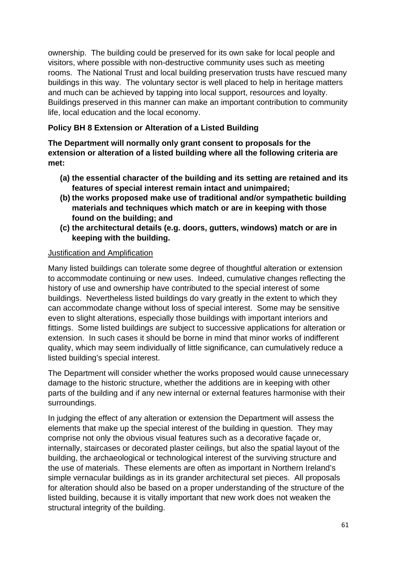ownership. The building could be preserved for its own sake for local people and visitors, where possible with non-destructive community uses such as meeting rooms. The National Trust and local building preservation trusts have rescued many buildings in this way. The voluntary sector is well placed to help in heritage matters and much can be achieved by tapping into local support, resources and loyalty. Buildings preserved in this manner can make an important contribution to community life, local education and the local economy.

# **Policy BH 8 Extension or Alteration of a Listed Building**

**The Department will normally only grant consent to proposals for the extension or alteration of a listed building where all the following criteria are met:**

- **(a) the essential character of the building and its setting are retained and its features of special interest remain intact and unimpaired;**
- **(b) the works proposed make use of traditional and/or sympathetic building materials and techniques which match or are in keeping with those found on the building; and**
- **(c) the architectural details (e.g. doors, gutters, windows) match or are in keeping with the building.**

#### Justification and Amplification

Many listed buildings can tolerate some degree of thoughtful alteration or extension to accommodate continuing or new uses. Indeed, cumulative changes reflecting the history of use and ownership have contributed to the special interest of some buildings. Nevertheless listed buildings do vary greatly in the extent to which they can accommodate change without loss of special interest. Some may be sensitive even to slight alterations, especially those buildings with important interiors and fittings. Some listed buildings are subject to successive applications for alteration or extension. In such cases it should be borne in mind that minor works of indifferent quality, which may seem individually of little significance, can cumulatively reduce a listed building's special interest.

The Department will consider whether the works proposed would cause unnecessary damage to the historic structure, whether the additions are in keeping with other parts of the building and if any new internal or external features harmonise with their surroundings.

In judging the effect of any alteration or extension the Department will assess the elements that make up the special interest of the building in question. They may comprise not only the obvious visual features such as a decorative façade or, internally, staircases or decorated plaster ceilings, but also the spatial layout of the building, the archaeological or technological interest of the surviving structure and the use of materials. These elements are often as important in Northern Ireland's simple vernacular buildings as in its grander architectural set pieces. All proposals for alteration should also be based on a proper understanding of the structure of the listed building, because it is vitally important that new work does not weaken the structural integrity of the building.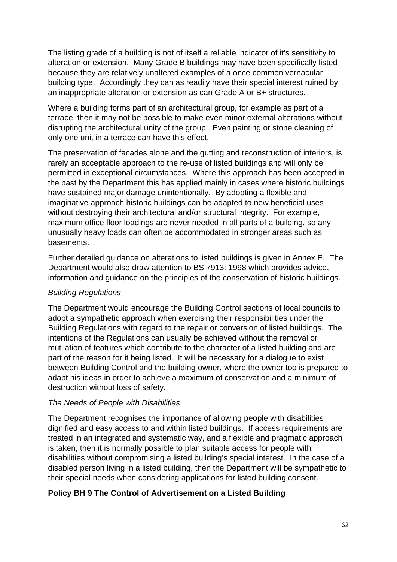The listing grade of a building is not of itself a reliable indicator of it's sensitivity to alteration or extension. Many Grade B buildings may have been specifically listed because they are relatively unaltered examples of a once common vernacular building type. Accordingly they can as readily have their special interest ruined by an inappropriate alteration or extension as can Grade A or B+ structures.

Where a building forms part of an architectural group, for example as part of a terrace, then it may not be possible to make even minor external alterations without disrupting the architectural unity of the group. Even painting or stone cleaning of only one unit in a terrace can have this effect.

The preservation of facades alone and the gutting and reconstruction of interiors, is rarely an acceptable approach to the re-use of listed buildings and will only be permitted in exceptional circumstances. Where this approach has been accepted in the past by the Department this has applied mainly in cases where historic buildings have sustained major damage unintentionally. By adopting a flexible and imaginative approach historic buildings can be adapted to new beneficial uses without destroying their architectural and/or structural integrity. For example, maximum office floor loadings are never needed in all parts of a building, so any unusually heavy loads can often be accommodated in stronger areas such as basements.

Further detailed guidance on alterations to listed buildings is given in Annex E. The Department would also draw attention to BS 7913: 1998 which provides advice, information and guidance on the principles of the conservation of historic buildings.

### *Building Regulations*

The Department would encourage the Building Control sections of local councils to adopt a sympathetic approach when exercising their responsibilities under the Building Regulations with regard to the repair or conversion of listed buildings. The intentions of the Regulations can usually be achieved without the removal or mutilation of features which contribute to the character of a listed building and are part of the reason for it being listed. It will be necessary for a dialogue to exist between Building Control and the building owner, where the owner too is prepared to adapt his ideas in order to achieve a maximum of conservation and a minimum of destruction without loss of safety.

### *The Needs of People with Disabilities*

The Department recognises the importance of allowing people with disabilities dignified and easy access to and within listed buildings. If access requirements are treated in an integrated and systematic way, and a flexible and pragmatic approach is taken, then it is normally possible to plan suitable access for people with disabilities without compromising a listed building's special interest. In the case of a disabled person living in a listed building, then the Department will be sympathetic to their special needs when considering applications for listed building consent.

### **Policy BH 9 The Control of Advertisement on a Listed Building**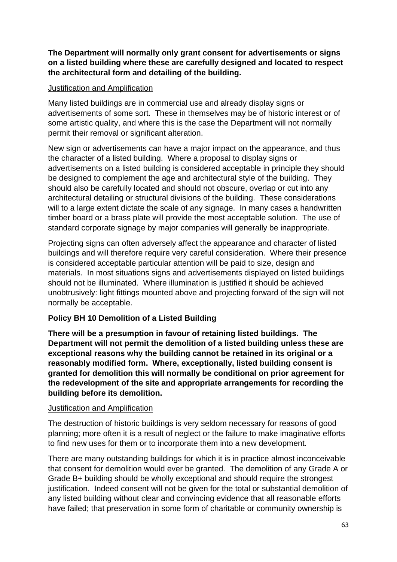**The Department will normally only grant consent for advertisements or signs on a listed building where these are carefully designed and located to respect the architectural form and detailing of the building.**

#### Justification and Amplification

Many listed buildings are in commercial use and already display signs or advertisements of some sort. These in themselves may be of historic interest or of some artistic quality, and where this is the case the Department will not normally permit their removal or significant alteration.

New sign or advertisements can have a major impact on the appearance, and thus the character of a listed building. Where a proposal to display signs or advertisements on a listed building is considered acceptable in principle they should be designed to complement the age and architectural style of the building. They should also be carefully located and should not obscure, overlap or cut into any architectural detailing or structural divisions of the building. These considerations will to a large extent dictate the scale of any signage. In many cases a handwritten timber board or a brass plate will provide the most acceptable solution. The use of standard corporate signage by major companies will generally be inappropriate.

Projecting signs can often adversely affect the appearance and character of listed buildings and will therefore require very careful consideration. Where their presence is considered acceptable particular attention will be paid to size, design and materials. In most situations signs and advertisements displayed on listed buildings should not be illuminated. Where illumination is justified it should be achieved unobtrusively: light fittings mounted above and projecting forward of the sign will not normally be acceptable.

# **Policy BH 10 Demolition of a Listed Building**

**There will be a presumption in favour of retaining listed buildings. The Department will not permit the demolition of a listed building unless these are exceptional reasons why the building cannot be retained in its original or a reasonably modified form. Where, exceptionally, listed building consent is granted for demolition this will normally be conditional on prior agreement for the redevelopment of the site and appropriate arrangements for recording the building before its demolition.**

#### Justification and Amplification

The destruction of historic buildings is very seldom necessary for reasons of good planning; more often it is a result of neglect or the failure to make imaginative efforts to find new uses for them or to incorporate them into a new development.

There are many outstanding buildings for which it is in practice almost inconceivable that consent for demolition would ever be granted. The demolition of any Grade A or Grade B+ building should be wholly exceptional and should require the strongest justification. Indeed consent will not be given for the total or substantial demolition of any listed building without clear and convincing evidence that all reasonable efforts have failed; that preservation in some form of charitable or community ownership is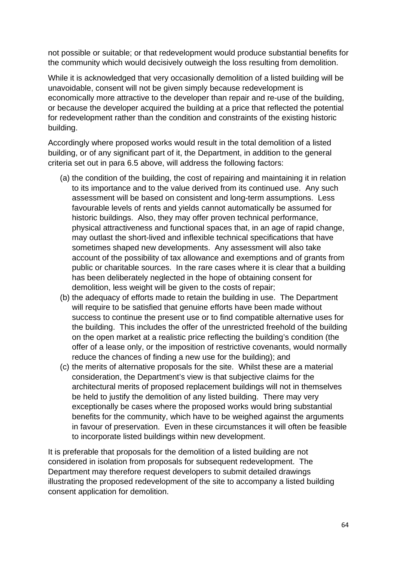not possible or suitable; or that redevelopment would produce substantial benefits for the community which would decisively outweigh the loss resulting from demolition.

While it is acknowledged that very occasionally demolition of a listed building will be unavoidable, consent will not be given simply because redevelopment is economically more attractive to the developer than repair and re-use of the building, or because the developer acquired the building at a price that reflected the potential for redevelopment rather than the condition and constraints of the existing historic building.

Accordingly where proposed works would result in the total demolition of a listed building, or of any significant part of it, the Department, in addition to the general criteria set out in para 6.5 above, will address the following factors:

- (a) the condition of the building, the cost of repairing and maintaining it in relation to its importance and to the value derived from its continued use. Any such assessment will be based on consistent and long-term assumptions. Less favourable levels of rents and yields cannot automatically be assumed for historic buildings. Also, they may offer proven technical performance, physical attractiveness and functional spaces that, in an age of rapid change, may outlast the short-lived and inflexible technical specifications that have sometimes shaped new developments. Any assessment will also take account of the possibility of tax allowance and exemptions and of grants from public or charitable sources. In the rare cases where it is clear that a building has been deliberately neglected in the hope of obtaining consent for demolition, less weight will be given to the costs of repair;
- (b) the adequacy of efforts made to retain the building in use. The Department will require to be satisfied that genuine efforts have been made without success to continue the present use or to find compatible alternative uses for the building. This includes the offer of the unrestricted freehold of the building on the open market at a realistic price reflecting the building's condition (the offer of a lease only, or the imposition of restrictive covenants, would normally reduce the chances of finding a new use for the building); and
- (c) the merits of alternative proposals for the site. Whilst these are a material consideration, the Department's view is that subjective claims for the architectural merits of proposed replacement buildings will not in themselves be held to justify the demolition of any listed building. There may very exceptionally be cases where the proposed works would bring substantial benefits for the community, which have to be weighed against the arguments in favour of preservation. Even in these circumstances it will often be feasible to incorporate listed buildings within new development.

It is preferable that proposals for the demolition of a listed building are not considered in isolation from proposals for subsequent redevelopment. The Department may therefore request developers to submit detailed drawings illustrating the proposed redevelopment of the site to accompany a listed building consent application for demolition.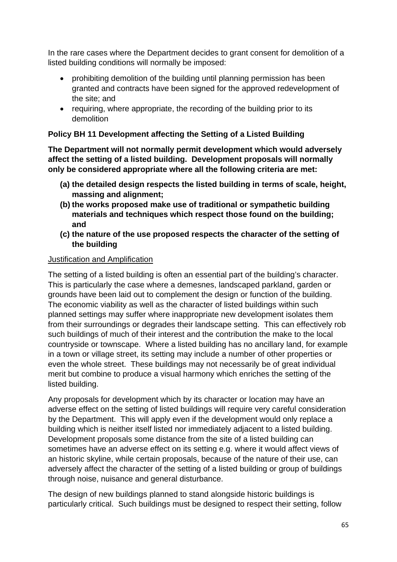In the rare cases where the Department decides to grant consent for demolition of a listed building conditions will normally be imposed:

- prohibiting demolition of the building until planning permission has been granted and contracts have been signed for the approved redevelopment of the site; and
- requiring, where appropriate, the recording of the building prior to its demolition

## **Policy BH 11 Development affecting the Setting of a Listed Building**

**The Department will not normally permit development which would adversely affect the setting of a listed building. Development proposals will normally only be considered appropriate where all the following criteria are met:**

- **(a) the detailed design respects the listed building in terms of scale, height, massing and alignment;**
- **(b) the works proposed make use of traditional or sympathetic building materials and techniques which respect those found on the building; and**
- **(c) the nature of the use proposed respects the character of the setting of the building**

#### Justification and Amplification

The setting of a listed building is often an essential part of the building's character. This is particularly the case where a demesnes, landscaped parkland, garden or grounds have been laid out to complement the design or function of the building. The economic viability as well as the character of listed buildings within such planned settings may suffer where inappropriate new development isolates them from their surroundings or degrades their landscape setting. This can effectively rob such buildings of much of their interest and the contribution the make to the local countryside or townscape. Where a listed building has no ancillary land, for example in a town or village street, its setting may include a number of other properties or even the whole street. These buildings may not necessarily be of great individual merit but combine to produce a visual harmony which enriches the setting of the listed building.

Any proposals for development which by its character or location may have an adverse effect on the setting of listed buildings will require very careful consideration by the Department. This will apply even if the development would only replace a building which is neither itself listed nor immediately adjacent to a listed building. Development proposals some distance from the site of a listed building can sometimes have an adverse effect on its setting e.g. where it would affect views of an historic skyline, while certain proposals, because of the nature of their use, can adversely affect the character of the setting of a listed building or group of buildings through noise, nuisance and general disturbance.

The design of new buildings planned to stand alongside historic buildings is particularly critical. Such buildings must be designed to respect their setting, follow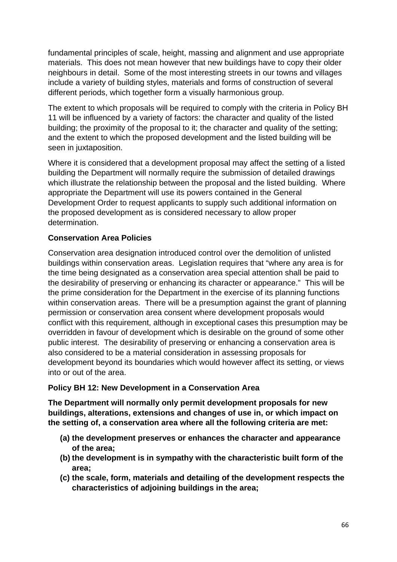fundamental principles of scale, height, massing and alignment and use appropriate materials. This does not mean however that new buildings have to copy their older neighbours in detail. Some of the most interesting streets in our towns and villages include a variety of building styles, materials and forms of construction of several different periods, which together form a visually harmonious group.

The extent to which proposals will be required to comply with the criteria in Policy BH 11 will be influenced by a variety of factors: the character and quality of the listed building; the proximity of the proposal to it; the character and quality of the setting; and the extent to which the proposed development and the listed building will be seen in juxtaposition.

Where it is considered that a development proposal may affect the setting of a listed building the Department will normally require the submission of detailed drawings which illustrate the relationship between the proposal and the listed building. Where appropriate the Department will use its powers contained in the General Development Order to request applicants to supply such additional information on the proposed development as is considered necessary to allow proper determination.

### **Conservation Area Policies**

Conservation area designation introduced control over the demolition of unlisted buildings within conservation areas. Legislation requires that "where any area is for the time being designated as a conservation area special attention shall be paid to the desirability of preserving or enhancing its character or appearance." This will be the prime consideration for the Department in the exercise of its planning functions within conservation areas. There will be a presumption against the grant of planning permission or conservation area consent where development proposals would conflict with this requirement, although in exceptional cases this presumption may be overridden in favour of development which is desirable on the ground of some other public interest. The desirability of preserving or enhancing a conservation area is also considered to be a material consideration in assessing proposals for development beyond its boundaries which would however affect its setting, or views into or out of the area.

### **Policy BH 12: New Development in a Conservation Area**

**The Department will normally only permit development proposals for new buildings, alterations, extensions and changes of use in, or which impact on the setting of, a conservation area where all the following criteria are met:**

- **(a) the development preserves or enhances the character and appearance of the area;**
- **(b) the development is in sympathy with the characteristic built form of the area;**
- **(c) the scale, form, materials and detailing of the development respects the characteristics of adjoining buildings in the area;**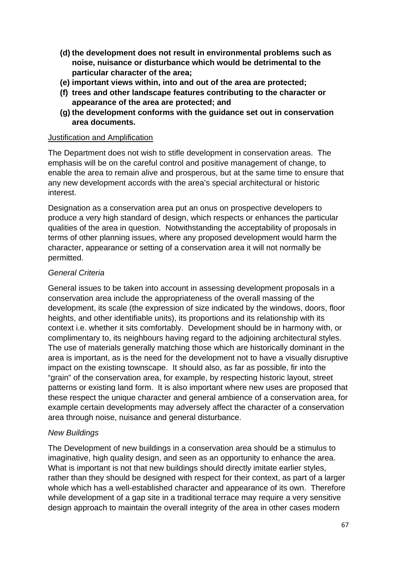- **(d) the development does not result in environmental problems such as noise, nuisance or disturbance which would be detrimental to the particular character of the area;**
- **(e) important views within, into and out of the area are protected;**
- **(f) trees and other landscape features contributing to the character or appearance of the area are protected; and**
- **(g) the development conforms with the guidance set out in conservation area documents.**

#### Justification and Amplification

The Department does not wish to stifle development in conservation areas. The emphasis will be on the careful control and positive management of change, to enable the area to remain alive and prosperous, but at the same time to ensure that any new development accords with the area's special architectural or historic interest.

Designation as a conservation area put an onus on prospective developers to produce a very high standard of design, which respects or enhances the particular qualities of the area in question. Notwithstanding the acceptability of proposals in terms of other planning issues, where any proposed development would harm the character, appearance or setting of a conservation area it will not normally be permitted.

### *General Criteria*

General issues to be taken into account in assessing development proposals in a conservation area include the appropriateness of the overall massing of the development, its scale (the expression of size indicated by the windows, doors, floor heights, and other identifiable units), its proportions and its relationship with its context i.e. whether it sits comfortably. Development should be in harmony with, or complimentary to, its neighbours having regard to the adjoining architectural styles. The use of materials generally matching those which are historically dominant in the area is important, as is the need for the development not to have a visually disruptive impact on the existing townscape. It should also, as far as possible, fir into the "grain" of the conservation area, for example, by respecting historic layout, street patterns or existing land form. It is also important where new uses are proposed that these respect the unique character and general ambience of a conservation area, for example certain developments may adversely affect the character of a conservation area through noise, nuisance and general disturbance.

### *New Buildings*

The Development of new buildings in a conservation area should be a stimulus to imaginative, high quality design, and seen as an opportunity to enhance the area. What is important is not that new buildings should directly imitate earlier styles, rather than they should be designed with respect for their context, as part of a larger whole which has a well-established character and appearance of its own. Therefore while development of a gap site in a traditional terrace may require a very sensitive design approach to maintain the overall integrity of the area in other cases modern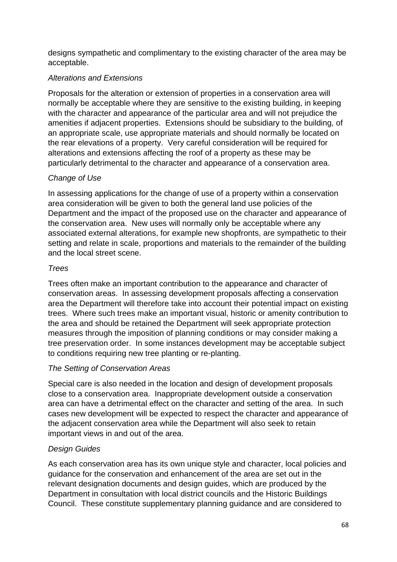designs sympathetic and complimentary to the existing character of the area may be acceptable.

## *Alterations and Extensions*

Proposals for the alteration or extension of properties in a conservation area will normally be acceptable where they are sensitive to the existing building, in keeping with the character and appearance of the particular area and will not prejudice the amenities if adjacent properties. Extensions should be subsidiary to the building, of an appropriate scale, use appropriate materials and should normally be located on the rear elevations of a property. Very careful consideration will be required for alterations and extensions affecting the roof of a property as these may be particularly detrimental to the character and appearance of a conservation area.

# *Change of Use*

In assessing applications for the change of use of a property within a conservation area consideration will be given to both the general land use policies of the Department and the impact of the proposed use on the character and appearance of the conservation area. New uses will normally only be acceptable where any associated external alterations, for example new shopfronts, are sympathetic to their setting and relate in scale, proportions and materials to the remainder of the building and the local street scene.

### *Trees*

Trees often make an important contribution to the appearance and character of conservation areas. In assessing development proposals affecting a conservation area the Department will therefore take into account their potential impact on existing trees. Where such trees make an important visual, historic or amenity contribution to the area and should be retained the Department will seek appropriate protection measures through the imposition of planning conditions or may consider making a tree preservation order. In some instances development may be acceptable subject to conditions requiring new tree planting or re-planting.

### *The Setting of Conservation Areas*

Special care is also needed in the location and design of development proposals close to a conservation area. Inappropriate development outside a conservation area can have a detrimental effect on the character and setting of the area. In such cases new development will be expected to respect the character and appearance of the adjacent conservation area while the Department will also seek to retain important views in and out of the area.

### *Design Guides*

As each conservation area has its own unique style and character, local policies and guidance for the conservation and enhancement of the area are set out in the relevant designation documents and design guides, which are produced by the Department in consultation with local district councils and the Historic Buildings Council. These constitute supplementary planning guidance and are considered to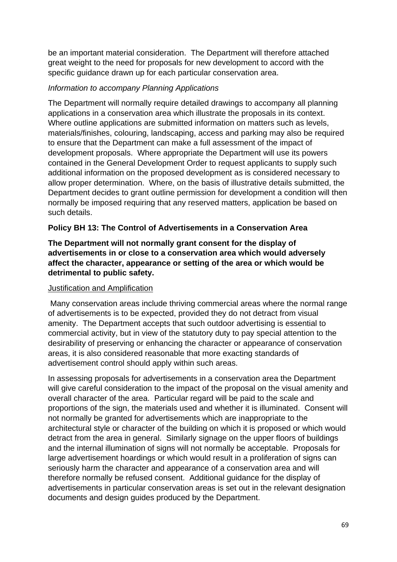be an important material consideration. The Department will therefore attached great weight to the need for proposals for new development to accord with the specific guidance drawn up for each particular conservation area.

#### *Information to accompany Planning Applications*

The Department will normally require detailed drawings to accompany all planning applications in a conservation area which illustrate the proposals in its context. Where outline applications are submitted information on matters such as levels, materials/finishes, colouring, landscaping, access and parking may also be required to ensure that the Department can make a full assessment of the impact of development proposals. Where appropriate the Department will use its powers contained in the General Development Order to request applicants to supply such additional information on the proposed development as is considered necessary to allow proper determination. Where, on the basis of illustrative details submitted, the Department decides to grant outline permission for development a condition will then normally be imposed requiring that any reserved matters, application be based on such details.

### **Policy BH 13: The Control of Advertisements in a Conservation Area**

### **The Department will not normally grant consent for the display of advertisements in or close to a conservation area which would adversely affect the character, appearance or setting of the area or which would be detrimental to public safety.**

#### Justification and Amplification

Many conservation areas include thriving commercial areas where the normal range of advertisements is to be expected, provided they do not detract from visual amenity. The Department accepts that such outdoor advertising is essential to commercial activity, but in view of the statutory duty to pay special attention to the desirability of preserving or enhancing the character or appearance of conservation areas, it is also considered reasonable that more exacting standards of advertisement control should apply within such areas.

In assessing proposals for advertisements in a conservation area the Department will give careful consideration to the impact of the proposal on the visual amenity and overall character of the area. Particular regard will be paid to the scale and proportions of the sign, the materials used and whether it is illuminated. Consent will not normally be granted for advertisements which are inappropriate to the architectural style or character of the building on which it is proposed or which would detract from the area in general. Similarly signage on the upper floors of buildings and the internal illumination of signs will not normally be acceptable. Proposals for large advertisement hoardings or which would result in a proliferation of signs can seriously harm the character and appearance of a conservation area and will therefore normally be refused consent. Additional guidance for the display of advertisements in particular conservation areas is set out in the relevant designation documents and design guides produced by the Department.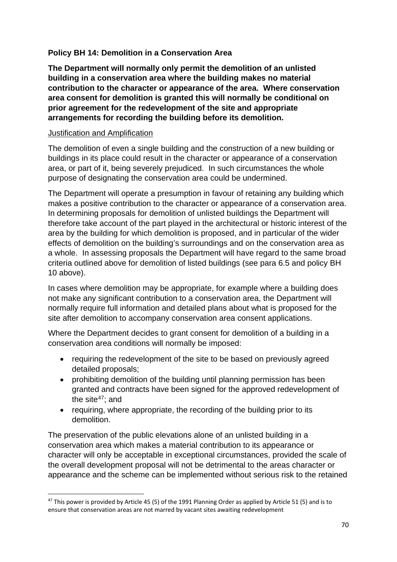# **Policy BH 14: Demolition in a Conservation Area**

**The Department will normally only permit the demolition of an unlisted building in a conservation area where the building makes no material contribution to the character or appearance of the area. Where conservation area consent for demolition is granted this will normally be conditional on prior agreement for the redevelopment of the site and appropriate arrangements for recording the building before its demolition.**

#### Justification and Amplification

The demolition of even a single building and the construction of a new building or buildings in its place could result in the character or appearance of a conservation area, or part of it, being severely prejudiced. In such circumstances the whole purpose of designating the conservation area could be undermined.

The Department will operate a presumption in favour of retaining any building which makes a positive contribution to the character or appearance of a conservation area. In determining proposals for demolition of unlisted buildings the Department will therefore take account of the part played in the architectural or historic interest of the area by the building for which demolition is proposed, and in particular of the wider effects of demolition on the building's surroundings and on the conservation area as a whole. In assessing proposals the Department will have regard to the same broad criteria outlined above for demolition of listed buildings (see para 6.5 and policy BH 10 above).

In cases where demolition may be appropriate, for example where a building does not make any significant contribution to a conservation area, the Department will normally require full information and detailed plans about what is proposed for the site after demolition to accompany conservation area consent applications.

Where the Department decides to grant consent for demolition of a building in a conservation area conditions will normally be imposed:

- requiring the redevelopment of the site to be based on previously agreed detailed proposals;
- prohibiting demolition of the building until planning permission has been granted and contracts have been signed for the approved redevelopment of the site $47$ ; and
- requiring, where appropriate, the recording of the building prior to its demolition.

The preservation of the public elevations alone of an unlisted building in a conservation area which makes a material contribution to its appearance or character will only be acceptable in exceptional circumstances, provided the scale of the overall development proposal will not be detrimental to the areas character or appearance and the scheme can be implemented without serious risk to the retained

<span id="page-70-0"></span><sup>&</sup>lt;sup>47</sup> This power is provided by Article 45 (5) of the 1991 Planning Order as applied by Article 51 (5) and is to ensure that conservation areas are not marred by vacant sites awaiting redevelopment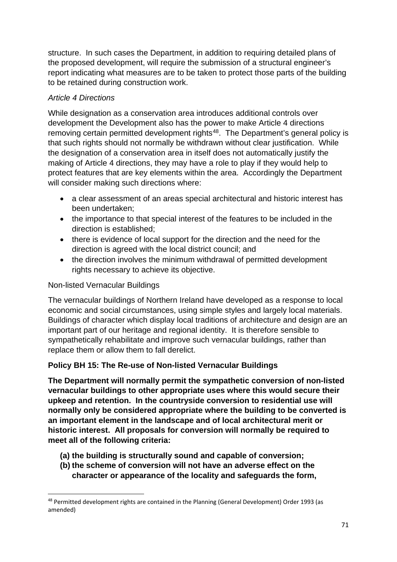structure. In such cases the Department, in addition to requiring detailed plans of the proposed development, will require the submission of a structural engineer's report indicating what measures are to be taken to protect those parts of the building to be retained during construction work.

# *Article 4 Directions*

While designation as a conservation area introduces additional controls over development the Development also has the power to make Article 4 directions removing certain permitted development rights<sup>[48](#page-71-0)</sup>. The Department's general policy is that such rights should not normally be withdrawn without clear justification. While the designation of a conservation area in itself does not automatically justify the making of Article 4 directions, they may have a role to play if they would help to protect features that are key elements within the area. Accordingly the Department will consider making such directions where:

- a clear assessment of an areas special architectural and historic interest has been undertaken;
- the importance to that special interest of the features to be included in the direction is established;
- there is evidence of local support for the direction and the need for the direction is agreed with the local district council; and
- the direction involves the minimum withdrawal of permitted development rights necessary to achieve its objective.

### Non-listed Vernacular Buildings

The vernacular buildings of Northern Ireland have developed as a response to local economic and social circumstances, using simple styles and largely local materials. Buildings of character which display local traditions of architecture and design are an important part of our heritage and regional identity. It is therefore sensible to sympathetically rehabilitate and improve such vernacular buildings, rather than replace them or allow them to fall derelict.

# **Policy BH 15: The Re-use of Non-listed Vernacular Buildings**

**The Department will normally permit the sympathetic conversion of non-listed vernacular buildings to other appropriate uses where this would secure their upkeep and retention. In the countryside conversion to residential use will normally only be considered appropriate where the building to be converted is an important element in the landscape and of local architectural merit or historic interest. All proposals for conversion will normally be required to meet all of the following criteria:**

- **(a) the building is structurally sound and capable of conversion;**
- **(b) the scheme of conversion will not have an adverse effect on the character or appearance of the locality and safeguards the form,**

<span id="page-71-0"></span><sup>48</sup> Permitted development rights are contained in the Planning (General Development) Order 1993 (as amended)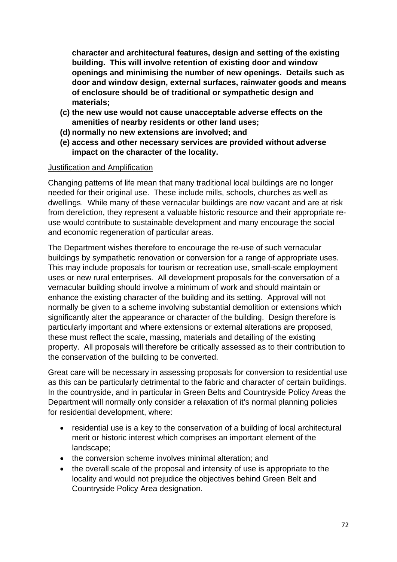**character and architectural features, design and setting of the existing building. This will involve retention of existing door and window openings and minimising the number of new openings. Details such as door and window design, external surfaces, rainwater goods and means of enclosure should be of traditional or sympathetic design and materials;**

- **(c) the new use would not cause unacceptable adverse effects on the amenities of nearby residents or other land uses;**
- **(d) normally no new extensions are involved; and**
- **(e) access and other necessary services are provided without adverse impact on the character of the locality.**

#### Justification and Amplification

Changing patterns of life mean that many traditional local buildings are no longer needed for their original use. These include mills, schools, churches as well as dwellings. While many of these vernacular buildings are now vacant and are at risk from dereliction, they represent a valuable historic resource and their appropriate reuse would contribute to sustainable development and many encourage the social and economic regeneration of particular areas.

The Department wishes therefore to encourage the re-use of such vernacular buildings by sympathetic renovation or conversion for a range of appropriate uses. This may include proposals for tourism or recreation use, small-scale employment uses or new rural enterprises. All development proposals for the conversation of a vernacular building should involve a minimum of work and should maintain or enhance the existing character of the building and its setting. Approval will not normally be given to a scheme involving substantial demolition or extensions which significantly alter the appearance or character of the building. Design therefore is particularly important and where extensions or external alterations are proposed, these must reflect the scale, massing, materials and detailing of the existing property. All proposals will therefore be critically assessed as to their contribution to the conservation of the building to be converted.

Great care will be necessary in assessing proposals for conversion to residential use as this can be particularly detrimental to the fabric and character of certain buildings. In the countryside, and in particular in Green Belts and Countryside Policy Areas the Department will normally only consider a relaxation of it's normal planning policies for residential development, where:

- residential use is a key to the conservation of a building of local architectural merit or historic interest which comprises an important element of the landscape;
- the conversion scheme involves minimal alteration; and
- the overall scale of the proposal and intensity of use is appropriate to the locality and would not prejudice the objectives behind Green Belt and Countryside Policy Area designation.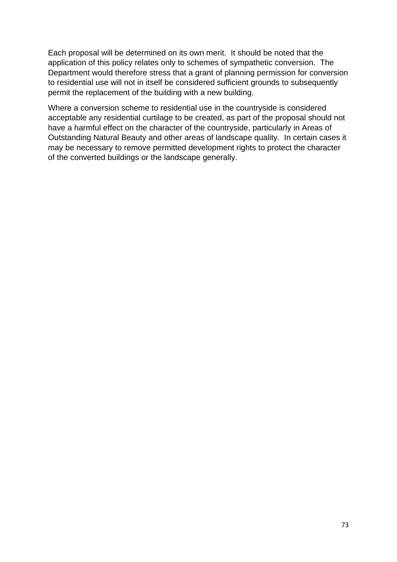Each proposal will be determined on its own merit. It should be noted that the application of this policy relates only to schemes of sympathetic conversion. The Department would therefore stress that a grant of planning permission for conversion to residential use will not in itself be considered sufficient grounds to subsequently permit the replacement of the building with a new building.

Where a conversion scheme to residential use in the countryside is considered acceptable any residential curtilage to be created, as part of the proposal should not have a harmful effect on the character of the countryside, particularly in Areas of Outstanding Natural Beauty and other areas of landscape quality. In certain cases it may be necessary to remove permitted development rights to protect the character of the converted buildings or the landscape generally.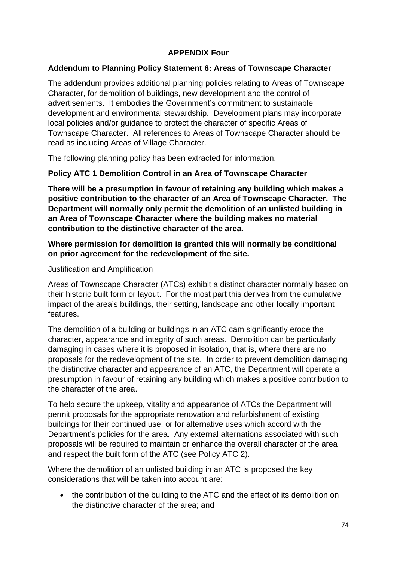# **APPENDIX Four**

### **Addendum to Planning Policy Statement 6: Areas of Townscape Character**

The addendum provides additional planning policies relating to Areas of Townscape Character, for demolition of buildings, new development and the control of advertisements. It embodies the Government's commitment to sustainable development and environmental stewardship. Development plans may incorporate local policies and/or guidance to protect the character of specific Areas of Townscape Character. All references to Areas of Townscape Character should be read as including Areas of Village Character.

The following planning policy has been extracted for information.

# **Policy ATC 1 Demolition Control in an Area of Townscape Character**

**There will be a presumption in favour of retaining any building which makes a positive contribution to the character of an Area of Townscape Character. The Department will normally only permit the demolition of an unlisted building in an Area of Townscape Character where the building makes no material contribution to the distinctive character of the area.**

# **Where permission for demolition is granted this will normally be conditional on prior agreement for the redevelopment of the site.**

#### Justification and Amplification

Areas of Townscape Character (ATCs) exhibit a distinct character normally based on their historic built form or layout. For the most part this derives from the cumulative impact of the area's buildings, their setting, landscape and other locally important features.

The demolition of a building or buildings in an ATC cam significantly erode the character, appearance and integrity of such areas. Demolition can be particularly damaging in cases where it is proposed in isolation, that is, where there are no proposals for the redevelopment of the site. In order to prevent demolition damaging the distinctive character and appearance of an ATC, the Department will operate a presumption in favour of retaining any building which makes a positive contribution to the character of the area.

To help secure the upkeep, vitality and appearance of ATCs the Department will permit proposals for the appropriate renovation and refurbishment of existing buildings for their continued use, or for alternative uses which accord with the Department's policies for the area. Any external alternations associated with such proposals will be required to maintain or enhance the overall character of the area and respect the built form of the ATC (see Policy ATC 2).

Where the demolition of an unlisted building in an ATC is proposed the key considerations that will be taken into account are:

• the contribution of the building to the ATC and the effect of its demolition on the distinctive character of the area; and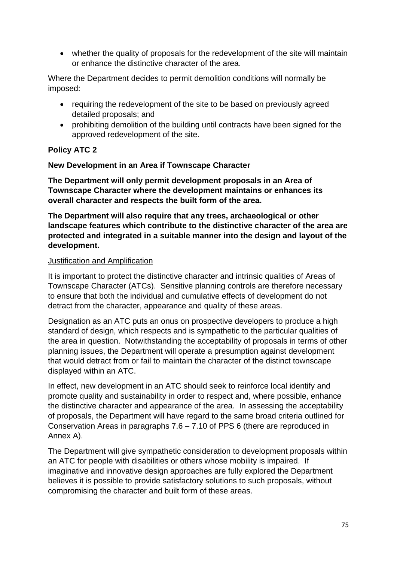• whether the quality of proposals for the redevelopment of the site will maintain or enhance the distinctive character of the area.

Where the Department decides to permit demolition conditions will normally be imposed:

- requiring the redevelopment of the site to be based on previously agreed detailed proposals; and
- prohibiting demolition of the building until contracts have been signed for the approved redevelopment of the site.

# **Policy ATC 2**

#### **New Development in an Area if Townscape Character**

**The Department will only permit development proposals in an Area of Townscape Character where the development maintains or enhances its overall character and respects the built form of the area.**

**The Department will also require that any trees, archaeological or other landscape features which contribute to the distinctive character of the area are protected and integrated in a suitable manner into the design and layout of the development.**

#### Justification and Amplification

It is important to protect the distinctive character and intrinsic qualities of Areas of Townscape Character (ATCs). Sensitive planning controls are therefore necessary to ensure that both the individual and cumulative effects of development do not detract from the character, appearance and quality of these areas.

Designation as an ATC puts an onus on prospective developers to produce a high standard of design, which respects and is sympathetic to the particular qualities of the area in question. Notwithstanding the acceptability of proposals in terms of other planning issues, the Department will operate a presumption against development that would detract from or fail to maintain the character of the distinct townscape displayed within an ATC.

In effect, new development in an ATC should seek to reinforce local identify and promote quality and sustainability in order to respect and, where possible, enhance the distinctive character and appearance of the area. In assessing the acceptability of proposals, the Department will have regard to the same broad criteria outlined for Conservation Areas in paragraphs 7.6 – 7.10 of PPS 6 (there are reproduced in Annex A).

The Department will give sympathetic consideration to development proposals within an ATC for people with disabilities or others whose mobility is impaired. If imaginative and innovative design approaches are fully explored the Department believes it is possible to provide satisfactory solutions to such proposals, without compromising the character and built form of these areas.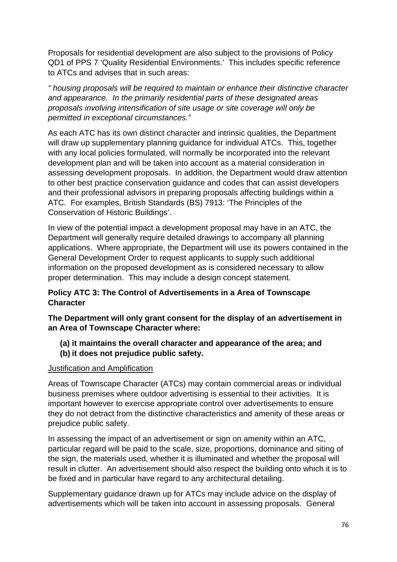Proposals for residential development are also subject to the provisions of Policy QD1 of PPS 7 'Quality Residential Environments.' This includes specific reference to ATCs and advises that in such areas:

*" housing proposals will be required to maintain or enhance their distinctive character and appearance. In the primarily residential parts of these designated areas proposals involving intensification of site usage or site coverage will only be permitted in exceptional circumstances."*

As each ATC has its own distinct character and intrinsic qualities, the Department will draw up supplementary planning guidance for individual ATCs. This, together with any local policies formulated, will normally be incorporated into the relevant development plan and will be taken into account as a material consideration in assessing development proposals. In addition, the Department would draw attention to other best practice conservation guidance and codes that can assist developers and their professional advisors in preparing proposals affecting buildings within a ATC. For examples, British Standards (BS) 7913: 'The Principles of the Conservation of Historic Buildings'.

In view of the potential impact a development proposal may have in an ATC, the Department will generally require detailed drawings to accompany all planning applications. Where appropriate, the Department will use its powers contained in the General Development Order to request applicants to supply such additional information on the proposed development as is considered necessary to allow proper determination. This may include a design concept statement.

# **Policy ATC 3: The Control of Advertisements in a Area of Townscape Character**

**The Department will only grant consent for the display of an advertisement in an Area of Townscape Character where:**

**(a) it maintains the overall character and appearance of the area; and (b) it does not prejudice public safety.**

# Justification and Amplification

Areas of Townscape Character (ATCs) may contain commercial areas or individual business premises where outdoor advertising is essential to their activities. It is important however to exercise appropriate control over advertisements to ensure they do not detract from the distinctive characteristics and amenity of these areas or prejudice public safety.

In assessing the impact of an advertisement or sign on amenity within an ATC, particular regard will be paid to the scale, size, proportions, dominance and siting of the sign, the materials used, whether it is illuminated and whether the proposal will result in clutter. An advertisement should also respect the building onto which it is to be fixed and in particular have regard to any architectural detailing.

Supplementary guidance drawn up for ATCs may include advice on the display of advertisements which will be taken into account in assessing proposals. General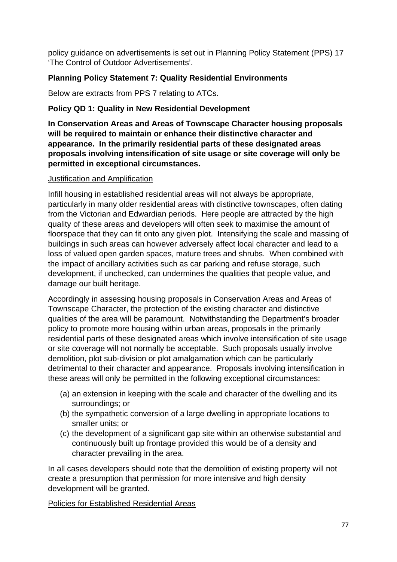policy guidance on advertisements is set out in Planning Policy Statement (PPS) 17 'The Control of Outdoor Advertisements'.

# **Planning Policy Statement 7: Quality Residential Environments**

Below are extracts from PPS 7 relating to ATCs.

# **Policy QD 1: Quality in New Residential Development**

**In Conservation Areas and Areas of Townscape Character housing proposals will be required to maintain or enhance their distinctive character and appearance. In the primarily residential parts of these designated areas proposals involving intensification of site usage or site coverage will only be permitted in exceptional circumstances.**

#### Justification and Amplification

Infill housing in established residential areas will not always be appropriate, particularly in many older residential areas with distinctive townscapes, often dating from the Victorian and Edwardian periods. Here people are attracted by the high quality of these areas and developers will often seek to maximise the amount of floorspace that they can fit onto any given plot. Intensifying the scale and massing of buildings in such areas can however adversely affect local character and lead to a loss of valued open garden spaces, mature trees and shrubs. When combined with the impact of ancillary activities such as car parking and refuse storage, such development, if unchecked, can undermines the qualities that people value, and damage our built heritage.

Accordingly in assessing housing proposals in Conservation Areas and Areas of Townscape Character, the protection of the existing character and distinctive qualities of the area will be paramount. Notwithstanding the Department's broader policy to promote more housing within urban areas, proposals in the primarily residential parts of these designated areas which involve intensification of site usage or site coverage will not normally be acceptable. Such proposals usually involve demolition, plot sub-division or plot amalgamation which can be particularly detrimental to their character and appearance. Proposals involving intensification in these areas will only be permitted in the following exceptional circumstances:

- (a) an extension in keeping with the scale and character of the dwelling and its surroundings; or
- (b) the sympathetic conversion of a large dwelling in appropriate locations to smaller units; or
- (c) the development of a significant gap site within an otherwise substantial and continuously built up frontage provided this would be of a density and character prevailing in the area.

In all cases developers should note that the demolition of existing property will not create a presumption that permission for more intensive and high density development will be granted.

Policies for Established Residential Areas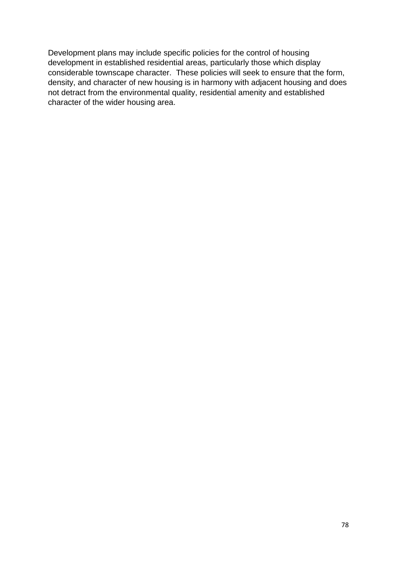Development plans may include specific policies for the control of housing development in established residential areas, particularly those which display considerable townscape character. These policies will seek to ensure that the form, density, and character of new housing is in harmony with adjacent housing and does not detract from the environmental quality, residential amenity and established character of the wider housing area.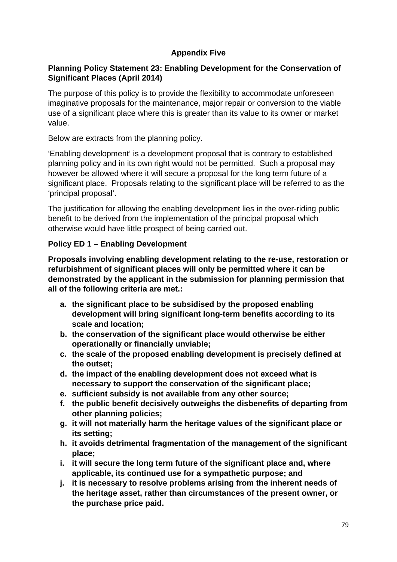# **Appendix Five**

# **Planning Policy Statement 23: Enabling Development for the Conservation of Significant Places (April 2014)**

The purpose of this policy is to provide the flexibility to accommodate unforeseen imaginative proposals for the maintenance, major repair or conversion to the viable use of a significant place where this is greater than its value to its owner or market value.

Below are extracts from the planning policy.

'Enabling development' is a development proposal that is contrary to established planning policy and in its own right would not be permitted. Such a proposal may however be allowed where it will secure a proposal for the long term future of a significant place. Proposals relating to the significant place will be referred to as the 'principal proposal'.

The justification for allowing the enabling development lies in the over-riding public benefit to be derived from the implementation of the principal proposal which otherwise would have little prospect of being carried out.

# **Policy ED 1 – Enabling Development**

**Proposals involving enabling development relating to the re-use, restoration or refurbishment of significant places will only be permitted where it can be demonstrated by the applicant in the submission for planning permission that all of the following criteria are met.:**

- **a. the significant place to be subsidised by the proposed enabling development will bring significant long-term benefits according to its scale and location;**
- **b. the conservation of the significant place would otherwise be either operationally or financially unviable;**
- **c. the scale of the proposed enabling development is precisely defined at the outset;**
- **d. the impact of the enabling development does not exceed what is necessary to support the conservation of the significant place;**
- **e. sufficient subsidy is not available from any other source;**
- **f. the public benefit decisively outweighs the disbenefits of departing from other planning policies;**
- **g. it will not materially harm the heritage values of the significant place or its setting;**
- **h. it avoids detrimental fragmentation of the management of the significant place;**
- **i. it will secure the long term future of the significant place and, where applicable, its continued use for a sympathetic purpose; and**
- **j. it is necessary to resolve problems arising from the inherent needs of the heritage asset, rather than circumstances of the present owner, or the purchase price paid.**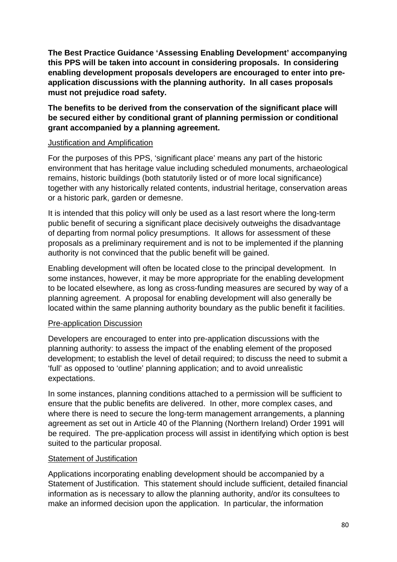**The Best Practice Guidance 'Assessing Enabling Development' accompanying this PPS will be taken into account in considering proposals. In considering enabling development proposals developers are encouraged to enter into preapplication discussions with the planning authority. In all cases proposals must not prejudice road safety.**

# **The benefits to be derived from the conservation of the significant place will be secured either by conditional grant of planning permission or conditional grant accompanied by a planning agreement.**

#### Justification and Amplification

For the purposes of this PPS, 'significant place' means any part of the historic environment that has heritage value including scheduled monuments, archaeological remains, historic buildings (both statutorily listed or of more local significance) together with any historically related contents, industrial heritage, conservation areas or a historic park, garden or demesne.

It is intended that this policy will only be used as a last resort where the long-term public benefit of securing a significant place decisively outweighs the disadvantage of departing from normal policy presumptions. It allows for assessment of these proposals as a preliminary requirement and is not to be implemented if the planning authority is not convinced that the public benefit will be gained.

Enabling development will often be located close to the principal development. In some instances, however, it may be more appropriate for the enabling development to be located elsewhere, as long as cross-funding measures are secured by way of a planning agreement. A proposal for enabling development will also generally be located within the same planning authority boundary as the public benefit it facilities.

# Pre-application Discussion

Developers are encouraged to enter into pre-application discussions with the planning authority: to assess the impact of the enabling element of the proposed development; to establish the level of detail required; to discuss the need to submit a 'full' as opposed to 'outline' planning application; and to avoid unrealistic expectations.

In some instances, planning conditions attached to a permission will be sufficient to ensure that the public benefits are delivered. In other, more complex cases, and where there is need to secure the long-term management arrangements, a planning agreement as set out in Article 40 of the Planning (Northern Ireland) Order 1991 will be required. The pre-application process will assist in identifying which option is best suited to the particular proposal.

# Statement of Justification

Applications incorporating enabling development should be accompanied by a Statement of Justification. This statement should include sufficient, detailed financial information as is necessary to allow the planning authority, and/or its consultees to make an informed decision upon the application. In particular, the information